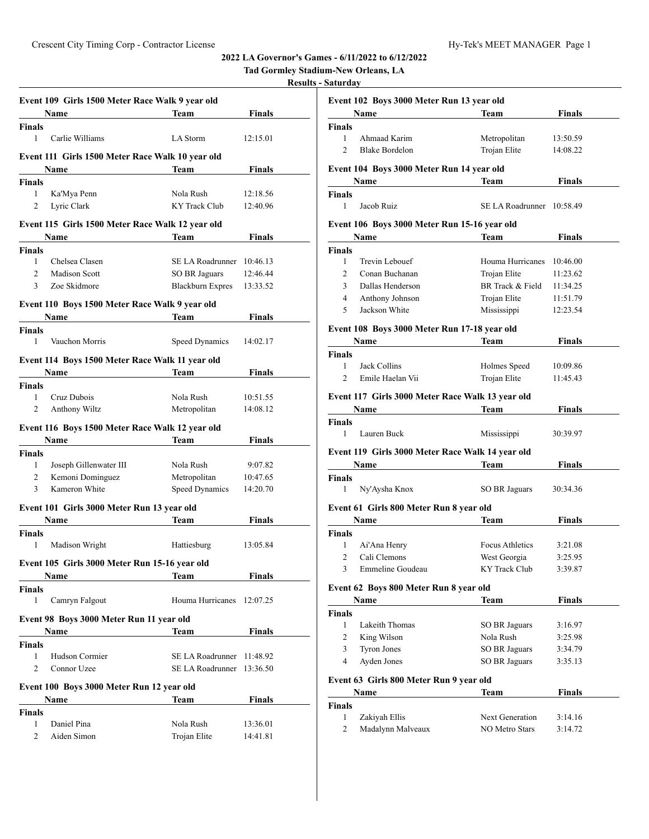**Tad Gormley Stadium-New Orleans, LA**

# **Results - Saturday**

|                | Event 109 Girls 1500 Meter Race Walk 9 year old  |                           |               |
|----------------|--------------------------------------------------|---------------------------|---------------|
|                | Name                                             | Team                      | <b>Finals</b> |
| Finals         |                                                  |                           |               |
| 1              | Carlie Williams                                  | LA Storm                  | 12:15.01      |
|                | Event 111 Girls 1500 Meter Race Walk 10 year old |                           |               |
|                | Name                                             | Team                      | Finals        |
| Finals         |                                                  |                           |               |
| 1              | Ka'Mya Penn                                      | Nola Rush                 | 12:18.56      |
| 2              | Lyric Clark                                      | <b>KY</b> Track Club      | 12:40.96      |
|                |                                                  |                           |               |
|                | Event 115 Girls 1500 Meter Race Walk 12 year old |                           |               |
|                | Name                                             | <b>Team</b>               | Finals        |
| Finals         |                                                  |                           |               |
| 1              | Chelsea Clasen                                   | SE LA Roadrunner 10:46.13 |               |
| $\overline{2}$ | Madison Scott                                    | SO BR Jaguars             | 12:46.44      |
| 3              | Zoe Skidmore                                     | <b>Blackburn Expres</b>   | 13:33.52      |
|                | Event 110 Boys 1500 Meter Race Walk 9 year old   |                           |               |
|                | <b>Name</b>                                      | Team                      | Finals        |
| <b>Finals</b>  |                                                  |                           |               |
| 1              | Vauchon Morris                                   | Speed Dynamics            | 14:02.17      |
|                |                                                  |                           |               |
|                | Event 114 Boys 1500 Meter Race Walk 11 year old  |                           |               |
|                | Name                                             | Team                      | Finals        |
| Finals         |                                                  |                           |               |
| 1              | Cruz Dubois                                      | Nola Rush                 | 10:51.55      |
| 2              | Anthony Wiltz                                    | Metropolitan              | 14:08.12      |
|                | Event 116 Boys 1500 Meter Race Walk 12 year old  |                           |               |
|                | Name                                             | Team                      | Finals        |
|                |                                                  |                           |               |
| Finals<br>1    | Joseph Gillenwater III                           | Nola Rush                 | 9:07.82       |
|                |                                                  |                           |               |
| 2              | Kemoni Dominguez                                 | Metropolitan              | 10:47.65      |
| 3              | Kameron White                                    | Speed Dynamics            | 14:20.70      |
|                | Event 101 Girls 3000 Meter Run 13 year old       |                           |               |
|                | <b>Name</b>                                      | Team                      | Finals        |
| Finals         |                                                  |                           |               |
| 1              | Madison Wright                                   | Hattiesburg               | 13:05.84      |
|                |                                                  |                           |               |
|                | Event 105 Girls 3000 Meter Run 15-16 year old    |                           |               |
|                | Name                                             | <b>Team</b>               | <b>Finals</b> |
| <b>Finals</b>  |                                                  |                           |               |
| 1              | Camryn Falgout                                   | Houma Hurricanes          | 12:07.25      |
|                | Event 98 Boys 3000 Meter Run 11 year old         |                           |               |
|                | Name                                             | Team                      | <b>Finals</b> |
| Finals         |                                                  |                           |               |
| 1              | Hudson Cormier                                   | SE LA Roadrunner          | 11:48.92      |
| 2              | Connor Uzee                                      | SE LA Roadrunner          | 13:36.50      |
|                |                                                  |                           |               |
|                |                                                  |                           |               |
|                | Event 100 Boys 3000 Meter Run 12 year old        |                           |               |
|                | Name                                             | Team                      | <b>Finals</b> |
| Finals         |                                                  |                           |               |
| 1              | Daniel Pina                                      | Nola Rush                 | 13:36.01      |

|                | Event 102 Boys 3000 Meter Run 13 year old        |                           |                      |
|----------------|--------------------------------------------------|---------------------------|----------------------|
|                | Name                                             | Team                      | <b>Finals</b>        |
| Finals<br>1    | Ahmaad Karim                                     | Metropolitan              |                      |
| $\overline{2}$ | <b>Blake Bordelon</b>                            | Trojan Elite              | 13:50.59<br>14:08.22 |
|                |                                                  |                           |                      |
|                | Event 104  Boys 3000 Meter Run 14 year old       |                           |                      |
|                | Name $\qquad$                                    | Team                      | Finals               |
| Finals         |                                                  |                           |                      |
| $\mathbf{1}$   | Jacob Ruiz                                       | SE LA Roadrunner 10:58.49 |                      |
|                | Event 106 Boys 3000 Meter Run 15-16 year old     |                           |                      |
|                | <b>Name</b>                                      | Team                      | Finals               |
| Finals         |                                                  |                           |                      |
| 1              | Trevin Lebouef                                   | Houma Hurricanes 10:46.00 |                      |
| 2              | Conan Buchanan                                   | Trojan Elite              | 11:23.62             |
| 3              | Dallas Henderson                                 | BR Track & Field 11:34.25 |                      |
| $\overline{4}$ | Anthony Johnson                                  | Trojan Elite              | 11:51.79             |
| 5              | Jackson White                                    | Mississippi               | 12:23.54             |
|                |                                                  |                           |                      |
|                | Event 108 Boys 3000 Meter Run 17-18 year old     |                           |                      |
|                | Name                                             | Team                      | <b>Finals</b>        |
| Finals         |                                                  |                           |                      |
| 1              | Jack Collins                                     | Holmes Speed              | 10:09.86             |
| $\overline{2}$ | Emile Haelan Vii                                 | Trojan Elite              | 11:45.43             |
|                | Event 117 Girls 3000 Meter Race Walk 13 year old |                           |                      |
|                | <b>Name</b>                                      | Team                      | <b>Finals</b>        |
| Finals         |                                                  |                           |                      |
| 1              | Lauren Buck                                      | Mississippi               | 30:39.97             |
|                |                                                  |                           |                      |
|                | Event 119 Girls 3000 Meter Race Walk 14 year old |                           |                      |
|                | Name                                             | Team                      | <b>Finals</b>        |
| Finals         |                                                  |                           |                      |
| 1              | Ny'Aysha Knox                                    | <b>SO BR Jaguars</b>      | 30:34.36             |
|                | Event 61 Girls 800 Meter Run 8 year old          |                           |                      |
|                | Name                                             | Team                      | <b>Finals</b>        |
| Finals         |                                                  |                           |                      |
| 1              | Ai'Ana Henry                                     | Focus Athletics           | 3:21.08              |
| 2              | Cali Clemons                                     | West Georgia              | 3:25.95              |
| 3              | Emmeline Goudeau                                 | KY Track Club             | 3:39.87              |
|                | Event 62 Boys 800 Meter Run 8 year old           |                           |                      |
|                |                                                  |                           |                      |
|                | Name                                             | Team                      | <b>Finals</b>        |
| Finals<br>1    | Lakeith Thomas                                   | <b>SO BR Jaguars</b>      | 3:16.97              |
| 2              | King Wilson                                      | Nola Rush                 | 3:25.98              |
| 3              | <b>Tyron Jones</b>                               | SO BR Jaguars             | 3:34.79              |
| 4              | Ayden Jones                                      | SO BR Jaguars             | 3:35.13              |
|                |                                                  |                           |                      |
|                | Event 63 Girls 800 Meter Run 9 year old          |                           |                      |
|                | Name                                             | Team                      | <b>Finals</b>        |
| Finals         |                                                  |                           |                      |
| 1              | Zakiyah Ellis                                    | <b>Next Generation</b>    | 3:14.16              |
| 2              | Madalynn Malveaux                                | NO Metro Stars            | 3:14.72              |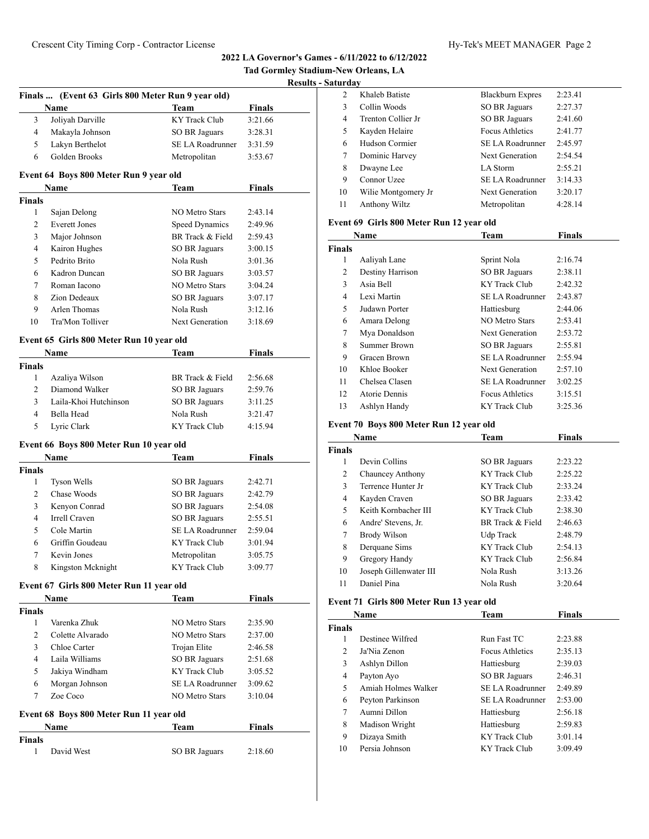**Tad Gormley Stadium-New Orleans, LA**

**Results - Saturday** 

|  | Hy-Tek's MEET MANAGER Page 2 |  |
|--|------------------------------|--|
|  |                              |  |

|                    |                                                   |                         | <b>Result:</b> |
|--------------------|---------------------------------------------------|-------------------------|----------------|
|                    | Finals  (Event 63 Girls 800 Meter Run 9 year old) |                         |                |
|                    | Name                                              | Team                    | Finals         |
| 3                  | Joliyah Darville                                  | KY Track Club           | 3:21.66        |
| 4                  | Makayla Johnson                                   | SO BR Jaguars           | 3:28.31        |
| 5                  | Lakyn Berthelot                                   | <b>SE LA Roadrunner</b> | 3:31.59        |
| 6                  | Golden Brooks                                     | Metropolitan            | 3:53.67        |
|                    | Event 64 Boys 800 Meter Run 9 year old            |                         |                |
|                    | Name                                              | Team                    | Finals         |
| <b>Finals</b>      |                                                   |                         |                |
| 1                  | Sajan Delong                                      | <b>NO Metro Stars</b>   | 2:43.14        |
| 2                  | <b>Everett Jones</b>                              | <b>Speed Dynamics</b>   | 2:49.96        |
| 3                  | Major Johnson                                     | BR Track & Field        | 2:59.43        |
| 4                  | Kairon Hughes                                     | <b>SO BR Jaguars</b>    | 3:00.15        |
| 5                  | Pedrito Brito                                     | Nola Rush               | 3:01.36        |
| 6                  | Kadron Duncan                                     | <b>SO BR Jaguars</b>    | 3:03.57        |
| 7                  | Roman Iacono                                      | <b>NO Metro Stars</b>   | 3:04.24        |
| 8                  | Zion Dedeaux                                      | SO BR Jaguars           | 3:07.17        |
| 9                  | Arlen Thomas                                      | Nola Rush               | 3:12.16        |
| 10                 | Tra'Mon Tolliver                                  | <b>Next Generation</b>  | 3:18.69        |
|                    | Event 65 Girls 800 Meter Run 10 year old          |                         |                |
|                    | Name                                              | Team                    | Finals         |
| <b>Finals</b>      |                                                   |                         |                |
| 1                  | Azaliya Wilson                                    | BR Track & Field        | 2:56.68        |
| 2                  | Diamond Walker                                    | SO BR Jaguars           | 2:59.76        |
| 3                  | Laila-Khoi Hutchinson                             | <b>SO BR Jaguars</b>    | 3:11.25        |
| $\overline{4}$     | Bella Head                                        | Nola Rush               | 3:21.47        |
| 5                  | Lyric Clark                                       | <b>KY Track Club</b>    | 4:15.94        |
|                    |                                                   |                         |                |
|                    | Event 66 Boys 800 Meter Run 10 year old           |                         |                |
|                    | <b>Name</b>                                       | Team                    | Finals         |
| Finals             |                                                   |                         |                |
| 1                  | Tyson Wells                                       | SO BR Jaguars           | 2:42.71        |
| 2                  | Chase Woods                                       | SO BR Jaguars           | 2:42.79        |
| 3                  | Kenyon Conrad                                     | <b>SO BR Jaguars</b>    | 2:54.08        |
| 4                  | Irrell Craven                                     | <b>SO BR Jaguars</b>    | 2:55.51        |
| 5                  | Cole Martin                                       | <b>SE LA Roadrunner</b> | 2:59.04        |
| 6                  | Griffin Goudeau                                   | KY Track Club           | 3:01.94        |
| 7                  | Kevin Jones                                       | Metropolitan            | 3:05.75        |
| 8                  | Kingston Mcknight                                 | KY Track Club           | 3:09.77        |
|                    | Event 67 Girls 800 Meter Run 11 year old          |                         |                |
|                    | Name                                              | Team                    | <b>Finals</b>  |
| <b>Finals</b>      |                                                   |                         |                |
| 1                  | Varenka Zhuk                                      | <b>NO Metro Stars</b>   | 2:35.90        |
| 2                  | Colette Alvarado                                  | <b>NO Metro Stars</b>   | 2:37.00        |
| 3                  | Chloe Carter                                      | Trojan Elite            | 2:46.58        |
| $\overline{4}$     | Laila Williams                                    | <b>SO BR Jaguars</b>    | 2:51.68        |
| 5                  | Jakiya Windham                                    | <b>KY Track Club</b>    | 3:05.52        |
| 6                  | Morgan Johnson                                    | SE LA Roadrunner        | 3:09.62        |
| 7                  | Zoe Coco                                          | <b>NO Metro Stars</b>   | 3:10.04        |
|                    |                                                   |                         |                |
|                    | Event 68 Boys 800 Meter Run 11 year old           |                         |                |
|                    | Name                                              | <b>Team</b>             | <b>Finals</b>  |
| <b>Finals</b><br>1 | David West                                        |                         |                |
|                    |                                                   | SO BR Jaguars           | 2:18.60        |

| tui ua v |                     |                         |         |
|----------|---------------------|-------------------------|---------|
| 2        | Khaleb Batiste      | <b>Blackburn Expres</b> | 2:23.41 |
| 3        | Collin Woods        | SO BR Jaguars           | 2:27.37 |
| 4        | Trenton Collier Jr  | SO BR Jaguars           | 2:41.60 |
| 5        | Kayden Helaire      | Focus Athletics         | 2:41.77 |
| 6        | Hudson Cormier      | SE LA Roadrunner        | 2:45.97 |
| 7        | Dominic Harvey      | Next Generation         | 2:54.54 |
| 8        | Dwayne Lee          | LA Storm                | 2:55.21 |
| 9        | Connor Uzee         | SE LA Roadrunner        | 3:14.33 |
| 10       | Wilie Montgomery Jr | Next Generation         | 3:20.17 |
| 11       | Anthony Wiltz       | Metropolitan            | 4:28.14 |
|          |                     |                         |         |

# **Event 69 Girls 800 Meter Run 12 year old**

| Name          |                  | <b>Team</b>            | Finals  |
|---------------|------------------|------------------------|---------|
| <b>Finals</b> |                  |                        |         |
| 1             | Aaliyah Lane     | Sprint Nola            | 2:16.74 |
| 2             | Destiny Harrison | SO BR Jaguars          | 2:38.11 |
| 3             | Asia Bell        | KY Track Club          | 2:42.32 |
| 4             | Lexi Martin      | SE LA Roadrunner       | 2:43.87 |
| 5             | Judawn Porter    | Hattiesburg            | 2:44.06 |
| 6             | Amara Delong     | NO Metro Stars         | 2:53.41 |
| 7             | Mya Donaldson    | Next Generation        | 2:53.72 |
| 8             | Summer Brown     | SO BR Jaguars          | 2:55.81 |
| 9             | Gracen Brown     | SE LA Roadrunner       | 2:55.94 |
| 10            | Khloe Booker     | Next Generation        | 2:57.10 |
| 11            | Chelsea Clasen   | SE LA Roadrunner       | 3:02.25 |
| 12            | Atorie Dennis    | <b>Focus Athletics</b> | 3:15.51 |
| 13            | Ashlyn Handy     | KY Track Club          | 3:25.36 |

# **Event 70 Boys 800 Meter Run 12 year old**

| Name          |                        | Team                 | Finals  |  |
|---------------|------------------------|----------------------|---------|--|
| <b>Finals</b> |                        |                      |         |  |
|               | Devin Collins          | SO BR Jaguars        | 2:23.22 |  |
| 2             | Chauncey Anthony       | KY Track Club        | 2:25.22 |  |
| 3             | Terrence Hunter Jr     | KY Track Club        | 2:33.24 |  |
| 4             | Kayden Craven          | <b>SO BR Jaguars</b> | 2:33.42 |  |
| 5.            | Keith Kornbacher III   | KY Track Club        | 2:38.30 |  |
| 6             | Andre' Stevens, Jr.    | BR Track & Field     | 2:46.63 |  |
| 7             | Brody Wilson           | Udp Track            | 2:48.79 |  |
| 8             | Derquane Sims          | KY Track Club        | 2:54.13 |  |
| 9             | Gregory Handy          | KY Track Club        | 2:56.84 |  |
| 10            | Joseph Gillenwater III | Nola Rush            | 3:13.26 |  |
| 11            | Daniel Pina            | Nola Rush            | 3:20.64 |  |

# **Event 71 Girls 800 Meter Run 13 year old**

| Name          |                     | Team                   | <b>Finals</b> |
|---------------|---------------------|------------------------|---------------|
| <b>Finals</b> |                     |                        |               |
| 1             | Destinee Wilfred    | Run Fast TC            | 2:23.88       |
| 2             | Ja'Nia Zenon        | <b>Focus Athletics</b> | 2:35.13       |
| 3             | Ashlyn Dillon       | Hattiesburg            | 2:39.03       |
| 4             | Payton Ayo          | SO BR Jaguars          | 2:46.31       |
| 5             | Amiah Holmes Walker | SE LA Roadrunner       | 2:49.89       |
| 6             | Peyton Parkinson    | SE LA Roadrunner       | 2:53.00       |
| 7             | Aumni Dillon        | Hattiesburg            | 2:56.18       |
| 8             | Madison Wright      | Hattiesburg            | 2:59.83       |
| 9             | Dizaya Smith        | KY Track Club          | 3:01.14       |
| 10            | Persia Johnson      | KY Track Club          | 3:09.49       |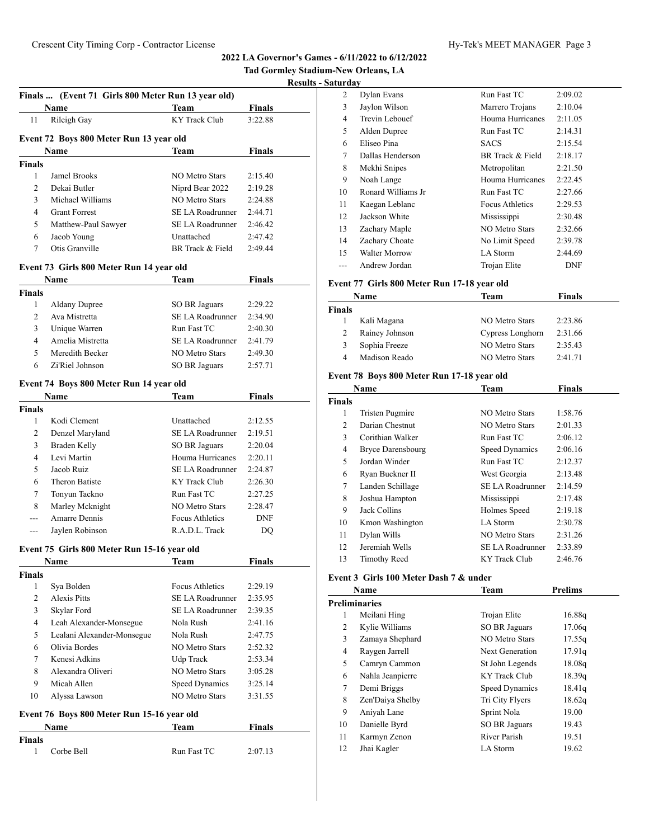#### **Results - Saturday**

|                | Finals  (Event 71 Girls 800 Meter Run 13 year old) |                         |               | <u>kesun</u> |
|----------------|----------------------------------------------------|-------------------------|---------------|--------------|
|                | Name                                               | Team                    | Finals        |              |
| 11             | Rileigh Gay                                        | <b>KY Track Club</b>    | 3:22.88       |              |
|                |                                                    |                         |               |              |
|                | Event 72 Boys 800 Meter Run 13 year old            |                         |               |              |
|                | <b>Name</b>                                        | Team                    | <b>Finals</b> |              |
| <b>Finals</b>  |                                                    |                         |               |              |
| 1              | <b>Jamel Brooks</b>                                | <b>NO Metro Stars</b>   | 2:15.40       |              |
| $\overline{c}$ | Dekai Butler                                       | Niprd Bear 2022         | 2:19.28       |              |
| 3              | Michael Williams                                   | <b>NO Metro Stars</b>   | 2:24.88       |              |
| 4              | <b>Grant Forrest</b>                               | SE LA Roadrunner        | 2:44.71       |              |
| 5              | Matthew-Paul Sawyer                                | <b>SE LA Roadrunner</b> | 2:46.42       |              |
| 6              | Jacob Young                                        | Unattached              | 2:47.42       |              |
| 7              | Otis Granville                                     | BR Track & Field        | 2:49.44       |              |
|                | Event 73 Girls 800 Meter Run 14 year old           |                         |               |              |
|                | Name                                               | Team                    | <b>Finals</b> |              |
| <b>Finals</b>  |                                                    |                         |               |              |
| 1              | <b>Aldany Dupree</b>                               | <b>SO BR Jaguars</b>    | 2:29.22       |              |
| $\overline{c}$ | Ava Mistretta                                      | <b>SE LA Roadrunner</b> | 2:34.90       |              |
| 3              | Unique Warren                                      | Run Fast TC             | 2:40.30       |              |
| 4              | Amelia Mistretta                                   | <b>SE LA Roadrunner</b> | 2:41.79       |              |
| 5              | Meredith Becker                                    | <b>NO Metro Stars</b>   | 2:49.30       |              |
| 6              | Zi'Riel Johnson                                    | SO BR Jaguars           | 2:57.71       |              |
|                | Event 74 Boys 800 Meter Run 14 year old            |                         |               |              |
|                | <b>Name</b>                                        | Team                    | <b>Finals</b> |              |
| <b>Finals</b>  |                                                    |                         |               |              |
| 1              | Kodi Clement                                       | Unattached              | 2:12.55       |              |
| $\overline{c}$ | Denzel Maryland                                    | <b>SE LA Roadrunner</b> | 2:19.51       |              |
| 3              | Braden Kelly                                       | <b>SO BR Jaguars</b>    | 2:20.04       |              |
| 4              | Levi Martin                                        | Houma Hurricanes        | 2:20.11       |              |
| 5              | Jacob Ruiz                                         | <b>SE LA Roadrunner</b> | 2:24.87       |              |
| 6              | <b>Theron Batiste</b>                              | KY Track Club           | 2:26.30       |              |
| 7              | Tonyun Tackno                                      | Run Fast TC             | 2:27.25       |              |
| 8              | Marley Mcknight                                    | <b>NO Metro Stars</b>   | 2:28.47       |              |
| ---            | Amarre Dennis                                      | Focus Athletics         | <b>DNF</b>    |              |
| $---$          | Jaylen Robinson                                    | R.A.D.L. Track          | DQ            |              |
|                |                                                    |                         |               |              |
|                | Event 75 Girls 800 Meter Run 15-16 year old        |                         |               |              |
|                | Name                                               | <b>Team</b>             | <b>Finals</b> |              |

| <b>Finals</b>  |                                            |                  |               |
|----------------|--------------------------------------------|------------------|---------------|
| 1              | Sya Bolden                                 | Focus Athletics  | 2:29.19       |
| $\mathfrak{D}$ | Alexis Pitts                               | SE LA Roadrunner | 2:35.95       |
| 3              | Skylar Ford                                | SE LA Roadrunner | 2:39.35       |
| 4              | Leah Alexander-Monsegue                    | Nola Rush        | 2:41.16       |
| 5              | Lealani Alexander-Monsegue                 | Nola Rush        | 2:47.75       |
| 6              | Olivia Bordes                              | NO Metro Stars   | 2:52.32       |
| 7              | Kenesi Adkins                              | Udp Track        | 2:53.34       |
| 8              | Alexandra Oliveri                          | NO Metro Stars   | 3:05.28       |
| 9              | Micah Allen                                | Speed Dynamics   | 3:25.14       |
| 10             | Alyssa Lawson                              | NO Metro Stars   | 3:31.55       |
|                | Event 76 Boys 800 Meter Run 15-16 year old |                  |               |
|                | Name                                       | Team             | <b>Finals</b> |

1 Corbe Bell Run Fast TC 2:07.13

**Finals**

| ıturdav |                      |                        |         |
|---------|----------------------|------------------------|---------|
| 2       | Dylan Evans          | Run Fast TC            | 2:09.02 |
| 3       | Jaylon Wilson        | Marrero Trojans        | 2:10.04 |
| 4       | Trevin Lebouef       | Houma Hurricanes       | 2:11.05 |
| 5       | Alden Dupree         | Run Fast TC            | 2:14.31 |
| 6       | Eliseo Pina          | <b>SACS</b>            | 2:15.54 |
| 7       | Dallas Henderson     | BR Track & Field       | 2:18.17 |
| 8       | Mekhi Snipes         | Metropolitan           | 2:21.50 |
| 9       | Noah Lange           | Houma Hurricanes       | 2:22.45 |
| 10      | Ronard Williams Jr   | Run Fast TC            | 2:27.66 |
| 11      | Kaegan Leblanc       | <b>Focus Athletics</b> | 2:29.53 |
| 12      | Jackson White        | Mississippi            | 2:30.48 |
| 13      | Zachary Maple        | <b>NO Metro Stars</b>  | 2:32.66 |
| 14      | Zachary Choate       | No Limit Speed         | 2:39.78 |
| 15      | <b>Walter Morrow</b> | LA Storm               | 2:44.69 |

# **Event 77 Girls 800 Meter Run 17-18 year old**

|        | Name           | Team             | Finals  |
|--------|----------------|------------------|---------|
| Finals |                |                  |         |
|        | Kali Magana    | NO Metro Stars   | 2:23.86 |
|        | Rainey Johnson | Cypress Longhorn | 2:31.66 |
|        | Sophia Freeze  | NO Metro Stars   | 2:35.43 |
|        | Madison Reado  | NO Metro Stars   | 2:41.71 |

--- Andrew Jordan Trojan Elite DNF

# **Event 78 Boys 800 Meter Run 17-18 year old**

| Name          |                          | Team                    | <b>Finals</b> |  |
|---------------|--------------------------|-------------------------|---------------|--|
| <b>Finals</b> |                          |                         |               |  |
| 1             | <b>Tristen Pugmire</b>   | NO Metro Stars          | 1:58.76       |  |
| 2             | Darian Chestnut          | NO Metro Stars          | 2:01.33       |  |
| 3             | Corithian Walker         | Run Fast TC             | 2:06.12       |  |
| 4             | <b>Bryce Darensbourg</b> | Speed Dynamics          | 2:06.16       |  |
| 5             | Jordan Winder            | Run Fast TC             | 2:12.37       |  |
| 6             | Ryan Buckner II          | West Georgia            | 2:13.48       |  |
| 7             | Landen Schillage         | SE LA Roadrunner        | 2:14.59       |  |
| 8             | Joshua Hampton           | Mississippi             | 2:17.48       |  |
| 9             | Jack Collins             | Holmes Speed            | 2:19.18       |  |
| 10            | Kmon Washington          | LA Storm                | 2:30.78       |  |
| 11            | Dylan Wills              | NO Metro Stars          | 2:31.26       |  |
| 12            | Jeremiah Wells           | <b>SE LA Roadrunner</b> | 2:33.89       |  |
| 13            | Timothy Reed             | KY Track Club           | 2:46.76       |  |

# **Event 3 Girls 100 Meter Dash 7 & under**

|    | Name                 | Team            | <b>Prelims</b> |  |
|----|----------------------|-----------------|----------------|--|
|    | <b>Preliminaries</b> |                 |                |  |
| 1  | Meilani Hing         | Trojan Elite    | 16.88q         |  |
| 2  | Kylie Williams       | SO BR Jaguars   | 17.06q         |  |
| 3  | Zamaya Shephard      | NO Metro Stars  | 17.55q         |  |
| 4  | Raygen Jarrell       | Next Generation | 17.91q         |  |
| 5  | Camryn Cammon        | St John Legends | 18.08g         |  |
| 6  | Nahla Jeanpierre     | KY Track Club   | 18.39q         |  |
| 7  | Demi Briggs          | Speed Dynamics  | 18.41q         |  |
| 8  | Zen'Daiya Shelby     | Tri City Flyers | 18.62g         |  |
| 9  | Aniyah Lane          | Sprint Nola     | 19.00          |  |
| 10 | Danielle Byrd        | SO BR Jaguars   | 19.43          |  |
| 11 | Karmyn Zenon         | River Parish    | 19.51          |  |
| 12 | Jhai Kagler          | LA Storm        | 19.62          |  |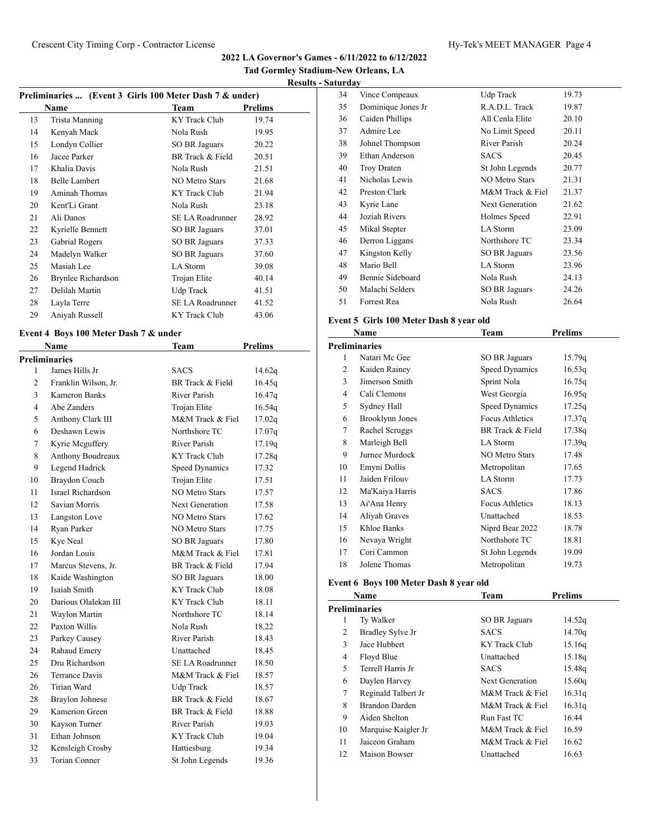**Tad Gormley Stadium-New Orleans, LA**

| Preliminaries  (Event 3 Girls 100 Meter Dash 7 & under) |                      |                       |                |  |
|---------------------------------------------------------|----------------------|-----------------------|----------------|--|
|                                                         | Name                 | Team                  | <b>Prelims</b> |  |
| 13                                                      | Trista Manning       | <b>KY</b> Track Club  | 19.74          |  |
| 14                                                      | Kenyah Mack          | Nola Rush             | 19.95          |  |
| 15                                                      | Londyn Collier       | SO BR Jaguars         | 20.22          |  |
| 16                                                      | Jacee Parker         | BR Track & Field      | 20.51          |  |
| 17                                                      | Khalia Davis         | Nola Rush             | 21.51          |  |
| 18                                                      | <b>Belle Lambert</b> | <b>NO Metro Stars</b> | 21.68          |  |
| 19                                                      | Aminah Thomas        | KY Track Club         | 21.94          |  |
| 20                                                      | Kent'Li Grant        | Nola Rush             | 23.18          |  |
| 21                                                      | Ali Danos            | SE LA Roadrunner      | 28.92          |  |
| 22                                                      | Kyrielle Bennett     | SO BR Jaguars         | 37.01          |  |
| 23                                                      | Gabrial Rogers       | SO BR Jaguars         | 37.33          |  |
| 24                                                      | Madelyn Walker       | <b>SO BR Jaguars</b>  | 37.60          |  |
| 25                                                      | Masiah Lee           | LA Storm              | 39.08          |  |
| 26                                                      | Brynlee Richardson   | Trojan Elite          | 40.14          |  |
| 27                                                      | Delilah Martin       | Udp Track             | 41.51          |  |
| 28                                                      | Layla Terre          | SE LA Roadrunner      | 41.52          |  |
| 29                                                      | Aniyah Russell       | <b>KY</b> Track Club  | 43.06          |  |
|                                                         |                      |                       |                |  |

# **Event 4 Boys 100 Meter Dash 7 & under**

|                | Name                   | Team                    | <b>Prelims</b> |
|----------------|------------------------|-------------------------|----------------|
|                | <b>Preliminaries</b>   |                         |                |
| 1              | James Hills Jr         | <b>SACS</b>             | 14.62q         |
| $\overline{c}$ | Franklin Wilson, Jr.   | BR Track & Field        | 16.45q         |
| 3              | Kameron Banks          | River Parish            | 16.47q         |
| 4              | Abe Zanders            | Trojan Elite            | 16.54q         |
| 5              | Anthony Clark III      | M&M Track & Fiel        | 17.02q         |
| 6              | Deshawn Lewis          | Northshore TC           | 17.07q         |
| 7              | Kyrie Mcguffery        | River Parish            | 17.19q         |
| 8              | Anthony Boudreaux      | <b>KY</b> Track Club    | 17.28q         |
| 9              | Legend Hadrick         | <b>Speed Dynamics</b>   | 17.32          |
| 10             | Braydon Couch          | Trojan Elite            | 17.51          |
| 11             | Israel Richardson      | <b>NO Metro Stars</b>   | 17.57          |
| 12             | Savian Morris          | Next Generation         | 17.58          |
| 13             | Langston Love          | <b>NO Metro Stars</b>   | 17.62          |
| 14             | Ryan Parker            | NO Metro Stars          | 17.75          |
| 15             | Kye Neal               | <b>SO BR Jaguars</b>    | 17.80          |
| 16             | Jordan Louis           | M&M Track & Fiel        | 17.81          |
| 17             | Marcus Stevens, Jr.    | BR Track & Field        | 17.94          |
| 18             | Kaide Washington       | <b>SO BR Jaguars</b>    | 18.00          |
| 19             | Isaiah Smith           | <b>KY</b> Track Club    | 18.08          |
| 20             | Darious Olalekan III   | <b>KY</b> Track Club    | 18.11          |
| 21             | Waylon Martin          | Northshore TC           | 18.14          |
| 22             | Paxton Willis          | Nola Rush               | 18.22          |
| 23             | Parkey Causey          | River Parish            | 18.43          |
| 24             | Rahaud Emery           | Unattached              | 18.45          |
| 25             | Dru Richardson         | <b>SE LA Roadrunner</b> | 18.50          |
| 26             | <b>Terrance Davis</b>  | M&M Track & Fiel        | 18.57          |
| 26             | Tirian Ward            | <b>Udp Track</b>        | 18.57          |
| 28             | <b>Braylon Johnese</b> | BR Track & Field        | 18.67          |
| 29             | Kamerion Green         | BR Track & Field        | 18.88          |
| 30             | Kayson Turner          | River Parish            | 19.03          |
| 31             | Ethan Johnson          | <b>KY Track Club</b>    | 19.04          |
| 32             | Kensleigh Crosby       | Hattiesburg             | 19.34          |
| 33             | <b>Torian Conner</b>   | St John Legends         | 19.36          |

| 34 | Vince Compeaux     | Udp Track             | 19.73 |
|----|--------------------|-----------------------|-------|
| 35 | Dominique Jones Jr | R.A.D.L. Track        | 19.87 |
| 36 | Caiden Phillips    | All Cenla Elite       | 20.10 |
| 37 | Admire Lee         | No Limit Speed        | 20.11 |
| 38 | Johnel Thompson    | River Parish          | 20.24 |
| 39 | Ethan Anderson     | <b>SACS</b>           | 20.45 |
| 40 | <b>Troy Draten</b> | St John Legends       | 20.77 |
| 41 | Nicholas Lewis     | <b>NO Metro Stars</b> | 21.31 |
| 42 | Preston Clark      | M&M Track & Fiel      | 21.37 |
| 43 | Kyrie Lane         | Next Generation       | 21.62 |
| 44 | Joziah Rivers      | Holmes Speed          | 22.91 |
| 45 | Mikal Stepter      | LA Storm              | 23.09 |
| 46 | Derron Liggans     | Northshore TC         | 23.34 |
| 47 | Kingston Kelly     | SO BR Jaguars         | 23.56 |
| 48 | Mario Bell         | LA Storm              | 23.96 |
| 49 | Bennie Sideboard   | Nola Rush             | 24.13 |
| 50 | Malachi Selders    | SO BR Jaguars         | 24.26 |
| 51 | Forrest Rea        | Nola Rush             | 26.64 |

# **Event 5 Girls 100 Meter Dash 8 year old**

|    | Name                 | Team                   | <b>Prelims</b> |  |
|----|----------------------|------------------------|----------------|--|
|    | <b>Preliminaries</b> |                        |                |  |
| 1  | Natari Mc Gee        | SO BR Jaguars          | 15.79q         |  |
| 2  | Kaiden Rainey        | Speed Dynamics         | 16.53q         |  |
| 3  | Jimerson Smith       | Sprint Nola            | 16.75q         |  |
| 4  | Cali Clemons         | West Georgia           | 16.95q         |  |
| 5  | Sydney Hall          | Speed Dynamics         | 17.25q         |  |
| 6  | Brooklynn Jones      | <b>Focus Athletics</b> | 17.37q         |  |
| 7  | Rachel Scruggs       | BR Track & Field       | 17.38q         |  |
| 8  | Marleigh Bell        | LA Storm               | 17.39q         |  |
| 9  | Jurnee Murdock       | <b>NO Metro Stars</b>  | 17.48          |  |
| 10 | Emyni Dollis         | Metropolitan           | 17.65          |  |
| 11 | Jaiden Frilouv       | LA Storm               | 17.73          |  |
| 12 | Ma'Kaiya Harris      | <b>SACS</b>            | 17.86          |  |
| 13 | Ai'Ana Henry         | <b>Focus Athletics</b> | 18.13          |  |
| 14 | Aliyah Graves        | Unattached             | 18.53          |  |
| 15 | Khloe Banks          | Niprd Bear 2022        | 18.78          |  |
| 16 | Nevaya Wright        | Northshore TC          | 18.81          |  |
| 17 | Cori Cammon          | St John Legends        | 19.09          |  |
| 18 | Jolene Thomas        | Metropolitan           | 19.73          |  |

# **Event 6 Boys 100 Meter Dash 8 year old**

|    | Name                 | <b>Team</b>          | <b>Prelims</b> |  |
|----|----------------------|----------------------|----------------|--|
|    | <b>Preliminaries</b> |                      |                |  |
| 1  | Ty Walker            | <b>SO BR Jaguars</b> | 14.52q         |  |
| 2  | Bradley Sylve Jr     | <b>SACS</b>          | 14.70q         |  |
| 3  | Jace Hubbert         | KY Track Club        | 15.16q         |  |
| 4  | Floyd Blue           | Unattached           | 15.18q         |  |
| 5  | Terrell Harris Jr    | <b>SACS</b>          | 15.48q         |  |
| 6  | Daylen Harvey        | Next Generation      | 15.60q         |  |
| 7  | Reginald Talbert Jr  | M&M Track & Fiel     | 16.31q         |  |
| 8  | Brandon Darden       | M&M Track & Fiel     | 16.31q         |  |
| 9  | Aiden Shelton        | Run Fast TC          | 16.44          |  |
| 10 | Marquise Kaigler Jr  | M&M Track & Fiel     | 16.59          |  |
| 11 | Jaiceon Graham       | M&M Track & Fiel     | 16.62          |  |
| 12 | Maison Bowser        | Unattached           | 16.63          |  |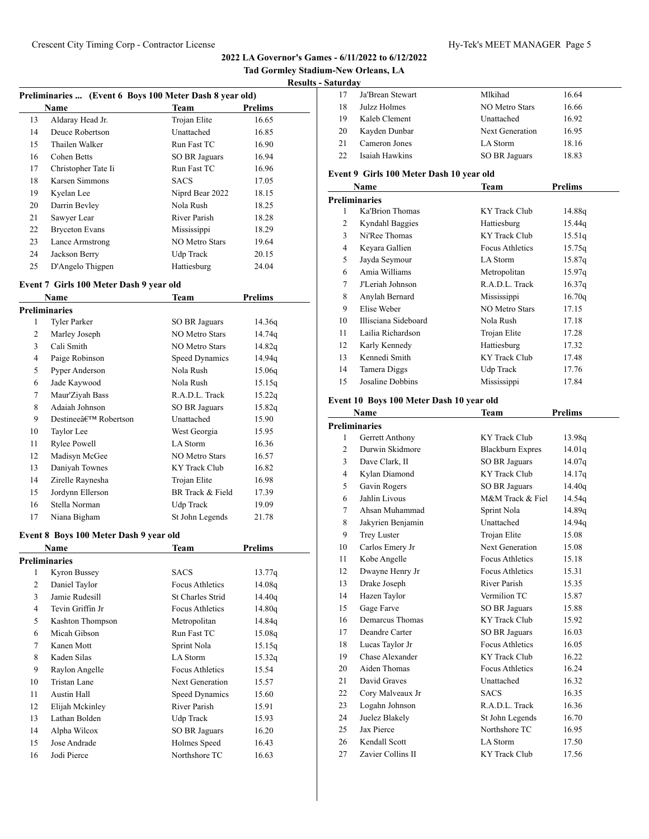| Tad Gormley Stadium-New Orleans, LA |  |
|-------------------------------------|--|
| <b>Results - Saturday</b>           |  |

|  | $\mu_0$ $\mu_1$ $\mu_2$ $\mu_3$ $\mu_4$ $\mu_5$ $\mu_6$ $\mu_7$ $\mu_8$ $\mu_7$ $\mu_8$ $\mu_9$ $\mu_9$ $\mu_9$ $\mu_9$ $\mu_9$ $\mu_1$ |  |
|--|-----------------------------------------------------------------------------------------------------------------------------------------|--|

|    | Preliminaries  (Event 6 Boys 100 Meter Dash 8 year old) |                       |         |  |  |
|----|---------------------------------------------------------|-----------------------|---------|--|--|
|    | Name                                                    | Team                  | Prelims |  |  |
| 13 | Aldaray Head Jr.                                        | Trojan Elite          | 16.65   |  |  |
| 14 | Deuce Robertson                                         | Unattached            | 16.85   |  |  |
| 15 | Thailen Walker                                          | Run Fast TC           | 16.90   |  |  |
| 16 | Cohen Betts                                             | SO BR Jaguars         | 16.94   |  |  |
| 17 | Christopher Tate Ii                                     | Run Fast TC           | 16.96   |  |  |
| 18 | Karsen Simmons                                          | <b>SACS</b>           | 17.05   |  |  |
| 19 | Kyelan Lee                                              | Niprd Bear 2022       | 18.15   |  |  |
| 20 | Darrin Bevley                                           | Nola Rush             | 18.25   |  |  |
| 21 | Sawyer Lear                                             | River Parish          | 18.28   |  |  |
| 22 | <b>Bryceton Evans</b>                                   | Mississippi           | 18.29   |  |  |
| 23 | Lance Armstrong                                         | <b>NO Metro Stars</b> | 19.64   |  |  |
| 24 | Jackson Berry                                           | Udp Track             | 20.15   |  |  |
| 25 | D'Angelo Thigpen                                        | Hattiesburg           | 24.04   |  |  |

# **Event 7 Girls 100 Meter Dash 9 year old**

|    | Name                              | Team                  | Prelims |
|----|-----------------------------------|-----------------------|---------|
|    | <b>Preliminaries</b>              |                       |         |
| 1  | Tyler Parker                      | SO BR Jaguars         | 14.36q  |
| 2  | Marley Joseph                     | <b>NO Metro Stars</b> | 14.74q  |
| 3  | Cali Smith                        | <b>NO Metro Stars</b> | 14.82q  |
| 4  | Paige Robinson                    | Speed Dynamics        | 14.94q  |
| 5  | Pyper Anderson                    | Nola Rush             | 15.06q  |
| 6  | Jade Kaywood                      | Nola Rush             | 15.15q  |
| 7  | Maur'Ziyah Bass                   | R.A.D.L. Track        | 15.22q  |
| 8  | Adaiah Johnson                    | SO BR Jaguars         | 15.82q  |
| 9  | Destineeâ€ <sup>™</sup> Robertson | Unattached            | 15.90   |
| 10 | Taylor Lee                        | West Georgia          | 15.95   |
| 11 | Rylee Powell                      | LA Storm              | 16.36   |
| 12 | Madisyn McGee                     | <b>NO Metro Stars</b> | 16.57   |
| 13 | Daniyah Townes                    | KY Track Club         | 16.82   |
| 14 | Zirelle Raynesha                  | Trojan Elite          | 16.98   |
| 15 | Jordynn Ellerson                  | BR Track & Field      | 17.39   |
| 16 | Stella Norman                     | Udp Track             | 19.09   |
| 17 | Niana Bigham                      | St John Legends       | 21.78   |

# **Event 8 Boys 100 Meter Dash 9 year old**

|    | Name             | Team                   | Prelims |  |
|----|------------------|------------------------|---------|--|
|    | Preliminaries    |                        |         |  |
| 1  | Kyron Bussey     | <b>SACS</b>            | 13.77q  |  |
| 2  | Daniel Taylor    | Focus Athletics        | 14.08q  |  |
| 3  | Jamie Rudesill   | St Charles Strid       | 14.40q  |  |
| 4  | Tevin Griffin Jr | <b>Focus Athletics</b> | 14.80q  |  |
| 5  | Kashton Thompson | Metropolitan           | 14.84g  |  |
| 6  | Micah Gibson     | Run Fast TC            | 15.08q  |  |
| 7  | Kanen Mott       | Sprint Nola            | 15.15q  |  |
| 8  | Kaden Silas      | LA Storm               | 15.32q  |  |
| 9  | Raylon Angelle   | <b>Focus Athletics</b> | 15.54   |  |
| 10 | Tristan Lane     | Next Generation        | 15.57   |  |
| 11 | Austin Hall      | Speed Dynamics         | 15.60   |  |
| 12 | Elijah Mckinley  | River Parish           | 15.91   |  |
| 13 | Lathan Bolden    | Udp Track              | 15.93   |  |
| 14 | Alpha Wilcox     | SO BR Jaguars          | 16.20   |  |
| 15 | Jose Andrade     | Holmes Speed           | 16.43   |  |
| 16 | Jodi Pierce      | Northshore TC          | 16.63   |  |

| 17 | Ja'Brean Stewart | Mlkihad         | 16.64 |
|----|------------------|-----------------|-------|
| 18 | Julzz Holmes     | NO Metro Stars  | 16.66 |
| 19 | Kaleb Clement    | Unattached      | 16.92 |
| 20 | Kayden Dunbar    | Next Generation | 16.95 |
| 21 | Cameron Jones    | LA Storm        | 18.16 |
| 22 | Isaiah Hawkins   | SO BR Jaguars   | 18.83 |

# **Event 9 Girls 100 Meter Dash 10 year old**

| Name |                      | Team                   | <b>Prelims</b> |
|------|----------------------|------------------------|----------------|
|      | <b>Preliminaries</b> |                        |                |
| 1    | Ka'Brion Thomas      | KY Track Club          | 14.88q         |
| 2    | Kyndahl Baggies      | Hattiesburg            | 15.44g         |
| 3    | Ni'Ree Thomas        | KY Track Club          | 15.51q         |
| 4    | Keyara Gallien       | <b>Focus Athletics</b> | 15.75q         |
| 5    | Jayda Seymour        | LA Storm               | 15.87q         |
| 6    | Amia Williams        | Metropolitan           | 15.97q         |
| 7    | J'Leriah Johnson     | R.A.D.L. Track         | 16.37q         |
| 8    | Anylah Bernard       | Mississippi            | 16.70q         |
| 9    | Elise Weber          | NO Metro Stars         | 17.15          |
| 10   | Illisciana Sideboard | Nola Rush              | 17.18          |
| 11   | Lailia Richardson    | Trojan Elite           | 17.28          |
| 12   | Karly Kennedy        | Hattiesburg            | 17.32          |
| 13   | Kennedi Smith        | KY Track Club          | 17.48          |
| 14   | Tamera Diggs         | Udp Track              | 17.76          |
| 15   | Josaline Dobbins     | Mississippi            | 17.84          |

# **Event 10 Boys 100 Meter Dash 10 year old**

|                | Name                 | Team                    | <b>Prelims</b> |
|----------------|----------------------|-------------------------|----------------|
|                | <b>Preliminaries</b> |                         |                |
| 1              | Gerrett Anthony      | KY Track Club           | 13.98q         |
| $\overline{c}$ | Durwin Skidmore      | <b>Blackburn Expres</b> | 14.01q         |
| 3              | Dave Clark, II       | <b>SO BR Jaguars</b>    | 14.07q         |
| $\overline{4}$ | Kylan Diamond        | <b>KY</b> Track Club    | 14.17q         |
| 5              | Gavin Rogers         | <b>SO BR Jaguars</b>    | 14.40q         |
| 6              | Jahlin Livous        | M&M Track & Fiel        | 14.54g         |
| 7              | Ahsan Muhammad       | Sprint Nola             | 14.89q         |
| 8              | Jakyrien Benjamin    | Unattached              | 14.94q         |
| 9              | <b>Trey Luster</b>   | Trojan Elite            | 15.08          |
| 10             | Carlos Emery Jr      | Next Generation         | 15.08          |
| 11             | Kobe Angelle         | <b>Focus Athletics</b>  | 15.18          |
| 12             | Dwayne Henry Jr      | <b>Focus Athletics</b>  | 15.31          |
| 13             | Drake Joseph         | River Parish            | 15.35          |
| 14             | Hazen Taylor         | Vermilion TC            | 15.87          |
| 15             | Gage Farve           | <b>SO BR Jaguars</b>    | 15.88          |
| 16             | Demarcus Thomas      | <b>KY</b> Track Club    | 15.92          |
| 17             | Deandre Carter       | <b>SO BR Jaguars</b>    | 16.03          |
| 18             | Lucas Taylor Jr      | Focus Athletics         | 16.05          |
| 19             | Chase Alexander      | KY Track Club           | 16.22          |
| 20             | Aiden Thomas         | <b>Focus Athletics</b>  | 16.24          |
| 21             | David Graves         | Unattached              | 16.32          |
| 22             | Cory Malveaux Jr     | <b>SACS</b>             | 16.35          |
| 23             | Logahn Johnson       | R.A.D.L. Track          | 16.36          |
| 24             | Juelez Blakely       | St John Legends         | 16.70          |
| 25             | Jax Pierce           | Northshore TC           | 16.95          |
| 26             | Kendall Scott        | LA Storm                | 17.50          |
| 27             | Zavier Collins II    | <b>KY</b> Track Club    | 17.56          |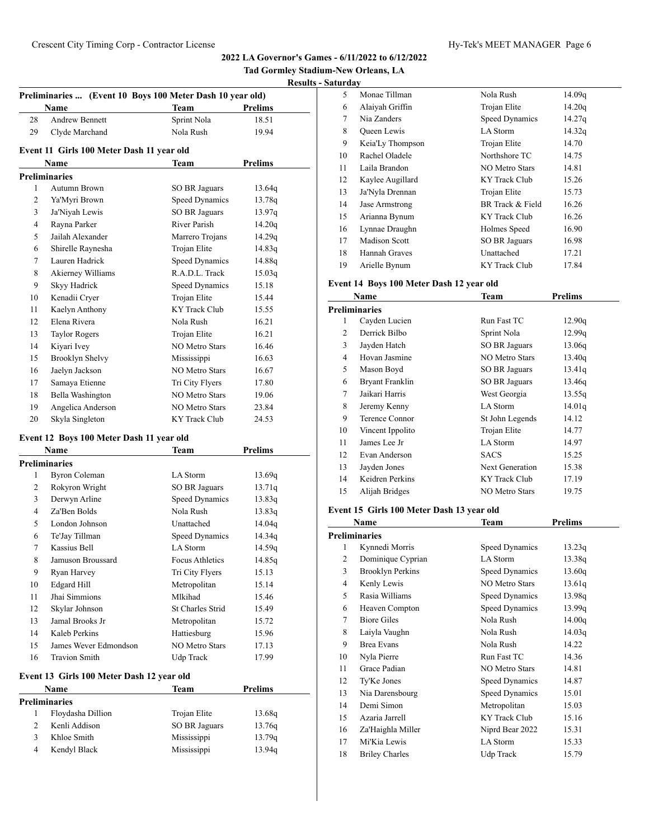**Tad Gormley Stadium-New Orleans, LA**

| Hy-Tek's MEET MANAGER Pag |
|---------------------------|
|---------------------------|

| Preliminaries  (Event 10 Boys 100 Meter Dash 10 year old) |                                           |                       |                |  |
|-----------------------------------------------------------|-------------------------------------------|-----------------------|----------------|--|
|                                                           | <b>Name</b>                               | <b>Team</b>           | <b>Prelims</b> |  |
| 28                                                        | <b>Andrew Bennett</b>                     | Sprint Nola           | 18.51          |  |
| 29                                                        | Clyde Marchand                            | Nola Rush             | 19.94          |  |
|                                                           | Event 11 Girls 100 Meter Dash 11 year old |                       |                |  |
|                                                           | Name                                      | Team                  | Prelims        |  |
|                                                           | <b>Preliminaries</b>                      |                       |                |  |
| 1                                                         | Autumn Brown                              | SO BR Jaguars         | 13.64q         |  |
| 2                                                         | Ya'Myri Brown                             | <b>Speed Dynamics</b> | 13.78q         |  |
| 3                                                         | Ja'Niyah Lewis                            | SO BR Jaguars         | 13.97q         |  |
| $\overline{4}$                                            | Rayna Parker                              | River Parish          | 14.20q         |  |
| 5                                                         | Jailah Alexander                          | Marrero Trojans       | 14.29q         |  |
| 6                                                         | Shirelle Raynesha                         | Trojan Elite          | 14.83q         |  |
| 7                                                         | Lauren Hadrick                            | <b>Speed Dynamics</b> | 14.88q         |  |
| 8                                                         | Akierney Williams                         | R.A.D.L. Track        | 15.03q         |  |
| 9                                                         | Skyy Hadrick                              | Speed Dynamics        | 15.18          |  |
| 10                                                        | Kenadii Cryer                             | Trojan Elite          | 15.44          |  |
| 11                                                        | Kaelyn Anthony                            | <b>KY</b> Track Club  | 15.55          |  |
| 12                                                        | Elena Rivera                              | Nola Rush             | 16.21          |  |
| 13                                                        | <b>Taylor Rogers</b>                      | Trojan Elite          | 16.21          |  |
| 14                                                        | Kiyari Ivey                               | <b>NO Metro Stars</b> | 16.46          |  |
| 15                                                        | Brooklyn Shelvy                           | Mississippi           | 16.63          |  |
| 16                                                        | Jaelyn Jackson                            | <b>NO Metro Stars</b> | 16.67          |  |
| 17                                                        | Samaya Etienne                            | Tri City Flyers       | 17.80          |  |
| 18                                                        | Bella Washington                          | <b>NO Metro Stars</b> | 19.06          |  |
| 19                                                        | Angelica Anderson                         | <b>NO Metro Stars</b> | 23.84          |  |
| 20                                                        | Skyla Singleton                           | <b>KY</b> Track Club  | 24.53          |  |

# **Event 12 Boys 100 Meter Dash 11 year old**

|    | Name                  | Team                    | Prelims |
|----|-----------------------|-------------------------|---------|
|    | <b>Preliminaries</b>  |                         |         |
| 1  | Byron Coleman         | LA Storm                | 13.69q  |
| 2  | Rokyron Wright        | SO BR Jaguars           | 13.71q  |
| 3  | Derwyn Arline         | Speed Dynamics          | 13.83q  |
| 4  | Za'Ben Bolds          | Nola Rush               | 13.83q  |
| 5  | London Johnson        | Unattached              | 14.04q  |
| 6  | Te'Jay Tillman        | Speed Dynamics          | 14.34q  |
| 7  | Kassius Bell          | LA Storm                | 14.59q  |
| 8  | Jamuson Broussard     | Focus Athletics         | 14.85q  |
| 9  | Ryan Harvey           | Tri City Flyers         | 15.13   |
| 10 | <b>Edgard Hill</b>    | Metropolitan            | 15.14   |
| 11 | Jhai Simmions         | Mlkihad                 | 15.46   |
| 12 | Skylar Johnson        | <b>St Charles Strid</b> | 15.49   |
| 13 | Jamal Brooks Jr       | Metropolitan            | 15.72   |
| 14 | Kaleb Perkins         | Hattiesburg             | 15.96   |
| 15 | James Wever Edmondson | NO Metro Stars          | 17.13   |
| 16 | <b>Travion Smith</b>  | Udp Track               | 17.99   |

# **Event 13 Girls 100 Meter Dash 12 year old**

| <b>Name</b>          |                   | Team          | Prelims |  |  |
|----------------------|-------------------|---------------|---------|--|--|
| <b>Preliminaries</b> |                   |               |         |  |  |
|                      | Floydasha Dillion | Trojan Elite  | 13.68q  |  |  |
|                      | Kenli Addison     | SO BR Jaguars | 13.76q  |  |  |
| κ                    | Khloe Smith       | Mississippi   | 13.79q  |  |  |
|                      | Kendyl Black      | Mississippi   | 13.94g  |  |  |

| 5  | Monae Tillman    | Nola Rush            | 14.09q |
|----|------------------|----------------------|--------|
| 6  | Alaiyah Griffin  | Trojan Elite         | 14.20q |
| 7  | Nia Zanders      | Speed Dynamics       | 14.27q |
| 8  | Queen Lewis      | LA Storm             | 14.32q |
| 9  | Keia'Ly Thompson | Trojan Elite         | 14.70  |
| 10 | Rachel Oladele   | Northshore TC        | 14.75  |
| 11 | Laila Brandon    | NO Metro Stars       | 14.81  |
| 12 | Kaylee Augillard | KY Track Club        | 15.26  |
| 13 | Ja'Nyla Drennan  | Trojan Elite         | 15.73  |
| 14 | Jase Armstrong   | BR Track & Field     | 16.26  |
| 15 | Arianna Bynum    | KY Track Club        | 16.26  |
| 16 | Lynnae Draughn   | Holmes Speed         | 16.90  |
| 17 | Madison Scott    | <b>SO BR Jaguars</b> | 16.98  |
| 18 | Hannah Graves    | Unattached           | 17.21  |
| 19 | Arielle Bynum    | KY Track Club        | 17.84  |

# **Event 14 Boys 100 Meter Dash 12 year old**

| Name |                      | Team                  | <b>Prelims</b> |  |
|------|----------------------|-----------------------|----------------|--|
|      | <b>Preliminaries</b> |                       |                |  |
| 1    | Cayden Lucien        | Run Fast TC           | 12.90g         |  |
| 2    | Derrick Bilbo        | Sprint Nola           | 12.99q         |  |
| 3    | Jayden Hatch         | SO BR Jaguars         | 13.06q         |  |
| 4    | Hovan Jasmine        | <b>NO Metro Stars</b> | 13.40q         |  |
| 5    | Mason Boyd           | SO BR Jaguars         | 13.41g         |  |
| 6    | Bryant Franklin      | SO BR Jaguars         | 13.46q         |  |
| 7    | Jaikari Harris       | West Georgia          | 13.55q         |  |
| 8    | Jeremy Kenny         | LA Storm              | 14.01q         |  |
| 9    | Terence Connor       | St John Legends       | 14.12          |  |
| 10   | Vincent Ippolito     | Trojan Elite          | 14.77          |  |
| 11   | James Lee Jr.        | LA Storm              | 14.97          |  |
| 12   | Evan Anderson        | <b>SACS</b>           | 15.25          |  |
| 13   | Jayden Jones         | Next Generation       | 15.38          |  |
| 14   | Keidren Perkins      | KY Track Club         | 17.19          |  |
| 15   | Alijah Bridges       | <b>NO Metro Stars</b> | 19.75          |  |
|      |                      |                       |                |  |

# **Event 15 Girls 100 Meter Dash 13 year old**

|    | Name                    | Team                  | <b>Prelims</b> |  |
|----|-------------------------|-----------------------|----------------|--|
|    | Preliminaries           |                       |                |  |
| 1  | Kynnedi Morris          | Speed Dynamics        | 13.23q         |  |
| 2  | Dominique Cyprian       | <b>LA</b> Storm       | 13.38q         |  |
| 3  | <b>Brooklyn Perkins</b> | Speed Dynamics        | 13.60q         |  |
| 4  | Kenly Lewis             | NO Metro Stars        | 13.61q         |  |
| 5  | Rasia Williams          | Speed Dynamics        | 13.98q         |  |
| 6  | Heaven Compton          | <b>Speed Dynamics</b> | 13.99q         |  |
| 7  | <b>Biore Giles</b>      | Nola Rush             | 14.00q         |  |
| 8  | Laiyla Vaughn           | Nola Rush             | 14.03q         |  |
| 9  | <b>Brea Evans</b>       | Nola Rush             | 14.22          |  |
| 10 | Nyla Pierre             | Run Fast TC           | 14.36          |  |
| 11 | Grace Padian            | <b>NO Metro Stars</b> | 14.81          |  |
| 12 | Ty'Ke Jones             | Speed Dynamics        | 14.87          |  |
| 13 | Nia Darensbourg         | Speed Dynamics        | 15.01          |  |
| 14 | Demi Simon              | Metropolitan          | 15.03          |  |
| 15 | Azaria Jarrell          | KY Track Club         | 15.16          |  |
| 16 | Za'Haighla Miller       | Niprd Bear 2022       | 15.31          |  |
| 17 | Mi'Kia Lewis            | LA Storm              | 15.33          |  |
| 18 | <b>Briley Charles</b>   | Udp Track             | 15.79          |  |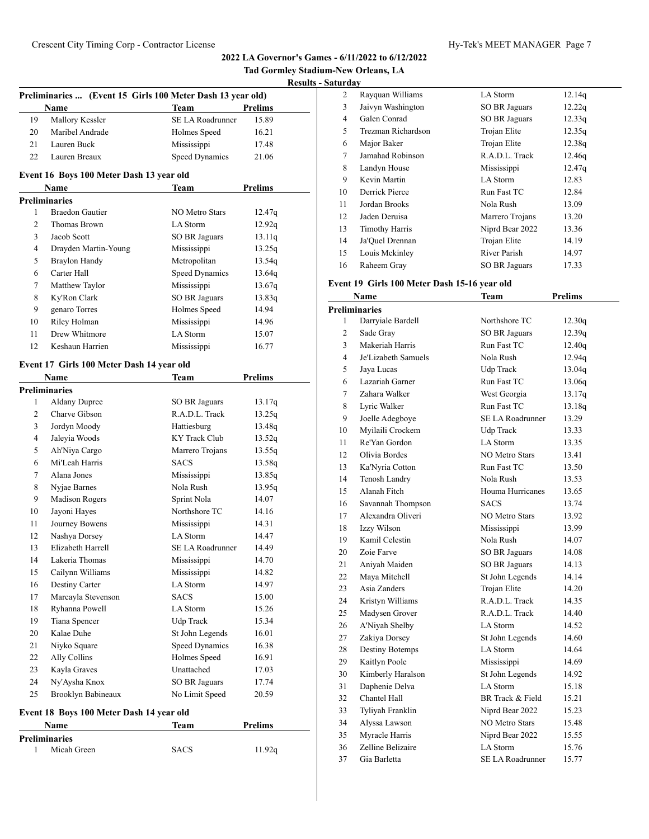|                |                                                            |                       |                | Tad Gormley Stadium-New Orleans, LA |                               |
|----------------|------------------------------------------------------------|-----------------------|----------------|-------------------------------------|-------------------------------|
|                |                                                            |                       |                | <b>Results - Saturday</b>           |                               |
|                | Preliminaries  (Event 15 Girls 100 Meter Dash 13 year old) |                       |                |                                     | Rayquan Will<br>2             |
|                | Name                                                       | <b>Team</b>           | <b>Prelims</b> |                                     | 3<br>Jaivyn Washii            |
| 19             | Mallory Kessler                                            | SE LA Roadrunner      | 15.89          |                                     | 4<br>Galen Conrad             |
| 20             | Maribel Andrade                                            | Holmes Speed          | 16.21          |                                     | 5<br>Trezman Rich             |
| 21             | Lauren Buck                                                | Mississippi           | 17.48          |                                     | Major Baker<br>6              |
| 22             | Lauren Breaux                                              | Speed Dynamics        | 21.06          |                                     | 7<br>Jamahad Rob:             |
|                |                                                            |                       |                |                                     | 8<br>Landyn House             |
|                | Event 16 Boys 100 Meter Dash 13 year old                   |                       |                |                                     | 9<br>Kevin Martin             |
|                | Name                                                       | <b>Team</b>           | <b>Prelims</b> | 10                                  | Derrick Pierce                |
|                | Preliminaries                                              |                       |                | 11                                  | Jordan Brook:                 |
| 1              | <b>Braedon Gautier</b>                                     | <b>NO Metro Stars</b> | 12.47q         | 12                                  | Jaden Deruisa                 |
| 2              | Thomas Brown                                               | LA Storm              | 12.92q         | 13                                  | <b>Timothy Harr</b>           |
| 3              | Jacob Scott                                                | <b>SO BR Jaguars</b>  | 13.11q         | 14                                  | Ja'Quel Drenr                 |
| $\overline{4}$ | Drayden Martin-Young                                       | Mississippi           | 13.25q         | 15                                  | Louis Mckinl                  |
| 5              | <b>Braylon Handy</b>                                       | Metropolitan          | 13.54q         | 16                                  | Raheem Gray                   |
| 6              | Carter Hall                                                | Speed Dynamics        | 13.64q         |                                     |                               |
| 7              | Matthew Taylor                                             | Mississippi           | 13.67q         |                                     | Event 19 Girls 100            |
| 8              | Ky'Ron Clark                                               | SO BR Jaguars         | 13.83q         |                                     | Name                          |
| 9              | genaro Torres                                              | Holmes Speed          | 14.94          |                                     | <b>Preliminaries</b>          |
| 10             | Riley Holman                                               | Mississippi           | 14.96          |                                     | Darryiale Bar<br>$\mathbf{1}$ |
| 11             | Drew Whitmore                                              | LA Storm              | 15.07          |                                     | $\overline{2}$<br>Sade Gray   |
| 12             | Keshaun Harrien                                            | Mississippi           | 16.77          |                                     | 3<br>Makeriah Har             |
|                |                                                            |                       |                |                                     | Je'Lizabeth Sa<br>4           |
|                | Event 17 Girls 100 Meter Dash 14 year old                  |                       |                |                                     | 5<br>Jaya Lucas               |
|                | Name                                                       | Team                  | <b>Prelims</b> |                                     | Lazariah Garr<br>6            |
|                | Preliminaries                                              |                       |                |                                     | 7<br>Zahara Walke             |
| 1              | <b>Aldany Dupree</b>                                       | SO BR Jaguars         | 13.17q         |                                     | 8<br>Lyric Walker             |
| 2              | Charve Gibson                                              | R.A.D.L. Track        | 13.25q         |                                     | 9<br>Joelle Adegbo            |
| 3              | Jordyn Moody                                               | Hattiesburg           | 13.48q         | 10                                  | Myilaili Crocl                |
| $\overline{4}$ | Jaleyia Woods                                              | KY Track Club         | 13.52q         | 11                                  | Re'Yan Gordc                  |
| 5              | Ah'Niya Cargo                                              | Marrero Trojans       | 13.55q         | 12                                  | Olivia Bordes                 |
| 6              | Mi'Leah Harris                                             | <b>SACS</b>           | 13.58q         | 13                                  | Ka'Nyria Cott                 |
| 7              | Alana Jones                                                | Mississippi           | 13.85q         | 14                                  | <b>Tenosh Landr</b>           |
| 8              | Nyjae Barnes                                               | Nola Rush             | 13.95q         | 15                                  | Alanah Fitch                  |
| 9              | Madison Rogers                                             | Sprint Nola           | 14.07          | 16                                  | Savannah Tho                  |
| 10             | Jayoni Hayes                                               | Northshore TC         | 14.16          | 17                                  | Alexandra Ol:                 |
| 11             | Journey Bowens                                             | Mississippi           | 14.31          | 18                                  | Izzy Wilson                   |
| 12             | Nashya Dorsey                                              | LA Storm              | 14.47          | 19                                  | Kamil Celesti                 |
| 13             | Elizabeth Harrell                                          | SE LA Roadrunner      | 14.49          | 20                                  | Zoie Farve                    |
| 14             | Lakeria Thomas                                             | Mississippi           | 14.70          | 21                                  | Aniyah Maide                  |
| 15             | Cailynn Williams                                           | Mississippi           | 14.82          | 22                                  | Maya Mitchel                  |
| 16             | Destiny Carter                                             | LA Storm              | 14.97          | 23                                  | Asia Zanders                  |
| 17             | Marcayla Stevenson                                         | <b>SACS</b>           | 15.00          | 24                                  | Kristyn Willia                |
| 18             | Ryhanna Powell                                             | LA Storm              | 15.26          | 25                                  | Madysen Gro                   |
| 19             | Tiana Spencer                                              | Udp Track             | 15.34          | 26                                  | A'Niyah Shell                 |
| 20             | Kalae Duhe                                                 | St John Legends       | 16.01          | 27                                  | Zakiya Dorse                  |
| 21             | Niyko Square                                               | Speed Dynamics        | 16.38          | 28                                  | Destiny Boter                 |
| 22             | Ally Collins                                               | Holmes Speed          | 16.91          | 29                                  |                               |
| 23             | Kayla Graves                                               | Unattached            | 17.03          | 30                                  | Kaitlyn Poole                 |
| 24             | Ny'Aysha Knox                                              | SO BR Jaguars         | 17.74          |                                     | Kimberly Har                  |
| 25             | Brooklyn Babineaux                                         | No Limit Speed        | 20.59          | 31                                  | Daphenie Del                  |
|                |                                                            |                       |                | 32                                  | Chantel Hall                  |
|                | Event 18 Boys 100 Meter Dash 14 year old                   |                       |                | 33                                  | Tyliyah Frank                 |

# **Event 18 Boys 100 Meter Dash 14 year old**

| Name |                      | Team        | <b>Prelims</b> |  |
|------|----------------------|-------------|----------------|--|
|      | <b>Preliminaries</b> |             |                |  |
|      | Micah Green          | <b>SACS</b> | 11.92q         |  |

| <b>Saturday</b> |                       |                      |        |  |
|-----------------|-----------------------|----------------------|--------|--|
| 2               | Rayquan Williams      | LA Storm             | 12.14q |  |
| 3               | Jaivyn Washington     | SO BR Jaguars        | 12.22q |  |
| 4               | Galen Conrad          | <b>SO BR Jaguars</b> | 12.33q |  |
| 5               | Trezman Richardson    | Trojan Elite         | 12.35q |  |
| 6               | Major Baker           | Trojan Elite         | 12.38q |  |
| 7               | Jamahad Robinson      | R.A.D.L. Track       | 12.46q |  |
| 8               | Landyn House          | Mississippi          | 12.47q |  |
| 9               | Kevin Martin          | LA Storm             | 12.83  |  |
| 10              | Derrick Pierce        | Run Fast TC          | 12.84  |  |
| 11              | Jordan Brooks         | Nola Rush            | 13.09  |  |
| 12              | Jaden Deruisa         | Marrero Trojans      | 13.20  |  |
| 13              | <b>Timothy Harris</b> | Niprd Bear 2022      | 13.36  |  |
| 14              | Ja'Ouel Drennan       | Trojan Elite         | 14.19  |  |
| 15              | Louis Mckinley        | River Parish         | 14.97  |  |
| 16              | Raheem Gray           | <b>SO BR Jaguars</b> | 17.33  |  |

# **Event 19 Girls 100 Meter Dash 15-16 year old**

|                      | Name                   | <b>Team</b>             | <b>Prelims</b> |  |  |
|----------------------|------------------------|-------------------------|----------------|--|--|
| <b>Preliminaries</b> |                        |                         |                |  |  |
| 1                    | Darryiale Bardell      | Northshore TC           | 12.30q         |  |  |
| 2                    | Sade Gray              | <b>SO BR Jaguars</b>    | 12.39q         |  |  |
| 3                    | Makeriah Harris        | Run Fast TC             | 12.40q         |  |  |
| 4                    | Je'Lizabeth Samuels    | Nola Rush               | 12.94q         |  |  |
| 5                    | Jaya Lucas             | Udp Track               | 13.04q         |  |  |
| 6                    | Lazariah Garner        | Run Fast TC             | 13.06q         |  |  |
| $\tau$               | Zahara Walker          | West Georgia            | 13.17q         |  |  |
| 8                    | Lyric Walker           | Run Fast TC             | 13.18q         |  |  |
| 9                    | Joelle Adegboye        | <b>SE LA Roadrunner</b> | 13.29          |  |  |
| 10                   | Myilaili Crockem       | Udp Track               | 13.33          |  |  |
| 11                   | Re'Yan Gordon          | LA Storm                | 13.35          |  |  |
| 12                   | Olivia Bordes          | <b>NO Metro Stars</b>   | 13.41          |  |  |
| 13                   | Ka'Nyria Cotton        | Run Fast TC             | 13.50          |  |  |
| 14                   | Tenosh Landry          | Nola Rush               | 13.53          |  |  |
| 15                   | Alanah Fitch           | Houma Hurricanes        | 13.65          |  |  |
| 16                   | Savannah Thompson      | <b>SACS</b>             | 13.74          |  |  |
| 17                   | Alexandra Oliveri      | <b>NO Metro Stars</b>   | 13.92          |  |  |
| 18                   | Izzy Wilson            | Mississippi             | 13.99          |  |  |
| 19                   | Kamil Celestin         | Nola Rush               | 14.07          |  |  |
| 20                   | Zoie Farve             | <b>SO BR Jaguars</b>    | 14.08          |  |  |
| 21                   | Aniyah Maiden          | SO BR Jaguars           | 14.13          |  |  |
| 22                   | Maya Mitchell          | St John Legends         | 14.14          |  |  |
| 23                   | Asia Zanders           | Trojan Elite            | 14.20          |  |  |
| 24                   | Kristyn Williams       | R.A.D.L. Track          | 14.35          |  |  |
| 25                   | Madysen Grover         | R.A.D.L. Track          | 14.40          |  |  |
| 26                   | A'Niyah Shelby         | LA Storm                | 14.52          |  |  |
| 27                   | Zakiya Dorsey          | St John Legends         | 14.60          |  |  |
| 28                   | <b>Destiny Botemps</b> | LA Storm                | 14.64          |  |  |
| 29                   | Kaitlyn Poole          | Mississippi             | 14.69          |  |  |
| 30                   | Kimberly Haralson      | St John Legends         | 14.92          |  |  |
| 31                   | Daphenie Delva         | LA Storm                | 15.18          |  |  |
| 32                   | Chantel Hall           | BR Track & Field        | 15.21          |  |  |
| 33                   | Tyliyah Franklin       | Niprd Bear 2022         | 15.23          |  |  |
| 34                   | Alyssa Lawson          | <b>NO Metro Stars</b>   | 15.48          |  |  |
| 35                   | Myracle Harris         | Niprd Bear 2022         | 15.55          |  |  |
| 36                   | Zelline Belizaire      | LA Storm                | 15.76          |  |  |
| 37                   | Gia Barletta           | SE LA Roadrunner        | 15.77          |  |  |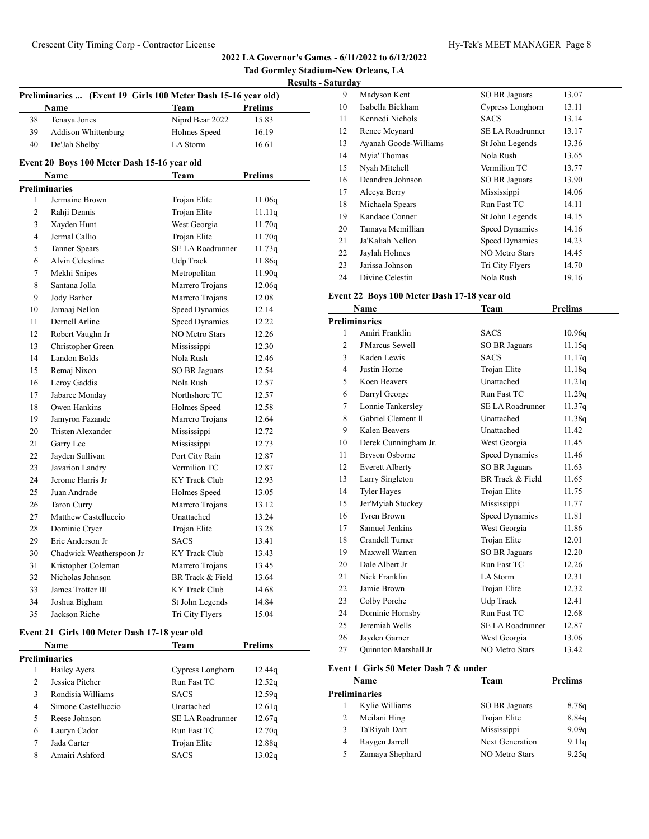**Tad Gormley Stadium-New Orleans, LA**

 $\overline{a}$ 

| Hv-Tek's MEET M |
|-----------------|
|                 |

|                         |                                                               |                         |                | <u>Kesult</u> |
|-------------------------|---------------------------------------------------------------|-------------------------|----------------|---------------|
|                         | Preliminaries  (Event 19 Girls 100 Meter Dash 15-16 year old) |                         |                |               |
|                         | Name                                                          | <b>Team</b>             | <b>Prelims</b> |               |
| 38                      | Tenaya Jones                                                  | Niprd Bear 2022         | 15.83          |               |
| 39                      | Addison Whittenburg                                           | Holmes Speed            | 16.19          |               |
| 40                      | De'Jah Shelby                                                 | LA Storm                | 16.61          |               |
|                         | Event 20 Boys 100 Meter Dash 15-16 year old                   |                         |                |               |
|                         | Name                                                          | Team                    | <b>Prelims</b> |               |
|                         | <b>Preliminaries</b>                                          |                         |                |               |
| 1                       | Jermaine Brown                                                | Trojan Elite            | 11.06q         |               |
| $\overline{c}$          | Rahji Dennis                                                  | Trojan Elite            | 11.11q         |               |
| 3                       | Xayden Hunt                                                   | West Georgia            | 11.70q         |               |
| $\overline{\mathbf{4}}$ | Jermal Callio                                                 | Trojan Elite            | 11.70q         |               |
| 5                       | <b>Tanner Spears</b>                                          | <b>SE LA Roadrunner</b> | 11.73q         |               |
| 6                       | Alvin Celestine                                               | <b>Udp Track</b>        | 11.86q         |               |
| 7                       | Mekhi Snipes                                                  | Metropolitan            | 11.90q         |               |
| 8                       | Santana Jolla                                                 | Marrero Trojans         | 12.06q         |               |
| 9                       | Jody Barber                                                   | Marrero Trojans         | 12.08          |               |
| 10                      | Jamaaj Nellon                                                 | <b>Speed Dynamics</b>   | 12.14          |               |
| 11                      | Dernell Arline                                                | <b>Speed Dynamics</b>   | 12.22          |               |
| 12                      | Robert Vaughn Jr                                              | <b>NO Metro Stars</b>   | 12.26          |               |
| 13                      | Christopher Green                                             | Mississippi             | 12.30          |               |
| 14                      | <b>Landon Bolds</b>                                           | Nola Rush               | 12.46          |               |
| 15                      | Remaj Nixon                                                   | <b>SO BR Jaguars</b>    | 12.54          |               |
| 16                      | Leroy Gaddis                                                  | Nola Rush               | 12.57          |               |
| 17                      | Jabaree Monday                                                | Northshore TC           | 12.57          |               |
| 18                      | Owen Hankins                                                  | Holmes Speed            | 12.58          |               |
| 19                      | Jamyron Fazande                                               | Marrero Trojans         | 12.64          |               |
| 20                      | Tristen Alexander                                             | Mississippi             | 12.72          |               |
| 21                      | Garry Lee                                                     | Mississippi             | 12.73          |               |
| 22                      | Jayden Sullivan                                               | Port City Rain          | 12.87          |               |
| 23                      | Javarion Landry                                               | Vermilion TC            | 12.87          |               |
| 24                      | Jerome Harris Jr.                                             | KY Track Club           | 12.93          |               |
| 25                      | Juan Andrade                                                  | Holmes Speed            | 13.05          |               |
| 26                      | Taron Curry                                                   | Marrero Trojans         | 13.12          |               |
| 27                      | Matthew Castelluccio                                          | Unattached              | 13.24          |               |
| 28                      | Dominic Cryer                                                 | Trojan Elite            | 13.28          |               |
| 29                      | Eric Anderson Jr                                              | <b>SACS</b>             | 13.41          |               |
| 30                      | Chadwick Weatherspoon Jr                                      | KY Track Club           | 13.43          |               |
| 31                      | Kristopher Coleman                                            | Marrero Trojans         | 13.45          |               |
| 32                      | Nicholas Johnson                                              | BR Track & Field        | 13.64          |               |
| 33                      | James Trotter III                                             | <b>KY Track Club</b>    | 14.68          |               |
| 34                      | Joshua Bigham                                                 | St John Legends         | 14.84          |               |
| 35                      | Jackson Riche                                                 | Tri City Flyers         | 15.04          |               |

# **Event 21 Girls 100 Meter Dash 17-18 year old**

|                | Name                | Team             | Prelims |  |
|----------------|---------------------|------------------|---------|--|
|                | Preliminaries       |                  |         |  |
| 1              | Hailey Ayers        | Cypress Longhorn | 12.44g  |  |
| $\mathfrak{D}$ | Jessica Pitcher     | Run Fast TC      | 12.52q  |  |
| 3              | Rondisia Williams   | <b>SACS</b>      | 12.59q  |  |
| 4              | Simone Castelluccio | Unattached       | 12.61q  |  |
| 5              | Reese Johnson       | SE LA Roadrunner | 12.67q  |  |
| 6              | Lauryn Cador        | Run Fast TC      | 12.70q  |  |
| 7              | Jada Carter         | Trojan Elite     | 12.88q  |  |
| 8              | Amairi Ashford      | <b>SACS</b>      | 13.02g  |  |

| 9  | Madyson Kent          | <b>SO BR Jaguars</b>  | 13.07 |
|----|-----------------------|-----------------------|-------|
| 10 | Isabella Bickham      | Cypress Longhorn      | 13.11 |
| 11 | Kennedi Nichols       | <b>SACS</b>           | 13.14 |
| 12 | Renee Meynard         | SE LA Roadrunner      | 13.17 |
| 13 | Ayanah Goode-Williams | St John Legends       | 13.36 |
| 14 | Myia' Thomas          | Nola Rush             | 13.65 |
| 15 | Nyah Mitchell         | Vermilion TC          | 13.77 |
| 16 | Deandrea Johnson      | SO BR Jaguars         | 13.90 |
| 17 | Alecya Berry          | Mississippi           | 14.06 |
| 18 | Michaela Spears       | Run Fast TC           | 14.11 |
| 19 | Kandace Conner        | St John Legends       | 14.15 |
| 20 | Tamaya Mcmillian      | Speed Dynamics        | 14.16 |
| 21 | Ja'Kaliah Nellon      | <b>Speed Dynamics</b> | 14.23 |
| 22 | Jaylah Holmes         | <b>NO Metro Stars</b> | 14.45 |
| 23 | Jarissa Johnson       | Tri City Flyers       | 14.70 |
| 24 | Divine Celestin       | Nola Rush             | 19.16 |

# **Event 22 Boys 100 Meter Dash 17-18 year old**

| <b>Name</b>    |                             | Team                    | <b>Prelims</b> |
|----------------|-----------------------------|-------------------------|----------------|
|                | <b>Preliminaries</b>        |                         |                |
| 1              | Amiri Franklin              | <b>SACS</b>             | 10.96q         |
| $\overline{c}$ | <b>J'Marcus Sewell</b>      | SO BR Jaguars           | 11.15q         |
| 3              | Kaden Lewis                 | <b>SACS</b>             | 11.17q         |
| 4              | Justin Horne                | Trojan Elite            | 11.18q         |
| 5              | Koen Beavers                | Unattached              | 11.21q         |
| 6              | Darryl George               | Run Fast TC             | 11.29q         |
| 7              | Lonnie Tankersley           | <b>SE LA Roadrunner</b> | 11.37q         |
| 8              | Gabriel Clement II          | Unattached              | 11.38q         |
| 9              | Kalen Beavers               | Unattached              | 11.42          |
| 10             | Derek Cunningham Jr.        | West Georgia            | 11.45          |
| 11             | <b>Bryson Osborne</b>       | <b>Speed Dynamics</b>   | 11.46          |
| 12             | <b>Everett Alberty</b>      | <b>SO BR Jaguars</b>    | 11.63          |
| 13             | Larry Singleton             | BR Track & Field        | 11.65          |
| 14             | <b>Tyler Hayes</b>          | Trojan Elite            | 11.75          |
| 15             | Jer'Myiah Stuckey           | Mississippi             | 11.77          |
| 16             | Tyren Brown                 | <b>Speed Dynamics</b>   | 11.81          |
| 17             | Samuel Jenkins              | West Georgia            | 11.86          |
| 18             | Crandell Turner             | Trojan Elite            | 12.01          |
| 19             | Maxwell Warren              | <b>SO BR Jaguars</b>    | 12.20          |
| 20             | Dale Albert Jr              | Run Fast TC             | 12.26          |
| 21             | Nick Franklin               | LA Storm                | 12.31          |
| 22             | Jamie Brown                 | Trojan Elite            | 12.32          |
| 23             | Colby Porche                | Udp Track               | 12.41          |
| 24             | Dominic Hornsby             | Run Fast TC             | 12.68          |
| 25             | Jeremiah Wells              | <b>SE LA Roadrunner</b> | 12.87          |
| 26             | Jayden Garner               | West Georgia            | 13.06          |
| 27             | <b>Ouinnton Marshall Jr</b> | <b>NO Metro Stars</b>   | 13.42          |

#### **Event 1 Girls 50 Meter Dash 7 & under**

|   | Name                 | Team                  | <b>Prelims</b> |  |
|---|----------------------|-----------------------|----------------|--|
|   | <b>Preliminaries</b> |                       |                |  |
|   | Kylie Williams       | SO BR Jaguars         | 8.78q          |  |
| 2 | Meilani Hing         | Trojan Elite          | 8.84q          |  |
| 3 | Ta'Riyah Dart        | Mississippi           | 9.09q          |  |
| 4 | Raygen Jarrell       | Next Generation       | 9.11q          |  |
| 5 | Zamaya Shephard      | <b>NO Metro Stars</b> | 9.25q          |  |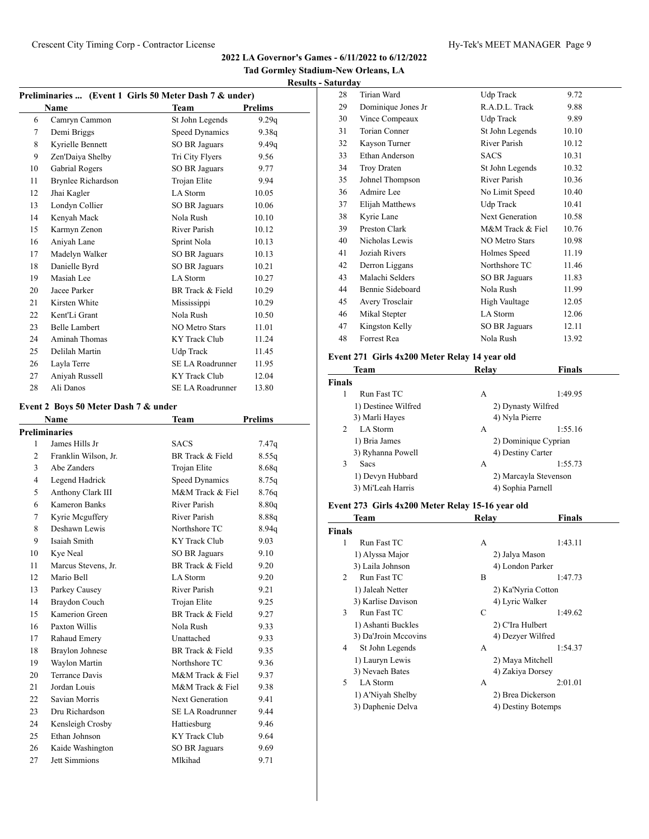**Tad Gormley Stadium-New Orleans, LA**

**Results - Saturday**

| Preliminaries  (Event 1 Girls 50 Meter Dash 7 & under) |                                      |                         |                |  |
|--------------------------------------------------------|--------------------------------------|-------------------------|----------------|--|
|                                                        | <b>Name</b>                          | <b>Team</b>             | <b>Prelims</b> |  |
| 6                                                      | Camryn Cammon                        | St John Legends         | 9.29q          |  |
| 7                                                      | Demi Briggs                          | <b>Speed Dynamics</b>   | 9.38q          |  |
| 8                                                      | Kyrielle Bennett                     | <b>SO BR Jaguars</b>    | 9.49q          |  |
| 9                                                      | Zen'Daiya Shelby                     | Tri City Flyers         | 9.56           |  |
| 10                                                     | <b>Gabrial Rogers</b>                | <b>SO BR Jaguars</b>    | 9.77           |  |
| 11                                                     | <b>Brynlee Richardson</b>            | Trojan Elite            | 9.94           |  |
| 12                                                     | Jhai Kagler                          | <b>LA</b> Storm         | 10.05          |  |
| 13                                                     | Londyn Collier                       | <b>SO BR Jaguars</b>    | 10.06          |  |
| 14                                                     | Kenyah Mack                          | Nola Rush               | 10.10          |  |
| 15                                                     | Karmyn Zenon                         | River Parish            | 10.12          |  |
| 16                                                     | Aniyah Lane                          | Sprint Nola             | 10.13          |  |
| 17                                                     | Madelyn Walker                       | <b>SO BR Jaguars</b>    | 10.13          |  |
| 18                                                     | Danielle Byrd                        | <b>SO BR Jaguars</b>    | 10.21          |  |
| 19                                                     | Masiah Lee                           | LA Storm                | 10.27          |  |
| 20                                                     | Jacee Parker                         | BR Track & Field        | 10.29          |  |
| 21                                                     | Kirsten White                        | Mississippi             | 10.29          |  |
| 22                                                     | Kent'Li Grant                        | Nola Rush               | 10.50          |  |
| 23                                                     | <b>Belle Lambert</b>                 | <b>NO Metro Stars</b>   | 11.01          |  |
| 24                                                     | Aminah Thomas                        | <b>KY</b> Track Club    | 11.24          |  |
| 25                                                     | Delilah Martin                       | Udp Track               | 11.45          |  |
| 26                                                     | Layla Terre                          | <b>SE LA Roadrunner</b> | 11.95          |  |
| 27                                                     | Aniyah Russell                       | <b>KY</b> Track Club    | 12.04          |  |
| 28                                                     | Ali Danos                            | <b>SE LA Roadrunner</b> | 13.80          |  |
|                                                        | Event 2 Boys 50 Meter Dash 7 & under |                         |                |  |
|                                                        | Name                                 | <b>Team</b>             | <b>Prelims</b> |  |
|                                                        | <b>Preliminaries</b>                 |                         |                |  |
| 1                                                      | James Hills Jr                       | <b>SACS</b>             | 7.47q          |  |
| 2                                                      | Franklin Wilson, Jr.                 | BR Track & Field        | 8.55q          |  |
| 3                                                      | Abe Zanders                          | Trojan Elite            | 8.68q          |  |
| 4                                                      | Legend Hadrick                       | <b>Speed Dynamics</b>   | 8.75q          |  |
| 5                                                      | Anthony Clark III                    | M&M Track & Fiel        | 8.76q          |  |
| 6                                                      | <b>Kameron Banks</b>                 | River Parish            | 8.80q          |  |
| 7                                                      | Kyrie Mcguffery                      | River Parish            | 8.88q          |  |
| 8                                                      | Deshawn Lewis                        | Northshore TC           | 8.94q          |  |

9 Isaiah Smith KY Track Club 9.03 10 Kye Neal SO BR Jaguars 9.10 11 Marcus Stevens, Jr. BR Track & Field 9.20 12 Mario Bell LA Storm 9.20 13 Parkey Causey River Parish 9.21 14 Braydon Couch Trojan Elite 9.25 15 Kamerion Green BR Track & Field 9.27 16 Paxton Willis Nola Rush 9.33 17 Rahaud Emery Unattached 9.33 18 Braylon Johnese BR Track & Field 9.35 19 Waylon Martin Northshore TC 9.36 20 Terrance Davis M&M Track & Fiel 9.37 21 Jordan Louis M&M Track & Fiel 9.38 22 Savian Morris Next Generation 9.41 23 Dru Richardson SE LA Roadrunner 9.44 24 Kensleigh Crosby Hattiesburg 9.46 25 Ethan Johnson KY Track Club 9.64 26 Kaide Washington SO BR Jaguars 9.69 27 Jett Simmions Mlkihad 9.71

| 28 | Tirian Ward        | Udp Track             | 9.72  |
|----|--------------------|-----------------------|-------|
| 29 | Dominique Jones Jr | R.A.D.L. Track        | 9.88  |
| 30 | Vince Compeaux     | Udp Track             | 9.89  |
| 31 | Torian Conner      | St John Legends       | 10.10 |
| 32 | Kayson Turner      | River Parish          | 10.12 |
| 33 | Ethan Anderson     | <b>SACS</b>           | 10.31 |
| 34 | <b>Troy Draten</b> | St John Legends       | 10.32 |
| 35 | Johnel Thompson    | River Parish          | 10.36 |
| 36 | Admire Lee         | No Limit Speed        | 10.40 |
| 37 | Elijah Matthews    | Udp Track             | 10.41 |
| 38 | Kyrie Lane         | Next Generation       | 10.58 |
| 39 | Preston Clark      | M&M Track & Fiel      | 10.76 |
| 40 | Nicholas Lewis     | <b>NO Metro Stars</b> | 10.98 |
| 41 | Joziah Rivers      | Holmes Speed          | 11.19 |
| 42 | Derron Liggans     | Northshore TC         | 11.46 |
| 43 | Malachi Selders    | SO BR Jaguars         | 11.83 |
| 44 | Bennie Sideboard   | Nola Rush             | 11.99 |
| 45 | Avery Trosclair    | <b>High Vaultage</b>  | 12.05 |
| 46 | Mikal Stepter      | LA Storm              | 12.06 |
| 47 | Kingston Kelly     | SO BR Jaguars         | 12.11 |
| 48 | Forrest Rea        | Nola Rush             | 13.92 |
|    |                    |                       |       |

#### **Event 271 Girls 4x200 Meter Relay 14 year old**

| Team                      | Relav              | Finals                |  |
|---------------------------|--------------------|-----------------------|--|
| Finals                    |                    |                       |  |
| Run Fast TC               | А                  | 1:49.95               |  |
| 1) Destinee Wilfred       | 2) Dynasty Wilfred |                       |  |
| 3) Marli Hayes            | 4) Nyla Pierre     |                       |  |
| LA Storm<br>$\mathcal{L}$ | А                  | 1:55.16               |  |
| 1) Bria James             |                    | 2) Dominique Cyprian  |  |
| 3) Ryhanna Powell         | 4) Destiny Carter  |                       |  |
| 3<br><b>Sacs</b>          | А                  | 1:55.73               |  |
| 1) Devyn Hubbard          |                    | 2) Marcayla Stevenson |  |
| 3) Mi'Leah Harris         | 4) Sophia Parnell  |                       |  |
|                           |                    |                       |  |

#### **Event 273 Girls 4x200 Meter Relay 15-16 year old**

|                | <b>Team</b>          | Relay | <b>Finals</b>      |
|----------------|----------------------|-------|--------------------|
| Finals         |                      |       |                    |
| 1              | Run Fast TC          | А     | 1:43.11            |
|                | 1) Alyssa Major      |       | 2) Jalya Mason     |
|                | 3) Laila Johnson     |       | 4) London Parker   |
| $\mathfrak{D}$ | Run Fast TC          | B     | 1:47.73            |
|                | 1) Jaleah Netter     |       | 2) Ka'Nyria Cotton |
|                | 3) Karlise Davison   |       | 4) Lyric Walker    |
| 3              | Run Fast TC          | C     | 1:49.62            |
|                | 1) Ashanti Buckles   |       | 2) C'Ira Hulbert   |
|                | 3) Da'Jroin Mccovins |       | 4) Dezyer Wilfred  |
| 4              | St John Legends      | А     | 1:54.37            |
|                | 1) Lauryn Lewis      |       | 2) Maya Mitchell   |
|                | 3) Nevaeh Bates      |       | 4) Zakiya Dorsey   |
| 5              | <b>LA</b> Storm      | А     | 2:01.01            |
|                | 1) A'Niyah Shelby    |       | 2) Brea Dickerson  |
|                | 3) Daphenie Delva    |       | 4) Destiny Botemps |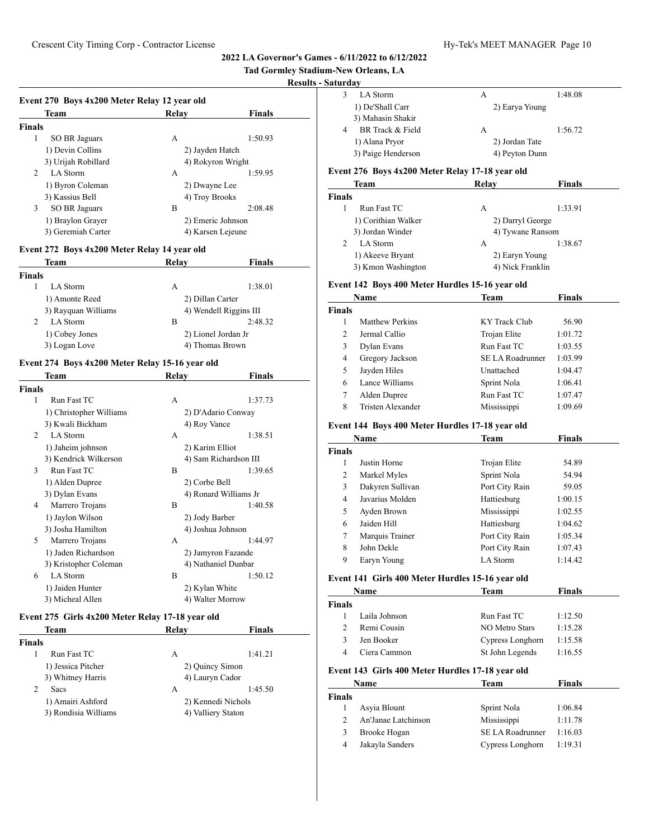# **Tad Gormley Stadium-New Orleans, LA**

#### **Results - Saturday**

|                | Event 270 Boys 4x200 Meter Relay 12 year old |                   |               |  |  |
|----------------|----------------------------------------------|-------------------|---------------|--|--|
|                | Team                                         | Relav             | <b>Finals</b> |  |  |
| <b>Finals</b>  |                                              |                   |               |  |  |
| 1              | SO BR Jaguars                                | А                 | 1:50.93       |  |  |
|                | 1) Devin Collins                             | 2) Jayden Hatch   |               |  |  |
|                | 3) Urijah Robillard                          | 4) Rokyron Wright |               |  |  |
| $\mathfrak{D}$ | LA Storm                                     | А                 | 1:59.95       |  |  |
|                | 1) Byron Coleman                             | 2) Dwayne Lee     |               |  |  |
|                | 3) Kassius Bell                              | 4) Troy Brooks    |               |  |  |
| 3              | SO BR Jaguars                                | В                 | 2:08.48       |  |  |
|                | 1) Braylon Grayer                            | 2) Emeric Johnson |               |  |  |
|                | 3) Geremiah Carter                           | 4) Karsen Leieune |               |  |  |

# **Event 272 Boys 4x200 Meter Relay 14 year old**

| Team                      | Relay               | <b>Finals</b>          |
|---------------------------|---------------------|------------------------|
| Finals                    |                     |                        |
| LA Storm                  | А                   | 1:38.01                |
| 1) Amonte Reed            | 2) Dillan Carter    |                        |
| 3) Rayquan Williams       |                     | 4) Wendell Riggins III |
| $\mathcal{D}$<br>LA Storm | В                   | 2:48.32                |
| 1) Cobey Jones            | 2) Lionel Jordan Jr |                        |
| 3) Logan Love             | 4) Thomas Brown     |                        |

#### **Event 274 Boys 4x200 Meter Relay 15-16 year old**

|                             | Team                    | Relav             | <b>Finals</b>         |
|-----------------------------|-------------------------|-------------------|-----------------------|
| Finals                      |                         |                   |                       |
| 1                           | Run Fast TC             | A                 | 1:37.73               |
|                             | 1) Christopher Williams |                   | 2) D'Adario Conway    |
|                             | 3) Kwali Bickham        | 4) Roy Vance      |                       |
| $\mathcal{D}_{\mathcal{L}}$ | LA Storm                | A                 | 1:38.51               |
|                             | 1) Jaheim johnson       | 2) Karim Elliot   |                       |
|                             | 3) Kendrick Wilkerson   |                   | 4) Sam Richardson III |
| 3                           | Run Fast TC             | B                 | 1:39.65               |
|                             | 1) Alden Dupree         | 2) Corbe Bell     |                       |
|                             | 3) Dylan Evans          |                   | 4) Ronard Williams Jr |
| 4                           | Marrero Trojans         | B                 | 1:40.58               |
|                             | 1) Jaylon Wilson        | 2) Jody Barber    |                       |
|                             | 3) Josha Hamilton       | 4) Joshua Johnson |                       |
| 5                           | Marrero Trojans         | A                 | 1:44.97               |
|                             | 1) Jaden Richardson     |                   | 2) Jamyron Fazande    |
|                             | 3) Kristopher Coleman   |                   | 4) Nathaniel Dunbar   |
| 6                           | <b>LA</b> Storm         | B                 | 1:50.12               |
|                             | 1) Jaiden Hunter        | 2) Kylan White    |                       |
|                             | 3) Micheal Allen        | 4) Walter Morrow  |                       |

# **Event 275 Girls 4x200 Meter Relay 17-18 year old**

|               | Team                 | Relav              | <b>Finals</b> |
|---------------|----------------------|--------------------|---------------|
| <b>Finals</b> |                      |                    |               |
|               | Run Fast TC          | А                  | 1:41.21       |
|               | 1) Jessica Pitcher   | 2) Quincy Simon    |               |
|               | 3) Whitney Harris    | 4) Lauryn Cador    |               |
| 2             | <b>Sacs</b>          | А                  | 1:45.50       |
|               | 1) Amairi Ashford    | 2) Kennedi Nichols |               |
|               | 3) Rondisia Williams | 4) Valliery Staton |               |

| LA Storm           | А |                | 1:48.08 |
|--------------------|---|----------------|---------|
| 1) De'Shall Carr   |   | 2) Earya Young |         |
| 3) Mahasin Shakir  |   |                |         |
| BR Track & Field   | А |                | 1:56.72 |
| 1) Alana Pryor     |   | 2) Jordan Tate |         |
| 3) Paige Henderson |   | 4) Peyton Dunn |         |

#### **Event 276 Boys 4x200 Meter Relay 17-18 year old**

| <b>Team</b>         | Relay            | <b>Finals</b>    |
|---------------------|------------------|------------------|
| <b>Finals</b>       |                  |                  |
| Run Fast TC         | А                | 1:33.91          |
| 1) Corithian Walker | 2) Darryl George |                  |
| 3) Jordan Winder    |                  | 4) Tywane Ransom |
| LA Storm            | А                | 1:38.67          |
| 1) Akeeve Bryant    | 2) Earyn Young   |                  |
| 3) Kmon Washington  | 4) Nick Franklin |                  |

#### **Event 142 Boys 400 Meter Hurdles 15-16 year old**

|               | Name              | Team                    | <b>Finals</b> |  |
|---------------|-------------------|-------------------------|---------------|--|
| <b>Finals</b> |                   |                         |               |  |
|               | Matthew Perkins   | KY Track Club           | 56.90         |  |
| $\mathcal{L}$ | Jermal Callio     | Trojan Elite            | 1:01.72       |  |
| 3             | Dylan Evans       | Run Fast TC             | 1:03.55       |  |
| 4             | Gregory Jackson   | <b>SE LA Roadrunner</b> | 1:03.99       |  |
| 5             | Jayden Hiles      | Unattached              | 1:04.47       |  |
| 6             | Lance Williams    | Sprint Nola             | 1:06.41       |  |
| 7             | Alden Dupree      | Run Fast TC             | 1:07.47       |  |
| 8             | Tristen Alexander | Mississippi             | 1:09.69       |  |

# **Event 144 Boys 400 Meter Hurdles 17-18 year old**

|               | Name             | Team           | <b>Finals</b> |  |
|---------------|------------------|----------------|---------------|--|
| <b>Finals</b> |                  |                |               |  |
| 1             | Justin Horne     | Trojan Elite   | 54.89         |  |
| 2             | Markel Myles     | Sprint Nola    | 54.94         |  |
| 3             | Dakyren Sullivan | Port City Rain | 59.05         |  |
| 4             | Javarius Molden  | Hattiesburg    | 1:00.15       |  |
| 5             | Ayden Brown      | Mississippi    | 1:02.55       |  |
| 6             | Jaiden Hill      | Hattiesburg    | 1:04.62       |  |
| 7             | Marquis Trainer  | Port City Rain | 1:05.34       |  |
| 8             | John Dekle       | Port City Rain | 1:07.43       |  |
| 9             | Earyn Young      | LA Storm       | 1:14.42       |  |

#### **Event 141 Girls 400 Meter Hurdles 15-16 year old**

| Name          |               | Team             | <b>Finals</b> |  |
|---------------|---------------|------------------|---------------|--|
| <b>Finals</b> |               |                  |               |  |
|               | Laila Johnson | Run Fast TC      | 1:12.50       |  |
| $\mathcal{D}$ | Remi Cousin   | NO Metro Stars   | 1:15.28       |  |
| 3             | Jen Booker    | Cypress Longhorn | 1:15.58       |  |
|               | Ciera Cammon  | St John Legends  | 1:16.55       |  |

#### **Event 143 Girls 400 Meter Hurdles 17-18 year old**

|        | <b>Name</b>         | Team             | <b>Finals</b> |  |
|--------|---------------------|------------------|---------------|--|
| Finals |                     |                  |               |  |
|        | Asyia Blount        | Sprint Nola      | 1:06.84       |  |
|        | An'Janae Latchinson | Mississippi      | 1:11.78       |  |
| 3      | Brooke Hogan        | SE LA Roadrunner | 1:16.03       |  |
| 4      | Jakayla Sanders     | Cypress Longhorn | 1:19.31       |  |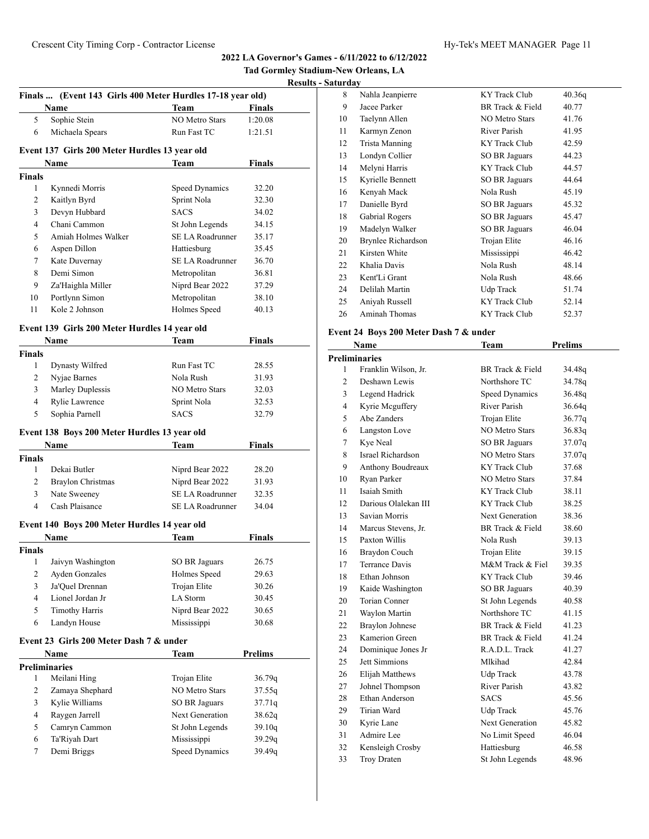|                    |                                                            |                       |                | Tad Gormley Stadium-New Orleans, LA<br><b>Results - Saturday</b> |                                  |
|--------------------|------------------------------------------------------------|-----------------------|----------------|------------------------------------------------------------------|----------------------------------|
|                    | Finals  (Event 143 Girls 400 Meter Hurdles 17-18 year old) |                       |                | 8                                                                | Nahla Jeanpie                    |
|                    | <b>Name</b>                                                | <b>Team</b>           | <b>Finals</b>  | 9                                                                | Jacee Parker                     |
| 5                  | Sophie Stein                                               | NO Metro Stars        | 1:20.08        | 10                                                               | Taelynn Allen                    |
| 6                  | Michaela Spears                                            | Run Fast TC           | 1:21.51        | 11                                                               | Karmyn Zeno                      |
|                    |                                                            |                       |                | 12                                                               | Trista Mannin                    |
|                    | Event 137 Girls 200 Meter Hurdles 13 year old              |                       |                | 13                                                               | Londyn Collie                    |
|                    | Name                                                       | Team                  | <b>Finals</b>  | 14                                                               | Melyni Harris                    |
| <b>Finals</b>      |                                                            |                       |                | 15                                                               | Kyrielle Benn                    |
| $\mathbf{1}$       | Kynnedi Morris                                             | Speed Dynamics        | 32.20          | 16                                                               | Kenyah Mack                      |
| 2                  | Kaitlyn Byrd                                               | Sprint Nola           | 32.30          | 17                                                               | Danielle Byrd                    |
| 3                  | Devyn Hubbard                                              | <b>SACS</b>           | 34.02          | 18                                                               | Gabrial Roger                    |
| $\overline{4}$     | Chani Cammon                                               | St John Legends       | 34.15          | 19                                                               | Madelyn Wall                     |
| 5                  | Amiah Holmes Walker                                        | SE LA Roadrunner      | 35.17          | 20                                                               | <b>Brynlee Richa</b>             |
| 6                  | Aspen Dillon                                               | Hattiesburg           | 35.45          | 21                                                               | Kirsten White                    |
| 7                  | Kate Duvernay                                              | SE LA Roadrunner      | 36.70          | 22                                                               | Khalia Davis                     |
| 8                  | Demi Simon                                                 | Metropolitan          | 36.81          | 23                                                               | Kent'Li Grant                    |
| 9                  | Za'Haighla Miller                                          | Niprd Bear 2022       | 37.29          | 24                                                               | Delilah Marti                    |
| 10                 | Portlynn Simon                                             | Metropolitan          | 38.10          | 25                                                               | Aniyah Russe                     |
| 11                 | Kole 2 Johnson                                             | Holmes Speed          | 40.13          | 26                                                               | Aminah Thon                      |
|                    | Event 139 Girls 200 Meter Hurdles 14 year old              |                       |                |                                                                  |                                  |
|                    | <b>Name</b>                                                | Team                  | Finals         |                                                                  | <b>Event 24 Boys 200</b><br>Name |
| <b>Finals</b>      |                                                            |                       |                |                                                                  | <b>Preliminaries</b>             |
| $\mathbf{1}$       | Dynasty Wilfred                                            | Run Fast TC           | 28.55          | 1                                                                | Franklin Wils                    |
| $\overline{c}$     | Nyjae Barnes                                               | Nola Rush             | 31.93          | $\overline{c}$                                                   | Deshawn Lew                      |
| 3                  | Marley Duplessis                                           | <b>NO Metro Stars</b> | 32.03          | 3                                                                | Legend Hadri                     |
| $\overline{4}$     | Rylie Lawrence                                             | Sprint Nola           | 32.53          | $\overline{4}$                                                   | Kyrie Mcguff                     |
| 5                  | Sophia Parnell                                             | <b>SACS</b>           | 32.79          | 5                                                                | Abe Zanders                      |
|                    | Event 138 Boys 200 Meter Hurdles 13 year old               |                       |                | 6                                                                | Langston Lov                     |
|                    | Name                                                       | Team                  | <b>Finals</b>  | $\tau$                                                           | Kye Neal                         |
|                    |                                                            |                       |                | 8                                                                | Israel Richard                   |
| <b>Finals</b><br>1 | Dekai Butler                                               | Niprd Bear 2022       | 28.20          | 9                                                                | Anthony Bou                      |
| $\overline{2}$     | <b>Braylon Christmas</b>                                   | Niprd Bear 2022       | 31.93          | 10                                                               | Ryan Parker                      |
| $\overline{3}$     | Nate Sweeney                                               | SE LA Roadrunner      |                | 11                                                               | Isaiah Smith                     |
| $\overline{4}$     | Cash Plaisance                                             | SE LA Roadrunner      | 32.35          | 12                                                               | Darious Olale                    |
|                    |                                                            |                       | 34.04          | 13                                                               | Savian Morris                    |
|                    | Event 140 Boys 200 Meter Hurdles 14 year old               |                       |                | 14                                                               | Marcus Steve                     |
|                    | <u>Name</u>                                                | Team                  | Finals         | 15                                                               | Paxton Willis                    |
| <b>Finals</b>      |                                                            |                       |                | 16                                                               | Braydon Cou                      |
| 1                  | Jaivyn Washington                                          | SO BR Jaguars         | 26.75          | 17                                                               | Terrance Davi                    |
| $\overline{c}$     | Ayden Gonzales                                             | Holmes Speed          | 29.63          | 18                                                               | Ethan Johnsor                    |
| 3                  | Ja'Quel Drennan                                            | Trojan Elite          | 30.26          | 19                                                               | Kaide Washin                     |
| $\overline{4}$     | Lionel Jordan Jr                                           | LA Storm              | 30.45          | 20                                                               | Torian Conne                     |
| 5                  | <b>Timothy Harris</b>                                      | Niprd Bear 2022       | 30.65          | 21                                                               | Waylon Marti                     |
| 6                  | Landyn House                                               | Mississippi           | 30.68          | 22                                                               | <b>Braylon John</b>              |
|                    | Event 23 Girls 200 Meter Dash 7 & under                    |                       |                | 23                                                               | Kamerion Gre                     |
|                    | <b>Name</b>                                                | Team                  | <b>Prelims</b> | 24                                                               | Dominique Jo                     |
|                    | <b>Preliminaries</b>                                       |                       |                | 25                                                               | Jett Simmions                    |
| 1                  | Meilani Hing                                               | Trojan Elite          |                | 26                                                               | Elijah Matthe                    |
| $\overline{c}$     | Zamaya Shephard                                            | NO Metro Stars        | 36.79q         | 27                                                               | Johnel Thomp                     |
| 3                  |                                                            |                       | 37.55q         | 28                                                               | Ethan Anders                     |
|                    | Kylie Williams                                             | SO BR Jaguars         | 37.71q         | 29                                                               | Tirian Ward                      |
| 4                  | Raygen Jarrell                                             | Next Generation       | 38.62q         | 30                                                               | Kyrie Lane                       |
| 5                  | Camryn Cammon                                              | St John Legends       | 39.10q         | 31                                                               | Admire Lee                       |
| 6                  | Ta'Riyah Dart                                              | Mississippi           | 39.29q         | 32                                                               | Kensleigh Cro                    |
| 7                  | Demi Briggs                                                | Speed Dynamics        | 39.49q         | 33                                                               | Troy Draten                      |
|                    |                                                            |                       |                |                                                                  |                                  |

| aturdav |                    |                  |        |  |
|---------|--------------------|------------------|--------|--|
| 8       | Nahla Jeanpierre   | KY Track Club    | 40.36q |  |
| 9       | Jacee Parker       | BR Track & Field | 40.77  |  |
| 10      | Taelynn Allen      | NO Metro Stars   | 41.76  |  |
| 11      | Karmyn Zenon       | River Parish     | 41.95  |  |
| 12      | Trista Manning     | KY Track Club    | 42.59  |  |
| 13      | Londyn Collier     | SO BR Jaguars    | 44.23  |  |
| 14      | Melyni Harris      | KY Track Club    | 44.57  |  |
| 15      | Kyrielle Bennett   | SO BR Jaguars    | 44.64  |  |
| 16      | Kenyah Mack        | Nola Rush        | 45.19  |  |
| 17      | Danielle Byrd      | SO BR Jaguars    | 45.32  |  |
| 18      | Gabrial Rogers     | SO BR Jaguars    | 45.47  |  |
| 19      | Madelyn Walker     | SO BR Jaguars    | 46.04  |  |
| 20      | Brynlee Richardson | Trojan Elite     | 46.16  |  |
| 21      | Kirsten White      | Mississippi      | 46.42  |  |
| 22      | Khalia Davis       | Nola Rush        | 48.14  |  |
| 23      | Kent'Li Grant      | Nola Rush        | 48.66  |  |
| 24      | Delilah Martin     | Udp Track        | 51.74  |  |
| 25      | Aniyah Russell     | KY Track Club    | 52.14  |  |
| 26      | Aminah Thomas      | KY Track Club    | 52.37  |  |
|         |                    |                  |        |  |

# **Event 24 Boys 200 Meter Dash 7 & under**

|                | <b>Name</b>            | Team                  | <b>Prelims</b> |
|----------------|------------------------|-----------------------|----------------|
|                | Preliminaries          |                       |                |
| 1              | Franklin Wilson, Jr.   | BR Track & Field      | 34.48q         |
| $\overline{c}$ | Deshawn Lewis          | Northshore TC         | 34.78q         |
| 3              | Legend Hadrick         | <b>Speed Dynamics</b> | 36.48q         |
| 4              | Kyrie Mcguffery        | River Parish          | 36.64q         |
| 5              | Abe Zanders            | Trojan Elite          | 36.77q         |
| 6              | Langston Love          | <b>NO Metro Stars</b> | 36.83q         |
| 7              | Kye Neal               | SO BR Jaguars         | 37.07q         |
| 8              | Israel Richardson      | NO Metro Stars        | 37.07q         |
| 9              | Anthony Boudreaux      | KY Track Club         | 37.68          |
| 10             | Ryan Parker            | <b>NO Metro Stars</b> | 37.84          |
| 11             | Isaiah Smith           | KY Track Club         | 38.11          |
| 12             | Darious Olalekan III   | KY Track Club         | 38.25          |
| 13             | Savian Morris          | Next Generation       | 38.36          |
| 14             | Marcus Stevens, Jr.    | BR Track & Field      | 38.60          |
| 15             | Paxton Willis          | Nola Rush             | 39.13          |
| 16             | Braydon Couch          | Trojan Elite          | 39.15          |
| 17             | <b>Terrance Davis</b>  | M&M Track & Fiel      | 39.35          |
| 18             | Ethan Johnson          | KY Track Club         | 39.46          |
| 19             | Kaide Washington       | <b>SO BR Jaguars</b>  | 40.39          |
| 20             | Torian Conner          | St John Legends       | 40.58          |
| 21             | Waylon Martin          | Northshore TC         | 41.15          |
| 22             | <b>Braylon Johnese</b> | BR Track & Field      | 41.23          |
| 23             | Kamerion Green         | BR Track & Field      | 41.24          |
| 24             | Dominique Jones Jr     | R.A.D.L. Track        | 41.27          |
| 25             | Jett Simmions          | Mlkihad               | 42.84          |
| 26             | Elijah Matthews        | Udp Track             | 43.78          |
| 27             | Johnel Thompson        | River Parish          | 43.82          |
| 28             | Ethan Anderson         | <b>SACS</b>           | 45.56          |
| 29             | Tirian Ward            | Udp Track             | 45.76          |
| 30             | Kyrie Lane             | Next Generation       | 45.82          |
| 31             | Admire Lee             | No Limit Speed        | 46.04          |
| 32             | Kensleigh Crosby       | Hattiesburg           | 46.58          |
| 33             | <b>Troy Draten</b>     | St John Legends       | 48.96          |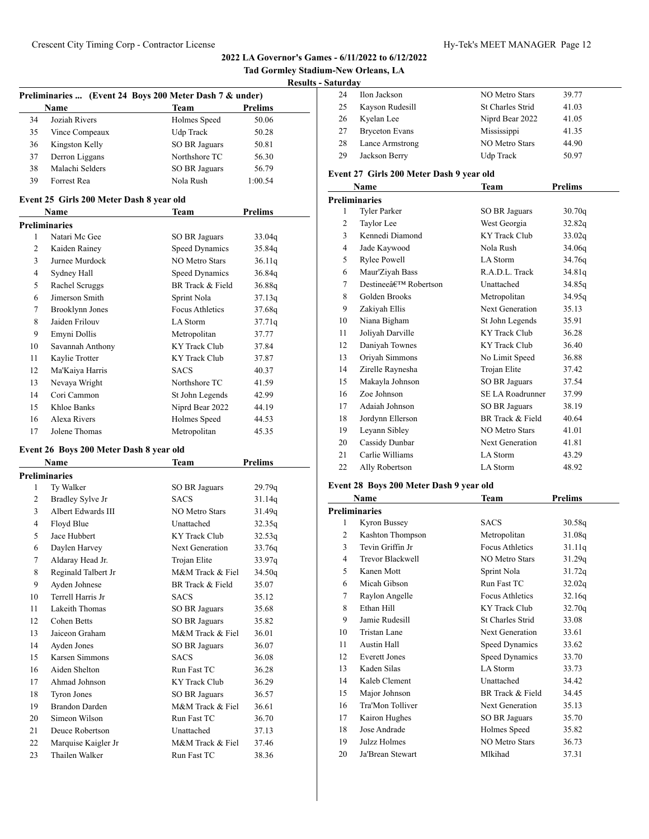| <b>Tad Gormley Stadium-New Orleans, LA</b> |  |
|--------------------------------------------|--|
| <b>Results - Saturday</b>                  |  |

|      | Preliminaries  (Event 24 Boys 200 Meter Dash 7 & under) |                            |
|------|---------------------------------------------------------|----------------------------|
| Name | Toom                                                    | <b>D</b> <sub>nolima</sub> |

|    | <b>Name</b>     | Team          | Prelims |  |
|----|-----------------|---------------|---------|--|
| 34 | Joziah Rivers   | Holmes Speed  | 50.06   |  |
| 35 | Vince Compeaux  | Udp Track     | 50.28   |  |
| 36 | Kingston Kelly  | SO BR Jaguars | 50.81   |  |
| 37 | Derron Liggans  | Northshore TC | 56.30   |  |
| 38 | Malachi Selders | SO BR Jaguars | 56.79   |  |
| 39 | Forrest Rea     | Nola Rush     | 1:00.54 |  |

# **Event 25 Girls 200 Meter Dash 8 year old**

|    | Name             | Team                   | Prelims |  |  |  |
|----|------------------|------------------------|---------|--|--|--|
|    | Preliminaries    |                        |         |  |  |  |
| 1  | Natari Mc Gee    | SO BR Jaguars          | 33.04g  |  |  |  |
| 2  | Kaiden Rainey    | <b>Speed Dynamics</b>  | 35.84q  |  |  |  |
| 3  | Jurnee Murdock   | <b>NO Metro Stars</b>  | 36.11q  |  |  |  |
| 4  | Sydney Hall      | Speed Dynamics         | 36.84g  |  |  |  |
| 5  | Rachel Scruggs   | BR Track & Field       | 36.88q  |  |  |  |
| 6  | Jimerson Smith   | Sprint Nola            | 37.13q  |  |  |  |
| 7  | Brooklynn Jones  | <b>Focus Athletics</b> | 37.68g  |  |  |  |
| 8  | Jaiden Frilouv   | LA Storm               | 37.71q  |  |  |  |
| 9  | Emyni Dollis     | Metropolitan           | 37.77   |  |  |  |
| 10 | Savannah Anthony | KY Track Club          | 37.84   |  |  |  |
| 11 | Kaylie Trotter   | <b>KY Track Club</b>   | 37.87   |  |  |  |
| 12 | Ma'Kaiya Harris  | <b>SACS</b>            | 40.37   |  |  |  |
| 13 | Nevaya Wright    | Northshore TC          | 41.59   |  |  |  |
| 14 | Cori Cammon      | St John Legends        | 42.99   |  |  |  |
| 15 | Khloe Banks      | Niprd Bear 2022        | 44.19   |  |  |  |
| 16 | Alexa Rivers     | Holmes Speed           | 44.53   |  |  |  |
| 17 | Jolene Thomas    | Metropolitan           | 45.35   |  |  |  |

#### **Event 26 Boys 200 Meter Dash 8 year old**

|                | Name                  | Team                  | <b>Prelims</b> |
|----------------|-----------------------|-----------------------|----------------|
|                | <b>Preliminaries</b>  |                       |                |
| 1              | Ty Walker             | SO BR Jaguars         | 29.79q         |
| $\overline{2}$ | Bradley Sylve Jr      | <b>SACS</b>           | 31.14q         |
| 3              | Albert Edwards III    | <b>NO Metro Stars</b> | 31.49q         |
| 4              | Floyd Blue            | Unattached            | 32.35q         |
| 5              | Jace Hubbert          | <b>KY</b> Track Club  | 32.53q         |
| 6              | Daylen Harvey         | Next Generation       | 33.76g         |
| 7              | Aldaray Head Jr.      | Trojan Elite          | 33.97q         |
| 8              | Reginald Talbert Jr   | M&M Track & Fiel      | 34.50q         |
| 9              | Ayden Johnese         | BR Track & Field      | 35.07          |
| 10             | Terrell Harris Jr     | <b>SACS</b>           | 35.12          |
| 11             | Lakeith Thomas        | SO BR Jaguars         | 35.68          |
| 12             | Cohen Betts           | <b>SO BR Jaguars</b>  | 35.82          |
| 13             | Jaiceon Graham        | M&M Track & Fiel      | 36.01          |
| 14             | Ayden Jones           | SO BR Jaguars         | 36.07          |
| 15             | Karsen Simmons        | <b>SACS</b>           | 36.08          |
| 16             | Aiden Shelton         | Run Fast TC           | 36.28          |
| 17             | Ahmad Johnson         | <b>KY</b> Track Club  | 36.29          |
| 18             | Tyron Jones           | SO BR Jaguars         | 36.57          |
| 19             | <b>Brandon Darden</b> | M&M Track & Fiel      | 36.61          |
| 20             | Simeon Wilson         | Run Fast TC           | 36.70          |
| 21             | Deuce Robertson       | Unattached            | 37.13          |
| 22             | Marquise Kaigler Jr   | M&M Track & Fiel      | 37.46          |
| 23             | Thailen Walker        | Run Fast TC           | 38.36          |

| 24 | Ilon Jackson          | <b>NO Metro Stars</b>   | 39.77 |
|----|-----------------------|-------------------------|-------|
| 25 | Kayson Rudesill       | <b>St Charles Strid</b> | 41.03 |
| 26 | Kyelan Lee            | Niprd Bear 2022         | 41.05 |
| 27 | <b>Bryceton Evans</b> | Mississippi             | 41.35 |
| 28 | Lance Armstrong       | <b>NO Metro Stars</b>   | 44.90 |
| 29 | Jackson Berry         | Udp Track               | 50.97 |
|    |                       |                         |       |

# **Event 27 Girls 200 Meter Dash 9 year old**

|    | Name                               | Team                    | <b>Prelims</b> |
|----|------------------------------------|-------------------------|----------------|
|    | <b>Preliminaries</b>               |                         |                |
| 1  | <b>Tyler Parker</b>                | SO BR Jaguars           | 30.70q         |
| 2  | Taylor Lee                         | West Georgia            | 32.82q         |
| 3  | Kennedi Diamond                    | KY Track Club           | 33.02q         |
| 4  | Jade Kaywood                       | Nola Rush               | 34.06g         |
| 5  | <b>Rylee Powell</b>                | LA Storm                | 34.76g         |
| 6  | Maur'Ziyah Bass                    | R.A.D.L. Track          | 34.81q         |
| 7  | Destineeâ€ <sup>TM</sup> Robertson | Unattached              | 34.85q         |
| 8  | Golden Brooks                      | Metropolitan            | 34.95g         |
| 9  | Zakiyah Ellis                      | Next Generation         | 35.13          |
| 10 | Niana Bigham                       | St John Legends         | 35.91          |
| 11 | Joliyah Darville                   | KY Track Club           | 36.28          |
| 12 | Daniyah Townes                     | KY Track Club           | 36.40          |
| 13 | Oriyah Simmons                     | No Limit Speed          | 36.88          |
| 14 | Zirelle Raynesha                   | Trojan Elite            | 37.42          |
| 15 | Makayla Johnson                    | SO BR Jaguars           | 37.54          |
| 16 | Zoe Johnson                        | <b>SE LA Roadrunner</b> | 37.99          |
| 17 | Adaiah Johnson                     | SO BR Jaguars           | 38.19          |
| 18 | Jordynn Ellerson                   | BR Track & Field        | 40.64          |
| 19 | Leyann Sibley                      | NO Metro Stars          | 41.01          |
| 20 | Cassidy Dunbar                     | <b>Next Generation</b>  | 41.81          |
| 21 | Carlie Williams                    | LA Storm                | 43.29          |
| 22 | Ally Robertson                     | <b>LA</b> Storm         | 48.92          |

# **Event 28 Boys 200 Meter Dash 9 year old**

|               | Name                    | Team                    | <b>Prelims</b> |  |
|---------------|-------------------------|-------------------------|----------------|--|
| Preliminaries |                         |                         |                |  |
| 1             | Kyron Bussey            | <b>SACS</b>             | 30.58q         |  |
| 2             | <b>Kashton Thompson</b> | Metropolitan            | 31.08q         |  |
| 3             | Tevin Griffin Jr        | <b>Focus Athletics</b>  | 31.11q         |  |
| 4             | <b>Trevor Blackwell</b> | <b>NO Metro Stars</b>   | 31.29q         |  |
| 5             | Kanen Mott              | Sprint Nola             | 31.72q         |  |
| 6             | Micah Gibson            | Run Fast TC             | 32.02q         |  |
| 7             | Raylon Angelle          | <b>Focus Athletics</b>  | 32.16q         |  |
| 8             | Ethan Hill              | <b>KY Track Club</b>    | 32.70q         |  |
| 9             | Jamie Rudesill          | <b>St Charles Strid</b> | 33.08          |  |
| 10            | Tristan Lane            | <b>Next Generation</b>  | 33.61          |  |
| 11            | Austin Hall             | Speed Dynamics          | 33.62          |  |
| 12            | <b>Everett Jones</b>    | Speed Dynamics          | 33.70          |  |
| 13            | Kaden Silas             | LA Storm                | 33.73          |  |
| 14            | Kaleb Clement           | Unattached              | 34.42          |  |
| 15            | Major Johnson           | BR Track & Field        | 34.45          |  |
| 16            | Tra'Mon Tolliver        | Next Generation         | 35.13          |  |
| 17            | Kairon Hughes           | SO BR Jaguars           | 35.70          |  |
| 18            | Jose Andrade            | Holmes Speed            | 35.82          |  |
| 19            | Julzz Holmes            | <b>NO Metro Stars</b>   | 36.73          |  |
| 20            | Ja'Brean Stewart        | Mlkihad                 | 37.31          |  |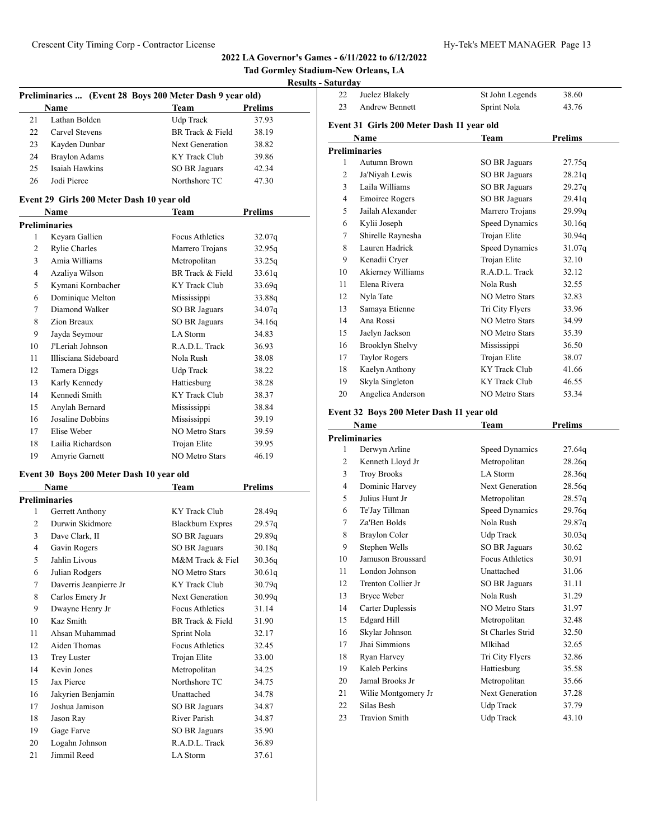**Tad Gormley Stadium-New Orleans, LA Results - Saturday**

# **Preliminaries ... (Event 28 Boys 200 Meter Dash 9 year old) Name Team Prelims** Lathan Bolden Udp Track 37.93 22 Carvel Stevens BR Track & Field 38.19

| 23 | Kayden Dunbar                                                     | Next Generation      | 38.82 |  |
|----|-------------------------------------------------------------------|----------------------|-------|--|
| 24 | Braylon Adams                                                     | KY Track Club        | 39.86 |  |
| 25 | Isaiah Hawkins                                                    | <b>SO BR Jaguars</b> | 42.34 |  |
| 26 | Jodi Pierce                                                       | Northshore TC        | 47.30 |  |
|    | $\sim$ $\sim$<br>$\sim$ $\sim$ $\sim$ $\sim$ $\sim$ $\sim$ $\sim$ |                      |       |  |

# **Event 29 Girls 200 Meter Dash 10 year old**

|    | Name                 | Team                  | Prelims |  |
|----|----------------------|-----------------------|---------|--|
|    | Preliminaries        |                       |         |  |
| 1  | Keyara Gallien       | Focus Athletics       | 32.07q  |  |
| 2  | <b>Rylie Charles</b> | Marrero Trojans       | 32.95q  |  |
| 3  | Amia Williams        | Metropolitan          | 33.25q  |  |
| 4  | Azaliya Wilson       | BR Track & Field      | 33.61q  |  |
| 5  | Kymani Kornbacher    | <b>KY</b> Track Club  | 33.69q  |  |
| 6  | Dominique Melton     | Mississippi           | 33.88q  |  |
| 7  | Diamond Walker       | <b>SO BR Jaguars</b>  | 34.07g  |  |
| 8  | Zion Breaux          | SO BR Jaguars         | 34.16q  |  |
| 9  | Jayda Seymour        | LA Storm              | 34.83   |  |
| 10 | J'I eriah Johnson    | R.A.D.L. Track        | 36.93   |  |
| 11 | Illisciana Sideboard | Nola Rush             | 38.08   |  |
| 12 | Tamera Diggs         | Udp Track             | 38.22   |  |
| 13 | Karly Kennedy        | Hattiesburg           | 38.28   |  |
| 14 | Kennedi Smith        | <b>KY</b> Track Club  | 38.37   |  |
| 15 | Anylah Bernard       | Mississippi           | 38.84   |  |
| 16 | Josaline Dobbins     | Mississippi           | 39.19   |  |
| 17 | Elise Weber          | <b>NO Metro Stars</b> | 39.59   |  |
| 18 | Lailia Richardson    | Trojan Elite          | 39.95   |  |
| 19 | Amyrie Garnett       | <b>NO Metro Stars</b> | 46.19   |  |
|    |                      |                       |         |  |

# **Event 30 Boys 200 Meter Dash 10 year old**

|                | Name                   | Team                   | Prelims |  |  |  |  |
|----------------|------------------------|------------------------|---------|--|--|--|--|
|                | <b>Preliminaries</b>   |                        |         |  |  |  |  |
| 1              | Gerrett Anthony        | KY Track Club          | 28.49q  |  |  |  |  |
| $\overline{c}$ | Durwin Skidmore        | Blackburn Expres       | 29.57q  |  |  |  |  |
| 3              | Dave Clark, II         | SO BR Jaguars          | 29.89q  |  |  |  |  |
| 4              | Gavin Rogers           | SO BR Jaguars          | 30.18q  |  |  |  |  |
| 5              | Jahlin Livous          | M&M Track & Fiel       | 30.36q  |  |  |  |  |
| 6              | Julian Rodgers         | <b>NO Metro Stars</b>  | 30.61q  |  |  |  |  |
| 7              | Daverris Jeanpierre Jr | KY Track Club          | 30.79q  |  |  |  |  |
| 8              | Carlos Emery Jr        | <b>Next Generation</b> | 30.99q  |  |  |  |  |
| 9              | Dwayne Henry Jr        | Focus Athletics        | 31.14   |  |  |  |  |
| 10             | Kaz Smith              | BR Track & Field       | 31.90   |  |  |  |  |
| 11             | Ahsan Muhammad         | Sprint Nola            | 32.17   |  |  |  |  |
| 12             | Aiden Thomas           | Focus Athletics        | 32.45   |  |  |  |  |
| 13             | <b>Trey Luster</b>     | Trojan Elite           | 33.00   |  |  |  |  |
| 14             | Kevin Jones            | Metropolitan           | 34.25   |  |  |  |  |
| 15             | Jax Pierce             | Northshore TC          | 34.75   |  |  |  |  |
| 16             | Jakyrien Benjamin      | Unattached             | 34.78   |  |  |  |  |
| 17             | Joshua Jamison         | SO BR Jaguars          | 34.87   |  |  |  |  |
| 18             | Jason Ray              | River Parish           | 34.87   |  |  |  |  |
| 19             | Gage Farve             | SO BR Jaguars          | 35.90   |  |  |  |  |
| 20             | Logahn Johnson         | R.A.D.L. Track         | 36.89   |  |  |  |  |
| 21             | Jimmil Reed            | LA Storm               | 37.61   |  |  |  |  |

| atul ua v |                                           |                      |                |  |
|-----------|-------------------------------------------|----------------------|----------------|--|
| 22        | Juelez Blakely                            | St John Legends      | 38.60          |  |
| 23        | <b>Andrew Bennett</b>                     | Sprint Nola          | 43.76          |  |
|           | Event 31 Girls 200 Meter Dash 11 year old |                      |                |  |
|           | Name                                      | Team                 | <b>Prelims</b> |  |
|           | Preliminaries                             |                      |                |  |
| 1         | Autumn Brown                              | <b>SO BR Jaguars</b> | 27.75q         |  |
| 2         | Ja'Niyah Lewis                            | SO BR Jaguars        | 28.21q         |  |
| 3         | Laila Williams                            | SO BR Jaguars        | 29.27q         |  |
| 4         | <b>Emoiree Rogers</b>                     | SO BR Jaguars        | 29.41q         |  |
| 5         | Jailah Alexander                          | Marrero Trojans      | 29.99q         |  |
| 6         | Kylii Joseph                              | Speed Dynamics       | 30.16q         |  |
| 7         | Shirelle Raynesha                         | Trojan Elite         | 30.94q         |  |
|           | T TT 1 1 1                                | $\alpha$ in          | 2107           |  |

| 8  | Lauren Hadrick       | Speed Dynamics        | 31.07q |
|----|----------------------|-----------------------|--------|
| 9  | Kenadii Cryer        | Trojan Elite          | 32.10  |
| 10 | Akierney Williams    | R.A.D.L. Track        | 32.12  |
| 11 | Elena Rivera         | Nola Rush             | 32.55  |
| 12 | Nyla Tate            | NO Metro Stars        | 32.83  |
| 13 | Samaya Etienne       | Tri City Flyers       | 33.96  |
| 14 | Ana Rossi            | NO Metro Stars        | 34.99  |
| 15 | Jaelyn Jackson       | NO Metro Stars        | 35.39  |
| 16 | Brooklyn Shelvy      | Mississippi           | 36.50  |
| 17 | <b>Taylor Rogers</b> | Trojan Elite          | 38.07  |
| 18 | Kaelyn Anthony       | KY Track Club         | 41.66  |
| 19 | Skyla Singleton      | KY Track Club         | 46.55  |
| 20 | Angelica Anderson    | <b>NO Metro Stars</b> | 53.34  |

# **Event 32 Boys 200 Meter Dash 11 year old**

|                | Name                 | Team                    | <b>Prelims</b> |
|----------------|----------------------|-------------------------|----------------|
|                | <b>Preliminaries</b> |                         |                |
| 1              | Derwyn Arline        | Speed Dynamics          | 27.64q         |
| $\overline{c}$ | Kenneth Lloyd Jr     | Metropolitan            | 28.26q         |
| 3              | <b>Troy Brooks</b>   | LA Storm                | 28.36q         |
| 4              | Dominic Harvey       | Next Generation         | 28.56g         |
| 5              | Julius Hunt Jr       | Metropolitan            | 28.57g         |
| 6              | Te'Jay Tillman       | Speed Dynamics          | 29.76g         |
| 7              | Za'Ben Bolds         | Nola Rush               | 29.87q         |
| 8              | Braylon Coler        | Udp Track               | 30.03q         |
| 9              | Stephen Wells        | SO BR Jaguars           | 30.62          |
| 10             | Jamuson Broussard    | Focus Athletics         | 30.91          |
| 11             | London Johnson       | Unattached              | 31.06          |
| 12             | Trenton Collier Jr   | <b>SO BR Jaguars</b>    | 31.11          |
| 13             | Bryce Weber          | Nola Rush               | 31.29          |
| 14             | Carter Duplessis     | <b>NO Metro Stars</b>   | 31.97          |
| 15             | <b>Edgard Hill</b>   | Metropolitan            | 32.48          |
| 16             | Skylar Johnson       | <b>St Charles Strid</b> | 32.50          |
| 17             | Jhai Simmions        | Mlkihad                 | 32.65          |
| 18             | Ryan Harvey          | Tri City Flyers         | 32.86          |
| 19             | Kaleb Perkins        | Hattiesburg             | 35.58          |
| 20             | Jamal Brooks Jr      | Metropolitan            | 35.66          |
| 21             | Wilie Montgomery Jr  | Next Generation         | 37.28          |
| 22             | Silas Besh           | Udp Track               | 37.79          |
| 23             | <b>Travion Smith</b> | Udp Track               | 43.10          |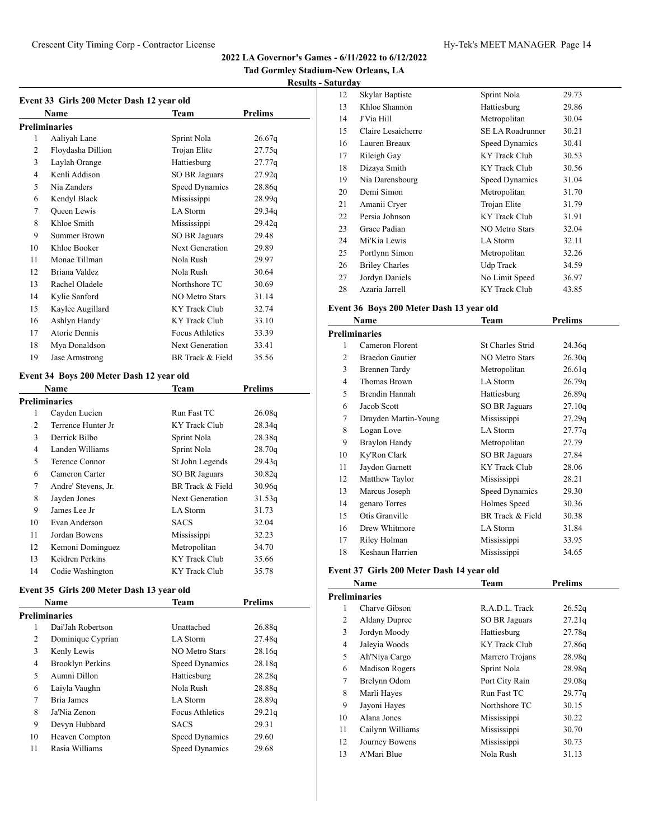| Event 33 Girls 200 Meter Dash 12 year old |                    |                        |         |  |
|-------------------------------------------|--------------------|------------------------|---------|--|
|                                           | Name               | Team                   | Prelims |  |
|                                           | Preliminaries      |                        |         |  |
| 1                                         | Aaliyah Lane       | Sprint Nola            | 26.67q  |  |
| $\overline{c}$                            | Floydasha Dillion  | Trojan Elite           | 27.75q  |  |
| 3                                         | Laylah Orange      | Hattiesburg            | 27.77q  |  |
| 4                                         | Kenli Addison      | <b>SO BR Jaguars</b>   | 27.92q  |  |
| 5                                         | Nia Zanders        | Speed Dynamics         | 28.86q  |  |
| 6                                         | Kendyl Black       | Mississippi            | 28.99q  |  |
| 7                                         | <b>Oueen</b> Lewis | LA Storm               | 29.34q  |  |
| 8                                         | Khloe Smith        | Mississippi            | 29.42q  |  |
| 9                                         | Summer Brown       | SO BR Jaguars          | 29.48   |  |
| 10                                        | Khloe Booker       | Next Generation        | 29.89   |  |
| 11                                        | Monae Tillman      | Nola Rush              | 29.97   |  |
| 12                                        | Briana Valdez      | Nola Rush              | 30.64   |  |
| 13                                        | Rachel Oladele     | Northshore TC          | 30.69   |  |
| 14                                        | Kylie Sanford      | NO Metro Stars         | 31.14   |  |
| 15                                        | Kaylee Augillard   | KY Track Club          | 32.74   |  |
| 16                                        | Ashlyn Handy       | KY Track Club          | 33.10   |  |
| 17                                        | Atorie Dennis      | <b>Focus Athletics</b> | 33.39   |  |
| 18                                        | Mya Donaldson      | Next Generation        | 33.41   |  |
| 19                                        | Jase Armstrong     | BR Track & Field       | 35.56   |  |

# **Event 34 Boys 200 Meter Dash 12 year old**

|    | Name                | <b>Team</b>            | Prelims |  |
|----|---------------------|------------------------|---------|--|
|    | Preliminaries       |                        |         |  |
| 1  | Cayden Lucien       | Run Fast TC            | 26.08q  |  |
| 2  | Terrence Hunter Jr  | KY Track Club          | 28.34q  |  |
| 3  | Derrick Bilbo       | Sprint Nola            | 28.38g  |  |
| 4  | Landen Williams     | Sprint Nola            | 28.70q  |  |
| 5  | Terence Connor      | St John Legends        | 29.43q  |  |
| 6  | Cameron Carter      | SO BR Jaguars          | 30.82q  |  |
| 7  | Andre' Stevens, Jr. | BR Track & Field       | 30.96q  |  |
| 8  | Jayden Jones        | <b>Next Generation</b> | 31.53q  |  |
| 9  | James Lee Jr        | LA Storm               | 31.73   |  |
| 10 | Evan Anderson       | <b>SACS</b>            | 32.04   |  |
| 11 | Jordan Bowens       | Mississippi            | 32.23   |  |
| 12 | Kemoni Dominguez    | Metropolitan           | 34.70   |  |
| 13 | Keidren Perkins     | <b>KY</b> Track Club   | 35.66   |  |
| 14 | Codie Washington    | KY Track Club          | 35.78   |  |

# **Event 35 Girls 200 Meter Dash 13 year old**

|    | Name                    | Team              | <b>Prelims</b> |  |
|----|-------------------------|-------------------|----------------|--|
|    | <b>Preliminaries</b>    |                   |                |  |
| 1  | Dai'Jah Robertson       | <b>Unattached</b> | 26.88q         |  |
| 2  | Dominique Cyprian       | LA Storm          | 27.48g         |  |
| 3  | Kenly Lewis             | NO Metro Stars    | 28.16g         |  |
| 4  | <b>Brooklyn Perkins</b> | Speed Dynamics    | 28.18q         |  |
| 5  | Aumni Dillon            | Hattiesburg       | 28.28q         |  |
| 6  | Laiyla Vaughn           | Nola Rush         | 28.88g         |  |
| 7  | Bria James              | LA Storm          | 28.89q         |  |
| 8  | Ja'Nia Zenon            | Focus Athletics   | 29.21q         |  |
| 9  | Devyn Hubbard           | <b>SACS</b>       | 29.31          |  |
| 10 | Heaven Compton          | Speed Dynamics    | 29.60          |  |
| 11 | Rasia Williams          | Speed Dynamics    | 29.68          |  |
|    |                         |                   |                |  |

| 12 | Skylar Baptiste       | Sprint Nola             | 29.73 |
|----|-----------------------|-------------------------|-------|
| 13 | Khloe Shannon         | Hattiesburg             | 29.86 |
| 14 | J'Via Hill            | Metropolitan            | 30.04 |
| 15 | Claire Lesaicherre    | <b>SE LA Roadrunner</b> | 30.21 |
| 16 | Lauren Breaux         | Speed Dynamics          | 30.41 |
| 17 | Rileigh Gay           | KY Track Club           | 30.53 |
| 18 | Dizaya Smith          | KY Track Club           | 30.56 |
| 19 | Nia Darensbourg       | Speed Dynamics          | 31.04 |
| 20 | Demi Simon            | Metropolitan            | 31.70 |
| 21 | Amanii Cryer          | Trojan Elite            | 31.79 |
| 22 | Persia Johnson        | KY Track Club           | 31.91 |
| 23 | Grace Padian          | <b>NO Metro Stars</b>   | 32.04 |
| 24 | Mi'Kia Lewis          | LA Storm                | 32.11 |
| 25 | Portlynn Simon        | Metropolitan            | 32.26 |
| 26 | <b>Briley Charles</b> | Udp Track               | 34.59 |
| 27 | Jordyn Daniels        | No Limit Speed          | 36.97 |
| 28 | Azaria Jarrell        | KY Track Club           | 43.85 |

# **Event 36 Boys 200 Meter Dash 13 year old**

|                | Name                   | Team                    | <b>Prelims</b> |  |
|----------------|------------------------|-------------------------|----------------|--|
|                | <b>Preliminaries</b>   |                         |                |  |
| 1              | Cameron Florent        | <b>St Charles Strid</b> | 24.36q         |  |
| $\overline{c}$ | <b>Braedon Gautier</b> | NO Metro Stars          | 26.30q         |  |
| 3              | Brennen Tardy          | Metropolitan            | 26.61q         |  |
| 4              | Thomas Brown           | LA Storm                | 26.79q         |  |
| 5              | Brendin Hannah         | Hattiesburg             | 26.89q         |  |
| 6              | Jacob Scott            | SO BR Jaguars           | 27.10q         |  |
| 7              | Drayden Martin-Young   | Mississippi             | 27.29q         |  |
| 8              | Logan Love             | LA Storm                | 27.77q         |  |
| 9              | Braylon Handy          | Metropolitan            | 27.79          |  |
| 10             | Ky'Ron Clark           | SO BR Jaguars           | 27.84          |  |
| 11             | Jaydon Garnett         | <b>KY Track Club</b>    | 28.06          |  |
| 12             | Matthew Taylor         | Mississippi             | 28.21          |  |
| 13             | Marcus Joseph          | Speed Dynamics          | 29.30          |  |
| 14             | genaro Torres          | Holmes Speed            | 30.36          |  |
| 15             | Otis Granville         | BR Track & Field        | 30.38          |  |
| 16             | Drew Whitmore          | LA Storm                | 31.84          |  |
| 17             | Riley Holman           | Mississippi             | 33.95          |  |
| 18             | Keshaun Harrien        | Mississippi             | 34.65          |  |

# **Event 37 Girls 200 Meter Dash 14 year old**

|    | Name                 | <b>Team</b>          | <b>Prelims</b> |  |
|----|----------------------|----------------------|----------------|--|
|    | Preliminaries        |                      |                |  |
| 1  | Charve Gibson        | R.A.D.L. Track       | 26.52q         |  |
| 2  | <b>Aldany Dupree</b> | SO BR Jaguars        | 27.21q         |  |
| 3  | Jordyn Moody         | Hattiesburg          | 27.78q         |  |
| 4  | Jaleyia Woods        | <b>KY Track Club</b> | 27.86g         |  |
| 5  | Ah'Niya Cargo        | Marrero Trojans      | 28.98q         |  |
| 6  | Madison Rogers       | Sprint Nola          | 28.98q         |  |
| 7  | Brelynn Odom         | Port City Rain       | 29.08q         |  |
| 8  | Marli Hayes          | Run Fast TC          | 29.77q         |  |
| 9  | Jayoni Hayes         | Northshore TC        | 30.15          |  |
| 10 | Alana Jones          | Mississippi          | 30.22          |  |
| 11 | Cailynn Williams     | Mississippi          | 30.70          |  |
| 12 | Journey Bowens       | Mississippi          | 30.73          |  |
| 13 | A'Mari Blue          | Nola Rush            | 31.13          |  |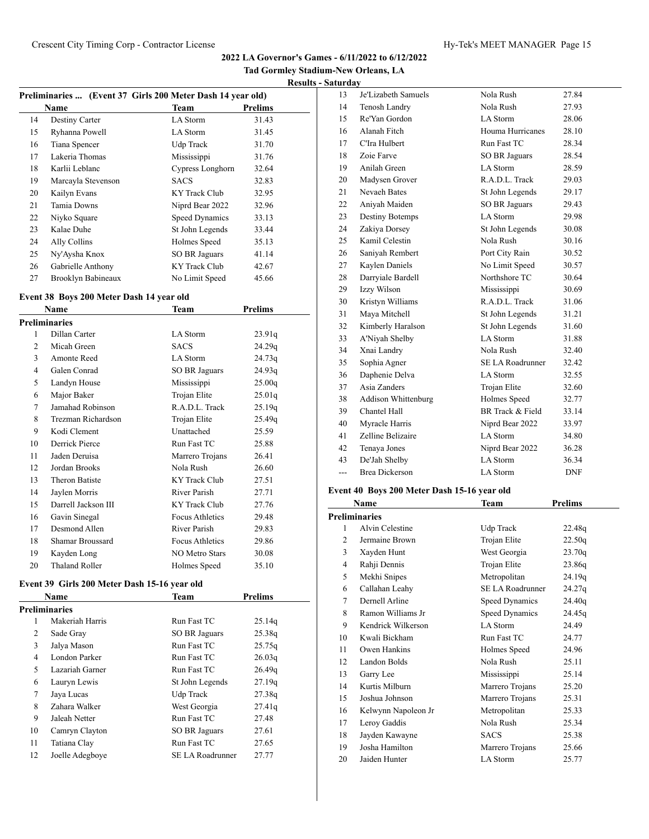**Tad Gormley Stadium-New Orleans, LA**

|--|

|    | Preliminaries  (Event 37 Girls 200 Meter Dash 14 year old) |                  |                |  |  |
|----|------------------------------------------------------------|------------------|----------------|--|--|
|    | <b>Name</b>                                                | Team             | <b>Prelims</b> |  |  |
| 14 | Destiny Carter                                             | LA Storm         | 31.43          |  |  |
| 15 | Ryhanna Powell                                             | LA Storm         | 31.45          |  |  |
| 16 | Tiana Spencer                                              | Udp Track        | 31.70          |  |  |
| 17 | Lakeria Thomas                                             | Mississippi      | 31.76          |  |  |
| 18 | Karlii Leblanc                                             | Cypress Longhorn | 32.64          |  |  |
| 19 | Marcayla Stevenson                                         | <b>SACS</b>      | 32.83          |  |  |
| 20 | Kailyn Evans                                               | KY Track Club    | 32.95          |  |  |
| 21 | Tamia Downs                                                | Niprd Bear 2022  | 32.96          |  |  |
| 22 | Niyko Square                                               | Speed Dynamics   | 33.13          |  |  |
| 23 | Kalae Duhe                                                 | St John Legends  | 33.44          |  |  |
| 24 | Ally Collins                                               | Holmes Speed     | 35.13          |  |  |
| 25 | Ny'Aysha Knox                                              | SO BR Jaguars    | 41.14          |  |  |
| 26 | Gabrielle Anthony                                          | KY Track Club    | 42.67          |  |  |
| 27 | Brooklyn Babineaux                                         | No Limit Speed   | 45.66          |  |  |

# **Event 38 Boys 200 Meter Dash 14 year old**

|    | Name                  | Team                  | Prelims |
|----|-----------------------|-----------------------|---------|
|    | <b>Preliminaries</b>  |                       |         |
| 1  | Dillan Carter         | LA Storm              | 23.91q  |
| 2  | Micah Green           | <b>SACS</b>           | 24.29q  |
| 3  | Amonte Reed           | LA Storm              | 24.73q  |
| 4  | Galen Conrad          | <b>SO BR Jaguars</b>  | 24.93q  |
| 5  | Landyn House          | Mississippi           | 25.00q  |
| 6  | Major Baker           | Trojan Elite          | 25.01q  |
| 7  | Jamahad Robinson      | R.A.D.L. Track        | 25.19q  |
| 8  | Trezman Richardson    | Trojan Elite          | 25.49q  |
| 9  | Kodi Clement          | Unattached            | 25.59   |
| 10 | Derrick Pierce        | Run Fast TC           | 25.88   |
| 11 | Jaden Deruisa         | Marrero Trojans       | 26.41   |
| 12 | Jordan Brooks         | Nola Rush             | 26.60   |
| 13 | <b>Theron Batiste</b> | <b>KY</b> Track Club  | 27.51   |
| 14 | Jaylen Morris         | River Parish          | 27.71   |
| 15 | Darrell Jackson III   | <b>KY</b> Track Club  | 27.76   |
| 16 | Gavin Sinegal         | Focus Athletics       | 29.48   |
| 17 | Desmond Allen         | River Parish          | 29.83   |
| 18 | Shamar Broussard      | Focus Athletics       | 29.86   |
| 19 | Kayden Long           | <b>NO Metro Stars</b> | 30.08   |
| 20 | Thaland Roller        | Holmes Speed          | 35.10   |

# **Event 39 Girls 200 Meter Dash 15-16 year old**

|    | <b>Name</b>          | Team                 | <b>Prelims</b> |
|----|----------------------|----------------------|----------------|
|    | <b>Preliminaries</b> |                      |                |
| 1  | Makeriah Harris      | Run Fast TC          | 25.14q         |
| 2  | Sade Gray            | SO BR Jaguars        | 25.38q         |
| 3  | Jalya Mason          | Run Fast TC          | 25.75q         |
| 4  | London Parker        | Run Fast TC          | 26.03q         |
| 5  | Lazariah Garner      | Run Fast TC          | 26.49q         |
| 6  | Lauryn Lewis         | St John Legends      | 27.19q         |
| 7  | Jaya Lucas           | Udp Track            | 27.38q         |
| 8  | Zahara Walker        | West Georgia         | 27.41q         |
| 9  | Jaleah Netter        | Run Fast TC          | 27.48          |
| 10 | Camryn Clayton       | <b>SO BR Jaguars</b> | 27.61          |
| 11 | Tatiana Clay         | Run Fast TC          | 27.65          |
| 12 | Joelle Adegboye      | SE LA Roadrunner     | 27.77          |

| 13    | Je'Lizabeth Samuels    | Nola Rush               | 27.84      |
|-------|------------------------|-------------------------|------------|
| 14    | Tenosh Landry          | Nola Rush               | 27.93      |
| 15    | Re'Yan Gordon          | LA Storm                | 28.06      |
| 16    | Alanah Fitch           | Houma Hurricanes        | 28.10      |
| 17    | C'Ira Hulbert          | Run Fast TC             | 28.34      |
| 18    | Zoie Farve             | SO BR Jaguars           | 28.54      |
| 19    | Anilah Green           | LA Storm                | 28.59      |
| 20    | Madysen Grover         | R.A.D.L. Track          | 29.03      |
| 21    | Nevaeh Bates           | St John Legends         | 29.17      |
| 22    | Aniyah Maiden          | <b>SO BR Jaguars</b>    | 29.43      |
| 23    | <b>Destiny Botemps</b> | LA Storm                | 29.98      |
| 24    | Zakiya Dorsey          | St John Legends         | 30.08      |
| 25    | Kamil Celestin         | Nola Rush               | 30.16      |
| 26    | Saniyah Rembert        | Port City Rain          | 30.52      |
| 27    | Kaylen Daniels         | No Limit Speed          | 30.57      |
| 28    | Darryiale Bardell      | Northshore TC           | 30.64      |
| 29    | Izzy Wilson            | Mississippi             | 30.69      |
| 30    | Kristyn Williams       | R.A.D.L. Track          | 31.06      |
| 31    | Maya Mitchell          | St John Legends         | 31.21      |
| 32    | Kimberly Haralson      | St John Legends         | 31.60      |
| 33    | A'Niyah Shelby         | LA Storm                | 31.88      |
| 34    | Xnai Landry            | Nola Rush               | 32.40      |
| 35    | Sophia Agner           | <b>SE LA Roadrunner</b> | 32.42      |
| 36    | Daphenie Delva         | LA Storm                | 32.55      |
| 37    | Asia Zanders           | Trojan Elite            | 32.60      |
| 38    | Addison Whittenburg    | Holmes Speed            | 32.77      |
| 39    | Chantel Hall           | BR Track & Field        | 33.14      |
| 40    | Myracle Harris         | Niprd Bear 2022         | 33.97      |
| 41    | Zelline Belizaire      | <b>LA Storm</b>         | 34.80      |
| 42    | Tenaya Jones           | Niprd Bear 2022         | 36.28      |
| 43    | De'Jah Shelby          | LA Storm                | 36.34      |
| $---$ | <b>Brea Dickerson</b>  | <b>LA</b> Storm         | <b>DNF</b> |

# **Event 40 Boys 200 Meter Dash 15-16 year old**

|    | Name                 | Team                    | Prelims |
|----|----------------------|-------------------------|---------|
|    | <b>Preliminaries</b> |                         |         |
| 1  | Alvin Celestine      | Udp Track               | 22.48q  |
| 2  | Jermaine Brown       | Trojan Elite            | 22.50q  |
| 3  | Xayden Hunt          | West Georgia            | 23.70q  |
| 4  | Rahji Dennis         | Trojan Elite            | 23.86q  |
| 5  | Mekhi Snipes         | Metropolitan            | 24.19q  |
| 6  | Callahan Leahy       | <b>SE LA Roadrunner</b> | 24.27q  |
| 7  | Dernell Arline       | Speed Dynamics          | 24.40q  |
| 8  | Ramon Williams Jr    | Speed Dynamics          | 24.45q  |
| 9  | Kendrick Wilkerson   | LA Storm                | 24.49   |
| 10 | Kwali Bickham        | Run Fast TC             | 24.77   |
| 11 | Owen Hankins         | Holmes Speed            | 24.96   |
| 12 | Landon Bolds         | Nola Rush               | 25.11   |
| 13 | Garry Lee            | Mississippi             | 25.14   |
| 14 | Kurtis Milburn       | Marrero Trojans         | 25.20   |
| 15 | Joshua Johnson       | Marrero Trojans         | 25.31   |
| 16 | Kelwynn Napoleon Jr  | Metropolitan            | 25.33   |
| 17 | Leroy Gaddis         | Nola Rush               | 25.34   |
| 18 | Jayden Kawayne       | <b>SACS</b>             | 25.38   |
| 19 | Josha Hamilton       | Marrero Trojans         | 25.66   |
| 20 | Jaiden Hunter        | <b>LA</b> Storm         | 25.77   |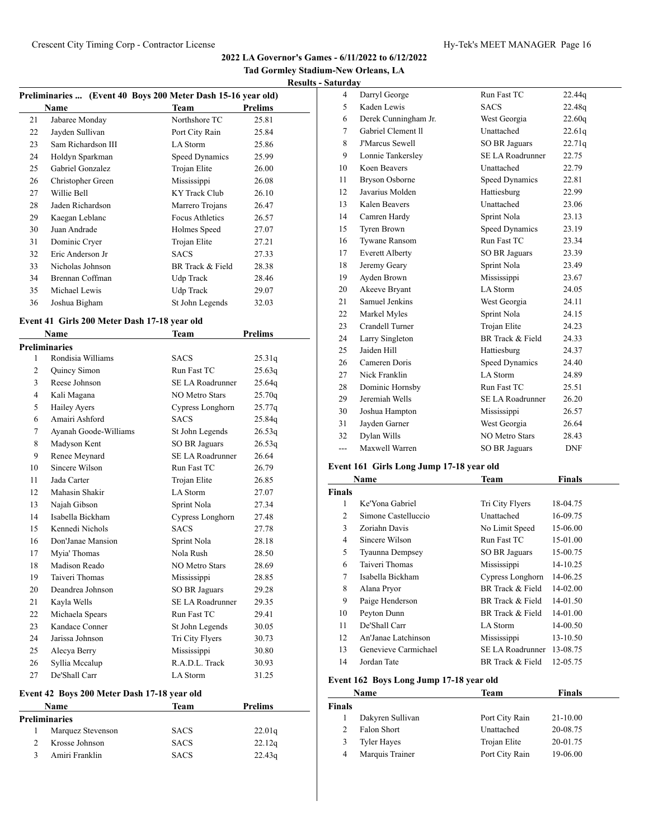**Tad Gormley Stadium-New Orleans, LA Results - Saturday**

| Preliminaries  (Event 40 Boys 200 Meter Dash 15-16 year old) |                    |                        |         |
|--------------------------------------------------------------|--------------------|------------------------|---------|
|                                                              | Name               | Team                   | Prelims |
| 21                                                           | Jabaree Monday     | Northshore TC          | 25.81   |
| 22                                                           | Jayden Sullivan    | Port City Rain         | 25.84   |
| 23                                                           | Sam Richardson III | LA Storm               | 25.86   |
| 24                                                           | Holdyn Sparkman    | Speed Dynamics         | 25.99   |
| 25                                                           | Gabriel Gonzalez   | Trojan Elite           | 26.00   |
| 26                                                           | Christopher Green  | Mississippi            | 26.08   |
| 27                                                           | Willie Bell        | KY Track Club          | 26.10   |
| 28                                                           | Jaden Richardson   | Marrero Trojans        | 26.47   |
| 29                                                           | Kaegan Leblanc     | <b>Focus Athletics</b> | 26.57   |
| 30                                                           | Juan Andrade       | Holmes Speed           | 27.07   |
| 31                                                           | Dominic Cryer      | Trojan Elite           | 27.21   |
| 32                                                           | Eric Anderson Jr   | <b>SACS</b>            | 27.33   |
| 33                                                           | Nicholas Johnson   | BR Track & Field       | 28.38   |
| 34                                                           | Brennan Coffman    | Udp Track              | 28.46   |
| 35                                                           | Michael Lewis      | Udp Track              | 29.07   |
| 36                                                           | Joshua Bigham      | St John Legends        | 32.03   |

# **Event 41 Girls 200 Meter Dash 17-18 year old**

|                | Name                  | Team                    | <b>Prelims</b> |
|----------------|-----------------------|-------------------------|----------------|
|                | Preliminaries         |                         |                |
| $\mathbf{1}$   | Rondisia Williams     | <b>SACS</b>             | 25.31q         |
| 2              | Quincy Simon          | Run Fast TC             | 25.63q         |
| 3              | Reese Johnson         | <b>SE LA Roadrunner</b> | 25.64q         |
| $\overline{4}$ | Kali Magana           | <b>NO Metro Stars</b>   | 25.70q         |
| 5              | <b>Hailey Ayers</b>   | Cypress Longhorn        | 25.77q         |
| 6              | Amairi Ashford        | <b>SACS</b>             | 25.84g         |
| 7              | Ayanah Goode-Williams | St John Legends         | 26.53q         |
| 8              | Madyson Kent          | <b>SO BR Jaguars</b>    | 26.53q         |
| 9              | Renee Meynard         | <b>SE LA Roadrunner</b> | 26.64          |
| 10             | Sincere Wilson        | Run Fast TC             | 26.79          |
| 11             | Jada Carter           | Trojan Elite            | 26.85          |
| 12             | Mahasin Shakir        | <b>LA</b> Storm         | 27.07          |
| 13             | Najah Gibson          | Sprint Nola             | 27.34          |
| 14             | Isabella Bickham      | Cypress Longhorn        | 27.48          |
| 15             | Kennedi Nichols       | <b>SACS</b>             | 27.78          |
| 16             | Don'Janae Mansion     | Sprint Nola             | 28.18          |
| 17             | Myia' Thomas          | Nola Rush               | 28.50          |
| 18             | Madison Reado         | <b>NO Metro Stars</b>   | 28.69          |
| 19             | Taiveri Thomas        | Mississippi             | 28.85          |
| 20             | Deandrea Johnson      | <b>SO BR Jaguars</b>    | 29.28          |
| 21             | Kayla Wells           | <b>SE LA Roadrunner</b> | 29.35          |
| 22             | Michaela Spears       | Run Fast TC             | 29.41          |
| 23             | Kandace Conner        | St John Legends         | 30.05          |
| 24             | Jarissa Johnson       | Tri City Flyers         | 30.73          |
| 25             | Alecya Berry          | Mississippi             | 30.80          |
| 26             | Syllia Mccalup        | R.A.D.L. Track          | 30.93          |
| 27             | De'Shall Carr         | LA Storm                | 31.25          |

# **Event 42 Boys 200 Meter Dash 17-18 year old**

| Name              | Team        | Prelims |
|-------------------|-------------|---------|
| Preliminaries     |             |         |
| Marquez Stevenson | <b>SACS</b> | 22.01q  |
| Krosse Johnson    | <b>SACS</b> | 22.12q  |
| Amiri Franklin    | <b>SACS</b> | 22.43q  |

| 4   | Darryl George          | Run Fast TC             | 22.44q     |
|-----|------------------------|-------------------------|------------|
| 5   | Kaden Lewis            | <b>SACS</b>             | 22.48g     |
| 6   | Derek Cunningham Jr.   | West Georgia            | 22.60q     |
| 7   | Gabriel Clement II     | Unattached              | 22.61q     |
| 8   | <b>J'Marcus Sewell</b> | <b>SO BR Jaguars</b>    | 22.71q     |
| 9   | Lonnie Tankersley      | <b>SE LA Roadrunner</b> | 22.75      |
| 10  | Koen Beavers           | Unattached              | 22.79      |
| 11  | <b>Bryson Osborne</b>  | Speed Dynamics          | 22.81      |
| 12  | Javarius Molden        | Hattiesburg             | 22.99      |
| 13  | Kalen Beavers          | Unattached              | 23.06      |
| 14  | Camren Hardy           | Sprint Nola             | 23.13      |
| 15  | Tyren Brown            | <b>Speed Dynamics</b>   | 23.19      |
| 16  | <b>Tywane Ransom</b>   | Run Fast TC             | 23.34      |
| 17  | <b>Everett Alberty</b> | <b>SO BR Jaguars</b>    | 23.39      |
| 18  | Jeremy Geary           | Sprint Nola             | 23.49      |
| 19  | Ayden Brown            | Mississippi             | 23.67      |
| 20  | Akeeve Bryant          | <b>LA Storm</b>         | 24.05      |
| 21  | Samuel Jenkins         | West Georgia            | 24.11      |
| 22  | Markel Myles           | Sprint Nola             | 24.15      |
| 23  | Crandell Turner        | Trojan Elite            | 24.23      |
| 24  | Larry Singleton        | BR Track & Field        | 24.33      |
| 25  | Jaiden Hill            | Hattiesburg             | 24.37      |
| 26  | Cameren Doris          | Speed Dynamics          | 24.40      |
| 27  | Nick Franklin          | <b>LA</b> Storm         | 24.89      |
| 28  | Dominic Hornsby        | Run Fast TC             | 25.51      |
| 29  | Jeremiah Wells         | <b>SE LA Roadrunner</b> | 26.20      |
| 30  | Joshua Hampton         | Mississippi             | 26.57      |
| 31  | Jayden Garner          | West Georgia            | 26.64      |
| 32  | Dylan Wills            | <b>NO Metro Stars</b>   | 28.43      |
| --- | Maxwell Warren         | <b>SO BR Jaguars</b>    | <b>DNF</b> |

# **Event 161 Girls Long Jump 17-18 year old**

| Name          |                      | Team             | <b>Finals</b> |
|---------------|----------------------|------------------|---------------|
| <b>Finals</b> |                      |                  |               |
| 1             | Ke'Yona Gabriel      | Tri City Flyers  | 18-04.75      |
| 2             | Simone Castelluccio  | Unattached       | 16-09.75      |
| 3             | Zoriahn Davis        | No Limit Speed   | 15-06.00      |
| 4             | Sincere Wilson       | Run Fast TC      | 15-01.00      |
| 5             | Tyaunna Dempsey      | SO BR Jaguars    | 15-00.75      |
| 6             | Taiveri Thomas       | Mississippi      | 14-10.25      |
| 7             | Isabella Bickham     | Cypress Longhorn | 14-06.25      |
| 8             | Alana Pryor          | BR Track & Field | $14 - 02.00$  |
| 9             | Paige Henderson      | BR Track & Field | 14-01.50      |
| 10            | Peyton Dunn          | BR Track & Field | 14-01.00      |
| 11            | De'Shall Carr        | LA Storm         | 14-00.50      |
| 12            | An'Janae Latchinson  | Mississippi      | 13-10.50      |
| 13            | Genevieve Carmichael | SE LA Roadrunner | 13-08.75      |
| 14            | Jordan Tate          | BR Track & Field | 12-05.75      |
|               |                      |                  |               |

# **Event 162 Boys Long Jump 17-18 year old**

|                | Name               | Team           | Finals   |  |
|----------------|--------------------|----------------|----------|--|
| Finals         |                    |                |          |  |
|                | Dakyren Sullivan   | Port City Rain | 21-10.00 |  |
| $\mathfrak{D}$ | Falon Short        | Unattached     | 20-08.75 |  |
| 3              | <b>Tyler Hayes</b> | Trojan Elite   | 20-01.75 |  |
| 4              | Marquis Trainer    | Port City Rain | 19-06.00 |  |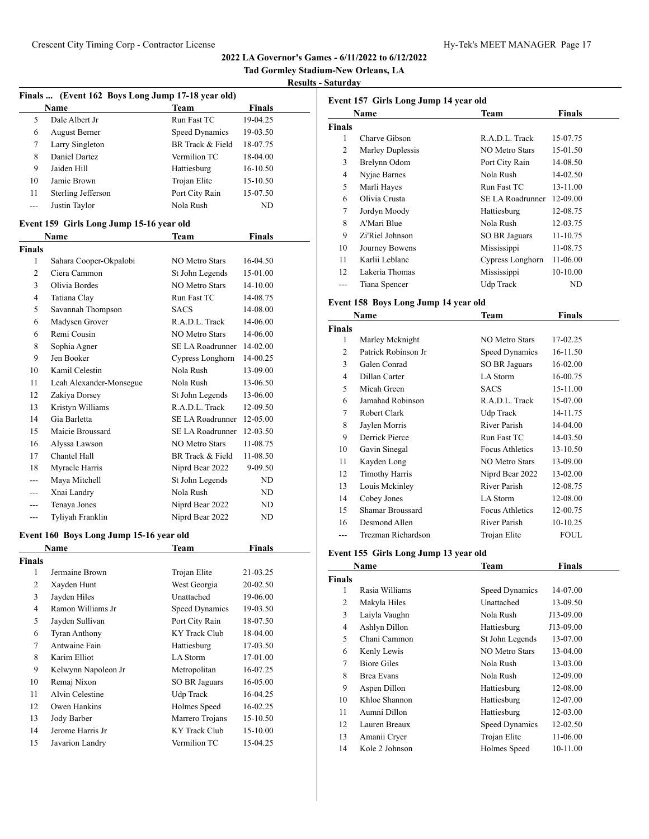**Tad Gormley Stadium-New Orleans, LA**

# **Results - Saturday**

|               | Finals  (Event 162 Boys Long Jump 17-18 year old) |                         |               |
|---------------|---------------------------------------------------|-------------------------|---------------|
|               | Name                                              | Team                    | <b>Finals</b> |
| 5             | Dale Albert Jr                                    | Run Fast TC             | 19-04.25      |
| 6             | <b>August Berner</b>                              | <b>Speed Dynamics</b>   | 19-03.50      |
| 7             | Larry Singleton                                   | BR Track & Field        | 18-07.75      |
| 8             | Daniel Dartez                                     | Vermilion TC            | 18-04.00      |
| 9             | Jaiden Hill                                       | Hattiesburg             | 16-10.50      |
| 10            | Jamie Brown                                       | Trojan Elite            | 15-10.50      |
| 11            | Sterling Jefferson                                | Port City Rain          | 15-07.50      |
| ---           | Justin Taylor                                     | Nola Rush               | ND            |
|               | Event 159 Girls Long Jump 15-16 year old          |                         |               |
|               | <b>Name</b>                                       | Team                    | <b>Finals</b> |
| <b>Finals</b> |                                                   |                         |               |
| 1             | Sahara Cooper-Okpalobi                            | <b>NO Metro Stars</b>   | 16-04.50      |
| 2             | Ciera Cammon                                      | St John Legends         | 15-01.00      |
| 3             | Olivia Bordes                                     | <b>NO Metro Stars</b>   | 14-10.00      |
| 4             | Tatiana Clay                                      | Run Fast TC             | 14-08.75      |
| 5             | Savannah Thompson                                 | <b>SACS</b>             | 14-08.00      |
| 6             | Madysen Grover                                    | R.A.D.L. Track          | 14-06.00      |
| 6             | Remi Cousin                                       | <b>NO Metro Stars</b>   | 14-06.00      |
| 8             | Sophia Agner                                      | SE LA Roadrunner        | 14-02.00      |
| 9             | Jen Booker                                        | Cypress Longhorn        | 14-00.25      |
| 10            | Kamil Celestin                                    | Nola Rush               | 13-09.00      |
| 11            | Leah Alexander-Monsegue                           | Nola Rush               | 13-06.50      |
| 12            | Zakiya Dorsey                                     | St John Legends         | 13-06.00      |
| 13            | Kristyn Williams                                  | R.A.D.L. Track          | 12-09.50      |
| 14            | Gia Barletta                                      | SE LA Roadrunner        | 12-05.00      |
| 15            | Maicie Broussard                                  | <b>SE LA Roadrunner</b> | 12-03.50      |
| 16            | Alyssa Lawson                                     | <b>NO Metro Stars</b>   | 11-08.75      |
| 17            | Chantel Hall                                      | BR Track & Field        | 11-08.50      |
| 18            | Myracle Harris                                    | Niprd Bear 2022         | 9-09.50       |
| ---           | Maya Mitchell                                     | St John Legends         | ND            |
|               | Xnai Landry                                       | Nola Rush               | ND            |
| ---           | Tenaya Jones                                      | Niprd Bear 2022         | ND            |
| ---           | Tyliyah Franklin                                  | Niprd Bear 2022         | ND            |

# **Event 160 Boys Long Jump 15-16 year old**

| Name           |                      | Team                 | <b>Finals</b> |
|----------------|----------------------|----------------------|---------------|
| <b>Finals</b>  |                      |                      |               |
| 1              | Jermaine Brown       | Trojan Elite         | 21-03.25      |
| 2              | Xayden Hunt          | West Georgia         | 20-02.50      |
| 3              | Jayden Hiles         | Unattached           | 19-06.00      |
| $\overline{4}$ | Ramon Williams Jr    | Speed Dynamics       | 19-03.50      |
| 5              | Jayden Sullivan      | Port City Rain       | 18-07.50      |
| 6              | <b>Tyran Anthony</b> | <b>KY</b> Track Club | 18-04.00      |
| 7              | Antwaine Fain        | Hattiesburg          | 17-03.50      |
| 8              | Karim Elliot         | LA Storm             | 17-01.00      |
| 9              | Kelwynn Napoleon Jr  | Metropolitan         | 16-07.25      |
| 10             | Remaj Nixon          | SO BR Jaguars        | 16-05.00      |
| 11             | Alvin Celestine      | Udp Track            | 16-04.25      |
| 12             | Owen Hankins         | Holmes Speed         | 16-02.25      |
| 13             | Jody Barber          | Marrero Trojans      | 15-10.50      |
| 14             | Jerome Harris Jr     | KY Track Club        | 15-10.00      |
| 15             | Javarion Landry      | Vermilion TC         | 15-04.25      |

| Event 157 Girls Long Jump 14 year old |                  |                  |          |  |
|---------------------------------------|------------------|------------------|----------|--|
|                                       | Name             | Team             | Finals   |  |
| Finals                                |                  |                  |          |  |
| 1                                     | Charve Gibson    | R.A.D.L. Track   | 15-07.75 |  |
| 2                                     | Marley Duplessis | NO Metro Stars   | 15-01.50 |  |
| 3                                     | Brelynn Odom     | Port City Rain   | 14-08.50 |  |
| 4                                     | Nyjae Barnes     | Nola Rush        | 14-02.50 |  |
| 5                                     | Marli Hayes      | Run Fast TC      | 13-11.00 |  |
| 6                                     | Olivia Crusta    | SE LA Roadrunner | 12-09.00 |  |
| 7                                     | Jordyn Moody     | Hattiesburg      | 12-08.75 |  |
| 8                                     | A'Mari Blue      | Nola Rush        | 12-03.75 |  |
| 9                                     | Zi'Riel Johnson  | SO BR Jaguars    | 11-10.75 |  |
| 10                                    | Journey Bowens   | Mississippi      | 11-08.75 |  |
| 11                                    | Karlii Leblanc   | Cypress Longhorn | 11-06.00 |  |
| 12                                    | Lakeria Thomas   | Mississippi      | 10-10.00 |  |
|                                       | Tiana Spencer    | Udp Track        | ND       |  |

# **Event 158 Boys Long Jump 14 year old**

| Name           |                       | Team                   | Finals      |
|----------------|-----------------------|------------------------|-------------|
| <b>Finals</b>  |                       |                        |             |
| 1              | Marley Mcknight       | NO Metro Stars         | 17-02.25    |
| $\mathfrak{D}$ | Patrick Robinson Jr   | Speed Dynamics         | 16-11.50    |
| 3              | Galen Conrad          | SO BR Jaguars          | 16-02.00    |
| 4              | Dillan Carter         | LA Storm               | 16-00.75    |
| 5              | Micah Green           | <b>SACS</b>            | 15-11.00    |
| 6              | Jamahad Robinson      | R.A.D.L. Track         | 15-07.00    |
| 7              | Robert Clark          | Udp Track              | 14-11.75    |
| 8              | Jaylen Morris         | River Parish           | 14-04.00    |
| 9              | Derrick Pierce        | Run Fast TC            | 14-03.50    |
| 10             | Gavin Sinegal         | <b>Focus Athletics</b> | 13-10.50    |
| 11             | Kayden Long           | NO Metro Stars         | 13-09.00    |
| 12             | <b>Timothy Harris</b> | Niprd Bear 2022        | 13-02.00    |
| 13             | Louis Mckinley        | River Parish           | 12-08.75    |
| 14             | Cobey Jones           | LA Storm               | 12-08.00    |
| 15             | Shamar Broussard      | <b>Focus Athletics</b> | 12-00.75    |
| 16             | Desmond Allen         | River Parish           | 10-10.25    |
|                | Trezman Richardson    | Trojan Elite           | <b>FOUL</b> |

# **Event 155 Girls Long Jump 13 year old**

|                | Name               | Team            | <b>Finals</b> |
|----------------|--------------------|-----------------|---------------|
| Finals         |                    |                 |               |
| 1              | Rasia Williams     | Speed Dynamics  | 14-07.00      |
| $\overline{c}$ | Makyla Hiles       | Unattached      | 13-09.50      |
| 3              | Laiyla Vaughn      | Nola Rush       | J13-09.00     |
| 4              | Ashlyn Dillon      | Hattiesburg     | J13-09.00     |
| 5              | Chani Cammon       | St John Legends | 13-07.00      |
| 6              | Kenly Lewis        | NO Metro Stars  | 13-04.00      |
| 7              | <b>Biore Giles</b> | Nola Rush       | 13-03.00      |
| 8              | <b>Brea Evans</b>  | Nola Rush       | 12-09.00      |
| 9              | Aspen Dillon       | Hattiesburg     | 12-08.00      |
| 10             | Khloe Shannon      | Hattiesburg     | 12-07.00      |
| 11             | Aumni Dillon       | Hattiesburg     | 12-03.00      |
| 12             | Lauren Breaux      | Speed Dynamics  | 12-02.50      |
| 13             | Amanii Cryer       | Trojan Elite    | 11-06.00      |
| 14             | Kole 2 Johnson     | Holmes Speed    | 10-11.00      |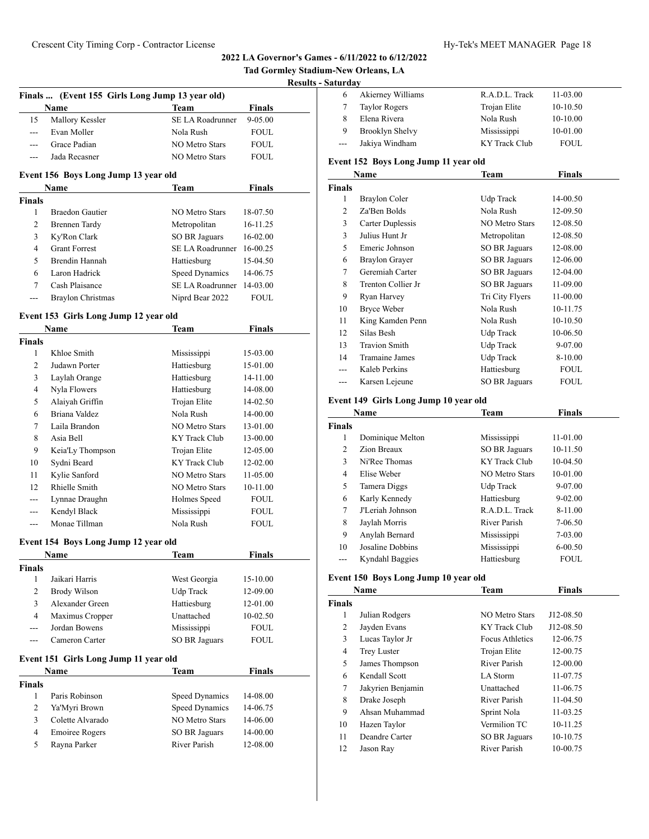|                    |                                                 |                           |               | <b>Tad Gormley Stadium-New C</b> |
|--------------------|-------------------------------------------------|---------------------------|---------------|----------------------------------|
|                    |                                                 |                           |               | <b>Results - Saturday</b>        |
|                    | Finals  (Event 155 Girls Long Jump 13 year old) |                           |               | 6                                |
|                    | Name                                            | Team                      | <b>Finals</b> | 7                                |
| 15                 | Mallory Kessler                                 | SE LA Roadrunner          | 9-05.00       | 8                                |
| $\overline{a}$     | Evan Moller                                     | Nola Rush                 | <b>FOUL</b>   | 9                                |
| $---$              | Grace Padian                                    | <b>NO Metro Stars</b>     | <b>FOUL</b>   |                                  |
| $---$              | Jada Recasner                                   | <b>NO Metro Stars</b>     | <b>FOUL</b>   | Event 15                         |
|                    | Event 156 Boys Long Jump 13 year old            |                           |               | N                                |
|                    | Name                                            | Team                      | <b>Finals</b> | <b>Finals</b>                    |
| <b>Finals</b>      |                                                 |                           |               | 1                                |
| $\mathbf{1}$       | <b>Braedon Gautier</b>                          | <b>NO Metro Stars</b>     | 18-07.50      | 2                                |
| $\overline{2}$     | <b>Brennen Tardy</b>                            | Metropolitan              | 16-11.25      | $\mathfrak{Z}$                   |
| 3                  | Ky'Ron Clark                                    | <b>SO BR Jaguars</b>      | 16-02.00      | $\mathfrak{Z}$                   |
| 4                  | <b>Grant Forrest</b>                            | SE LA Roadrunner 16-00.25 |               | 5                                |
| 5                  | Brendin Hannah                                  | Hattiesburg               | 15-04.50      | 6                                |
| 6                  | Laron Hadrick                                   | Speed Dynamics            | 14-06.75      | 7                                |
| 7                  | Cash Plaisance                                  | SE LA Roadrunner          | 14-03.00      | 8                                |
| ---                | Braylon Christmas                               | Niprd Bear 2022           | <b>FOUL</b>   | 9                                |
|                    |                                                 |                           |               | 10                               |
|                    | Event 153 Girls Long Jump 12 year old           |                           |               | 11                               |
|                    | <b>Name</b>                                     | Team                      | Finals        | 12                               |
| <b>Finals</b>      |                                                 |                           |               | 13                               |
| 1                  | Khloe Smith                                     | Mississippi               | 15-03.00      | 14                               |
| $\overline{2}$     | Judawn Porter                                   | Hattiesburg               | 15-01.00      |                                  |
| 3                  | Laylah Orange                                   | Hattiesburg               | 14-11.00      |                                  |
| 4                  | Nyla Flowers                                    | Hattiesburg               | 14-08.00      |                                  |
| 5                  | Alaiyah Griffin                                 | Trojan Elite              | 14-02.50      | Event 14                         |
| 6                  | Briana Valdez                                   | Nola Rush                 | 14-00.00      |                                  |
| 7                  | Laila Brandon                                   | <b>NO Metro Stars</b>     | 13-01.00      | Finals                           |
| 8                  | Asia Bell                                       | <b>KY Track Club</b>      | 13-00.00      | 1                                |
| 9                  | Keia'Ly Thompson                                | Trojan Elite              | 12-05.00      | 2                                |
| 10                 | Sydni Beard                                     | <b>KY Track Club</b>      | 12-02.00      | 3                                |
| 11                 | Kylie Sanford                                   | <b>NO Metro Stars</b>     | 11-05.00      | 4                                |
| 12                 | Rhielle Smith                                   | <b>NO Metro Stars</b>     | 10-11.00      | 5                                |
| ---                | Lynnae Draughn                                  | Holmes Speed              | <b>FOUL</b>   | 6                                |
| ---                | Kendyl Black                                    | Mississippi               | <b>FOUL</b>   | 7                                |
| ---                | Monae Tillman                                   | Nola Rush                 | <b>FOUL</b>   | 8                                |
|                    |                                                 |                           |               | 9                                |
|                    | Event 154 Boys Long Jump 12 year old            |                           |               | 10                               |
|                    | Name                                            | <b>Team</b>               | <b>Finals</b> | $---$                            |
| <b>Finals</b><br>1 | Jaikari Harris                                  | West Georgia              | 15-10.00      | Event 1:                         |
| $\overline{c}$     | <b>Brody Wilson</b>                             | Udp Track                 | 12-09.00      | N                                |
| 3                  | Alexander Green                                 | Hattiesburg               | 12-01.00      | <b>Finals</b>                    |
| $\overline{4}$     | Maximus Cropper                                 | Unattached                | 10-02.50      | 1                                |
|                    | Jordan Bowens                                   | Mississippi               | FOUL          | 2                                |
| ---                | Cameron Carter                                  | <b>SO BR Jaguars</b>      | <b>FOUL</b>   | 3                                |
|                    |                                                 |                           |               | $\overline{4}$                   |
|                    | Event 151 Girls Long Jump 11 year old           |                           |               | 5                                |

|        | Name                  | Team           | <b>Finals</b> |  |
|--------|-----------------------|----------------|---------------|--|
| Finals |                       |                |               |  |
|        | Paris Robinson        | Speed Dynamics | 14-08.00      |  |
| 2      | Ya'Myri Brown         | Speed Dynamics | 14-06.75      |  |
| 3      | Colette Alvarado      | NO Metro Stars | 14-06.00      |  |
| 4      | <b>Emoiree Rogers</b> | SO BR Jaguars  | 14-00.00      |  |
| 5      | Rayna Parker          | River Parish   | 12-08.00      |  |

| uul ua v |                      |                |             |  |
|----------|----------------------|----------------|-------------|--|
| 6        | Akierney Williams    | R.A.D.L. Track | 11-03.00    |  |
|          | <b>Taylor Rogers</b> | Trojan Elite   | $10-10.50$  |  |
|          | Elena Rivera         | Nola Rush      | $10-10.00$  |  |
| 9        | Brooklyn Shelvy      | Mississippi    | 10-01.00    |  |
| $---$    | Jakiya Windham       | KY Track Club  | <b>FOUL</b> |  |

# **Event 152 Boys Long Jump 11 year old**

**Orleans, LA** 

|              | Name                  | Team                  | Finals      |
|--------------|-----------------------|-----------------------|-------------|
| <b>inals</b> |                       |                       |             |
| 1            | Braylon Coler         | Udp Track             | 14-00.50    |
| 2            | Za'Ben Bolds          | Nola Rush             | 12-09.50    |
| 3            | Carter Duplessis      | <b>NO Metro Stars</b> | 12-08.50    |
| 3            | Julius Hunt Jr        | Metropolitan          | 12-08.50    |
| 5            | Emeric Johnson        | SO BR Jaguars         | 12-08.00    |
| 6            | <b>Braylon Grayer</b> | SO BR Jaguars         | 12-06.00    |
| 7            | Geremiah Carter       | SO BR Jaguars         | 12-04.00    |
| 8            | Trenton Collier Jr    | <b>SO BR Jaguars</b>  | 11-09.00    |
| 9            | Ryan Harvey           | Tri City Flyers       | 11-00.00    |
| 10           | Bryce Weber           | Nola Rush             | 10-11.75    |
| 11           | King Kamden Penn      | Nola Rush             | 10-10.50    |
| 12           | Silas Besh            | Udp Track             | 10-06.50    |
| 13           | <b>Travion Smith</b>  | Udp Track             | 9-07.00     |
| 14           | <b>Tramaine James</b> | Udp Track             | 8-10.00     |
|              | Kaleb Perkins         | Hattiesburg           | <b>FOUL</b> |
| ---          | Karsen Lejeune        | <b>SO BR Jaguars</b>  | <b>FOUL</b> |

# **Event 149 Girls Long Jump 10 year old**

| Name  |                  | <b>Team</b>    | <b>Finals</b> |  |
|-------|------------------|----------------|---------------|--|
| inals |                  |                |               |  |
| 1     | Dominique Melton | Mississippi    | 11-01.00      |  |
| 2     | Zion Breaux      | SO BR Jaguars  | 10-11.50      |  |
| 3     | Ni'Ree Thomas    | KY Track Club  | 10-04.50      |  |
| 4     | Elise Weber      | NO Metro Stars | 10-01.00      |  |
| 5     | Tamera Diggs     | Udp Track      | 9-07.00       |  |
| 6     | Karly Kennedy    | Hattiesburg    | $9 - 02.00$   |  |
| 7     | J'Leriah Johnson | R.A.D.L. Track | 8-11.00       |  |
| 8     | Jaylah Morris    | River Parish   | 7-06.50       |  |
| 9     | Anylah Bernard   | Mississippi    | 7-03.00       |  |
| 10    | Josaline Dobbins | Mississippi    | $6 - 00.50$   |  |
|       | Kyndahl Baggies  | Hattiesburg    | <b>FOUL</b>   |  |

# **Event 150 Boys Long Jump 10 year old**

|        | Team<br>Name       |                 | <b>Finals</b> |  |
|--------|--------------------|-----------------|---------------|--|
| `inals |                    |                 |               |  |
| 1      | Julian Rodgers     | NO Metro Stars  | J12-08.50     |  |
| 2      | Jayden Evans       | KY Track Club   | J12-08.50     |  |
| 3      | Lucas Taylor Jr    | Focus Athletics | 12-06.75      |  |
| 4      | <b>Trey Luster</b> | Trojan Elite    | 12-00.75      |  |
| 5      | James Thompson     | River Parish    | 12-00.00      |  |
| 6      | Kendall Scott      | LA Storm        | 11-07.75      |  |
| 7      | Jakyrien Benjamin  | Unattached      | 11-06.75      |  |
| 8      | Drake Joseph       | River Parish    | 11-04.50      |  |
| 9      | Ahsan Muhammad     | Sprint Nola     | 11-03.25      |  |
| 10     | Hazen Taylor       | Vermilion TC    | 10-11.25      |  |
| 11     | Deandre Carter     | SO BR Jaguars   | 10-10.75      |  |
| 12     | Jason Ray          | River Parish    | 10-00.75      |  |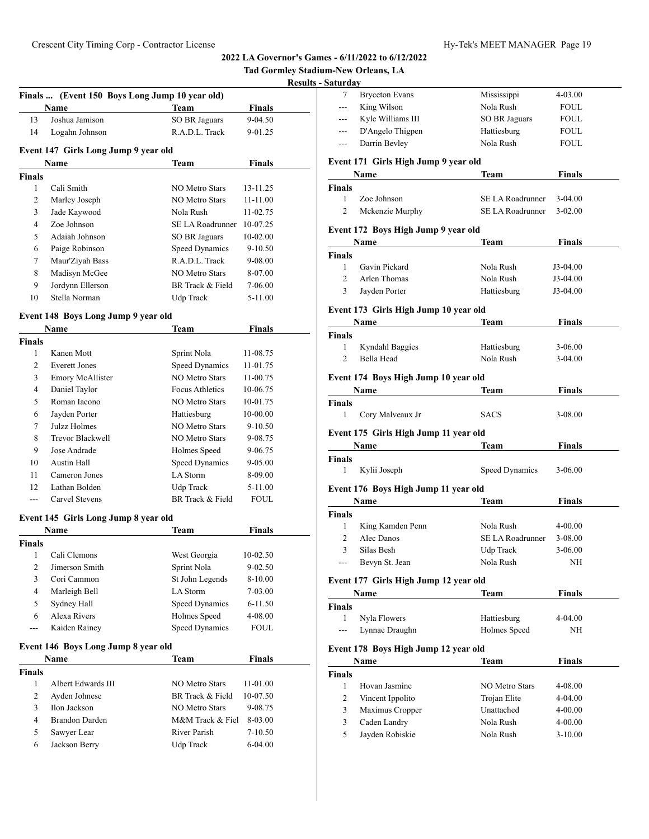|                |                                                |                       |                      | <b>Tad Gormley Stadium-New Orleans, LA</b><br><b>Results - Saturday</b> |
|----------------|------------------------------------------------|-----------------------|----------------------|-------------------------------------------------------------------------|
|                | Finals  (Event 150 Boys Long Jump 10 year old) |                       |                      | <b>Bryceton</b> Eva<br>7                                                |
|                | Name                                           | <b>Team</b>           | <b>Finals</b>        | King Wilson<br>$\overline{a}$                                           |
| 13             | Joshua Jamison                                 | SO BR Jaguars         | 9-04.50              | Kyle William<br>$---$                                                   |
| 14             | Logahn Johnson                                 | R.A.D.L. Track        | 9-01.25              | D'Angelo Thi<br>---                                                     |
|                |                                                |                       |                      | Darrin Bevley<br>$\overline{a}$                                         |
|                | Event 147 Girls Long Jump 9 year old<br>Name   | <b>Team</b>           | <b>Finals</b>        | Event 171 Girls Hig                                                     |
| Finals         |                                                |                       |                      | Name                                                                    |
| $\mathbf{1}$   | Cali Smith                                     | <b>NO Metro Stars</b> | 13-11.25             | <b>Finals</b>                                                           |
| 2              | Marley Joseph                                  | NO Metro Stars        | 11-11.00             | Zoe Johnson<br>1                                                        |
| 3              | Jade Kaywood                                   | Nola Rush             | 11-02.75             | $\overline{c}$<br>Mckenzie Mu                                           |
| $\overline{4}$ | Zoe Johnson                                    | SE LA Roadrunner      | 10-07.25             | <b>Event 172 Boys Hig</b>                                               |
| 5              | Adaiah Johnson                                 | SO BR Jaguars         | $10 - 02.00$         |                                                                         |
| 6              | Paige Robinson                                 | Speed Dynamics        | 9-10.50              | Name<br><b>Finals</b>                                                   |
| 7              | Maur'Ziyah Bass                                | R.A.D.L. Track        | 9-08.00              | 1<br>Gavin Pickard                                                      |
| 8              | Madisyn McGee                                  | NO Metro Stars        | 8-07.00              | $\overline{2}$<br>Arlen Thomas                                          |
| 9              | Jordynn Ellerson                               | BR Track & Field      | 7-06.00              | 3<br>Jayden Porter                                                      |
| 10             | Stella Norman                                  | Udp Track             | 5-11.00              |                                                                         |
|                | Event 148 Boys Long Jump 9 year old            |                       |                      | Event 173 Girls Hig                                                     |
|                | Name                                           | Team                  | <b>Finals</b>        | Name                                                                    |
| Finals         |                                                |                       |                      | <b>Finals</b>                                                           |
| $\mathbf{1}$   | Kanen Mott                                     | Sprint Nola           | 11-08.75             | $\mathbf{1}$<br>Kyndahl Bagg                                            |
| 2              | <b>Everett Jones</b>                           | <b>Speed Dynamics</b> | 11-01.75             | 2<br>Bella Head                                                         |
| 3              | Emory McAllister                               | NO Metro Stars        | 11-00.75             | <b>Event 174 Boys Hig</b>                                               |
| $\overline{4}$ | Daniel Taylor                                  | Focus Athletics       | 10-06.75             | Name                                                                    |
| 5              | Roman Iacono                                   | NO Metro Stars        | 10-01.75             | <b>Finals</b>                                                           |
| 6              | Jayden Porter                                  | Hattiesburg           | 10-00.00             | 1<br>Cory Malveau                                                       |
| 7              | Julzz Holmes                                   | NO Metro Stars        | $9 - 10.50$          |                                                                         |
| 8              | Trevor Blackwell                               | NO Metro Stars        | 9-08.75              | Event 175 Girls Hig                                                     |
| 9              | Jose Andrade                                   | Holmes Speed          | 9-06.75              | Name                                                                    |
| 10             | Austin Hall                                    | Speed Dynamics        | $9 - 05.00$          | <b>Finals</b>                                                           |
| 11             | Cameron Jones                                  | LA Storm              | 8-09.00              | 1<br>Kylii Joseph                                                       |
| 12             | Lathan Bolden                                  | Udp Track             | 5-11.00              | Event 176 Boys Hig                                                      |
| $\overline{a}$ | Carvel Stevens                                 | BR Track & Field      | <b>FOUL</b>          | Name                                                                    |
|                | Event 145 Girls Long Jump 8 year old           |                       |                      | <b>Finals</b>                                                           |
|                | Name                                           | Team                  | Finals               | 1<br>King Kamden                                                        |
| Finals         |                                                |                       |                      | $\mathfrak{2}$<br>Alec Danos                                            |
| 1              | Cali Clemons                                   | West Georgia          | 10-02.50             | 3<br>Silas Besh                                                         |
| 2              | Jimerson Smith                                 | Sprint Nola           | $9 - 02.50$          | Bevyn St. Jea<br>$\overline{a}$                                         |
| 3              | Cori Cammon                                    | St John Legends       | 8-10.00              | Event 177 Girls Hig                                                     |
| $\overline{4}$ | Marleigh Bell                                  | LA Storm              | 7-03.00              | <b>Name</b>                                                             |
| 5              | Sydney Hall                                    | Speed Dynamics        | 6-11.50              | Finals                                                                  |
| 6              | Alexa Rivers                                   | Holmes Speed          | 4-08.00              | 1<br>Nyla Flowers                                                       |
| ---            | Kaiden Rainey                                  | Speed Dynamics        | <b>FOUL</b>          | Lynnae Draug<br>---                                                     |
|                |                                                |                       |                      |                                                                         |
|                | Event 146 Boys Long Jump 8 year old            |                       |                      | <b>Event 178 Boys Hights</b>                                            |
|                | Name                                           | Team                  | <b>Finals</b>        | Name                                                                    |
| Finals<br>1    | Albert Edwards III                             | NO Metro Stars        |                      | <b>Finals</b>                                                           |
| $\sqrt{2}$     | Ayden Johnese                                  | BR Track & Field      | 11-01.00<br>10-07.50 | $\mathbf{1}$<br>Hovan Jasmir                                            |
| 3              | Ilon Jackson                                   | <b>NO Metro Stars</b> | 9-08.75              | $\overline{c}$<br>Vincent Ippol                                         |
| $\overline{4}$ | <b>Brandon Darden</b>                          | M&M Track & Fiel      | 8-03.00              | $\mathfrak{Z}$<br>Maximus Cro                                           |
| 5              | Sawyer Lear                                    | River Parish          | 7-10.50              | 3<br>Caden Landry                                                       |
| 6              | Jackson Berry                                  | Udp Track             | 6-04.00              | 5<br>Jayden Robisl                                                      |
|                |                                                |                       |                      |                                                                         |
|                |                                                |                       |                      |                                                                         |
|                |                                                |                       |                      |                                                                         |
|                |                                                |                       |                      |                                                                         |
|                |                                                |                       |                      |                                                                         |

| aturdav                |                                       |                       |               |  |
|------------------------|---------------------------------------|-----------------------|---------------|--|
| 7                      | <b>Bryceton Evans</b>                 | Mississippi           | 4-03.00       |  |
| ---                    | King Wilson                           | Nola Rush             | FOUL          |  |
| ---                    | Kyle Williams III                     | <b>SO BR Jaguars</b>  | <b>FOUL</b>   |  |
| ---                    | D'Angelo Thigpen                      | Hattiesburg           | <b>FOUL</b>   |  |
| $---$                  | Darrin Bevley                         | Nola Rush             | FOUL          |  |
|                        | Event 171  Girls High Jump 9 year old |                       |               |  |
|                        | Name                                  | Team                  | Finals        |  |
| Finals                 |                                       |                       |               |  |
| 1                      | Zoe Johnson                           | SE LA Roadrunner      | 3-04.00       |  |
| 2                      | Mckenzie Murphy                       | SE LA Roadrunner      | 3-02.00       |  |
|                        | Event 172 Boys High Jump 9 year old   |                       |               |  |
|                        | Name                                  | Team                  | <b>Finals</b> |  |
| Finals                 |                                       |                       |               |  |
| 1                      | Gavin Pickard                         | Nola Rush             | J3-04.00      |  |
| 2                      | Arlen Thomas                          | Nola Rush             | J3-04.00      |  |
| 3                      | Jayden Porter                         | Hattiesburg           | J3-04.00      |  |
|                        | Event 173 Girls High Jump 10 year old |                       |               |  |
|                        | Name                                  | Team                  | <b>Finals</b> |  |
| Finals                 |                                       |                       |               |  |
| 1                      | Kyndahl Baggies                       | Hattiesburg           | $3-06.00$     |  |
| $\overline{c}$         | Bella Head                            | Nola Rush             | 3-04.00       |  |
|                        | Event 174 Boys High Jump 10 year old  |                       |               |  |
|                        |                                       |                       |               |  |
|                        | Name                                  | Team                  | Finals        |  |
|                        |                                       |                       |               |  |
| Finals<br>1            | Cory Malveaux Jr                      | <b>SACS</b>           | 3-08.00       |  |
|                        |                                       |                       |               |  |
|                        | Event 175 Girls High Jump 11 year old |                       |               |  |
|                        | Name                                  | Team                  | <b>Finals</b> |  |
| Finals<br>1            | Kylii Joseph                          | Speed Dynamics        | 3-06.00       |  |
|                        |                                       |                       |               |  |
|                        | Event 176 Boys High Jump 11 year old  |                       |               |  |
|                        | Name                                  | Team                  | <b>Finals</b> |  |
|                        |                                       |                       |               |  |
| 1                      | King Kamden Penn                      | Nola Rush             | 4-00.00       |  |
| Finals<br>2            | Alec Danos                            | SE LA Roadrunner      | $3 - 08.00$   |  |
| $\mathbf{3}$           | Silas Besh                            | Udp Track             | 3-06.00       |  |
| $---$                  | Bevyn St. Jean                        | Nola Rush             | $\rm NH$      |  |
|                        | Event 177 Girls High Jump 12 year old |                       |               |  |
|                        | Name                                  | Team                  | Finals        |  |
| Finals                 |                                       |                       |               |  |
| 1                      | Nyla Flowers                          | Hattiesburg           | 4-04.00       |  |
| ---                    | Lynnae Draughn                        | Holmes Speed          | NH            |  |
|                        | Event 178 Boys High Jump 12 year old  |                       |               |  |
|                        | Name                                  | Team                  | <b>Finals</b> |  |
|                        |                                       |                       |               |  |
| Finals<br>$\mathbf{1}$ | Hovan Jasmine                         | <b>NO Metro Stars</b> | 4-08.00       |  |
| $\overline{c}$         | Vincent Ippolito                      | Trojan Elite          | 4-04.00       |  |
| 3                      | Maximus Cropper                       | Unattached            | 4-00.00       |  |
| 3                      | Caden Landry                          | Nola Rush             | 4-00.00       |  |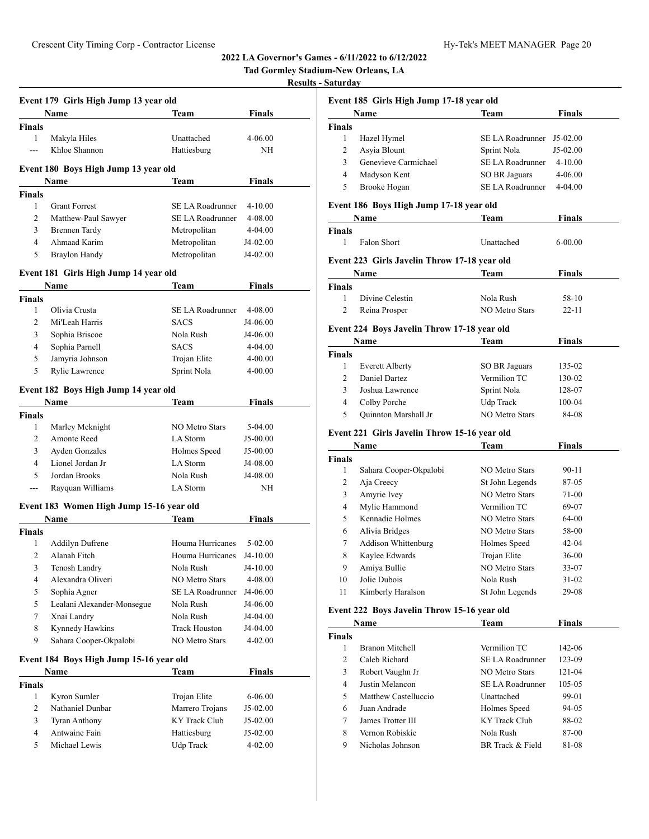|                     |                                          |                                      | 4944 LA GOVENIOL 8 GAMES - 0/11/4944 to 0/14 | Tad Gormley Stadium-New Orleans, LA<br><b>Results - Saturday</b> |                                                |
|---------------------|------------------------------------------|--------------------------------------|----------------------------------------------|------------------------------------------------------------------|------------------------------------------------|
|                     | Event 179 Girls High Jump 13 year old    |                                      |                                              |                                                                  | Event 185 Girls Hig                            |
|                     | Name                                     | Team                                 | Finals                                       |                                                                  | Name                                           |
| <b>Finals</b>       |                                          |                                      |                                              | <b>Finals</b>                                                    |                                                |
| $\mathbf{1}$        | Makyla Hiles                             | Unattached                           | 4-06.00                                      | $\mathbf{1}$                                                     | Hazel Hymel                                    |
| ---                 | Khloe Shannon                            | Hattiesburg                          | NH                                           | $\overline{c}$                                                   | Asyia Blount                                   |
|                     |                                          |                                      |                                              | 3                                                                | Genevieve Ca                                   |
|                     | Event 180 Boys High Jump 13 year old     |                                      |                                              | $\overline{4}$                                                   | Madyson Ken                                    |
|                     | Name                                     | Team                                 | Finals                                       | 5                                                                | <b>Brooke Hogar</b>                            |
| <b>Finals</b>       |                                          |                                      |                                              |                                                                  |                                                |
| 1<br>$\overline{2}$ | <b>Grant Forrest</b>                     | SE LA Roadrunner<br>SE LA Roadrunner | $4 - 10.00$                                  |                                                                  | <b>Event 186 Boys Hights</b>                   |
|                     | Matthew-Paul Sawyer                      |                                      | 4-08.00                                      |                                                                  | Name                                           |
| 3<br>$\overline{4}$ | <b>Brennen Tardy</b>                     | Metropolitan                         | 4-04.00                                      | <b>Finals</b><br>$\mathbf{1}$                                    |                                                |
| 5                   | Ahmaad Karim                             | Metropolitan                         | J4-02.00                                     |                                                                  | Falon Short                                    |
|                     | <b>Braylon Handy</b>                     | Metropolitan                         | J4-02.00                                     |                                                                  | Event 223 Girls Jav                            |
|                     | Event 181 Girls High Jump 14 year old    |                                      |                                              |                                                                  | Name                                           |
|                     | Name                                     | Team                                 | Finals                                       | <b>Finals</b>                                                    |                                                |
| <b>Finals</b>       |                                          |                                      |                                              | $\mathbf{1}$                                                     | Divine Celest                                  |
| 1                   | Olivia Crusta                            | SE LA Roadrunner                     | 4-08.00                                      | 2                                                                | Reina Prosper                                  |
| $\overline{2}$      | Mi'Leah Harris                           | <b>SACS</b>                          | J4-06.00                                     |                                                                  |                                                |
| 3                   | Sophia Briscoe                           | Nola Rush                            | J4-06.00                                     |                                                                  | <b>Event 224 Boys Jav</b>                      |
| $\overline{4}$      | Sophia Parnell                           | <b>SACS</b>                          | 4-04.00                                      |                                                                  | Name                                           |
| 5                   | Jamyria Johnson                          | Trojan Elite                         | 4-00.00                                      | <b>Finals</b>                                                    |                                                |
| 5                   | Rylie Lawrence                           | Sprint Nola                          | 4-00.00                                      | 1                                                                | <b>Everett Albert</b>                          |
|                     |                                          |                                      |                                              | 2                                                                | Daniel Dartez                                  |
|                     | Event 182 Boys High Jump 14 year old     |                                      |                                              | 3                                                                | Joshua Lawre                                   |
|                     | Name                                     | <b>Team</b>                          | <b>Finals</b>                                | $\overline{4}$                                                   | Colby Porche                                   |
| <b>Finals</b>       |                                          |                                      |                                              | 5                                                                | Quinnton Mar                                   |
| 1                   | Marley Mcknight                          | <b>NO Metro Stars</b>                | 5-04.00                                      |                                                                  | Event 221 Girls Jav                            |
| 2                   | Amonte Reed                              | LA Storm                             | J5-00.00                                     |                                                                  | Name                                           |
| 3                   | <b>Ayden Gonzales</b>                    | Holmes Speed                         | J5-00.00                                     | <b>Finals</b>                                                    |                                                |
| 4                   | Lionel Jordan Jr                         | LA Storm                             | J4-08.00                                     | $\mathbf{1}$                                                     | Sahara Coope                                   |
| 5                   | Jordan Brooks                            | Nola Rush                            | J4-08.00                                     | $\overline{c}$                                                   | Aja Creecy                                     |
| $\frac{1}{2}$       | Rayquan Williams                         | LA Storm                             | NH                                           | 3                                                                | Amyrie Ivey                                    |
|                     | Event 183 Women High Jump 15-16 year old |                                      |                                              | 4                                                                | Mylie Hamme                                    |
|                     | Name                                     | <b>Team</b>                          | Finals                                       | 5                                                                | Kennadie Hol                                   |
| Finals              |                                          |                                      |                                              | 6                                                                | Alivia Bridge                                  |
| $\mathbf{1}$        | <b>Addilyn Dufrene</b>                   | Houma Hurricanes                     | 5-02.00                                      | 7                                                                | Addison Whit                                   |
| $\overline{c}$      | Alanah Fitch                             | Houma Hurricanes                     | J4-10.00                                     | 8                                                                | Kaylee Edwar                                   |
| 3                   | Tenosh Landry                            | Nola Rush                            | J4-10.00                                     | 9                                                                | Amiya Bullie                                   |
| $\overline{4}$      | Alexandra Oliveri                        | NO Metro Stars                       | 4-08.00                                      | 10                                                               | Jolie Dubois                                   |
| 5                   | Sophia Agner                             | SE LA Roadrunner                     | J4-06.00                                     | 11                                                               | Kimberly Har                                   |
| 5                   | Lealani Alexander-Monsegue               | Nola Rush                            | J4-06.00                                     |                                                                  |                                                |
| $\tau$              | Xnai Landry                              | Nola Rush                            | J4-04.00                                     |                                                                  | Event 222 Boys Jav                             |
| 8                   | Kynnedy Hawkins                          | <b>Track Houston</b>                 | J4-04.00                                     |                                                                  | Name                                           |
| 9                   | Sahara Cooper-Okpalobi                   | NO Metro Stars                       | 4-02.00                                      | Finals                                                           |                                                |
|                     |                                          |                                      |                                              | $\mathbf{1}$                                                     | <b>Branon Mitch</b>                            |
|                     | Event 184 Boys High Jump 15-16 year old  |                                      |                                              | $\overline{c}$                                                   | Caleb Richard                                  |
|                     | Name                                     | Team                                 | Finals                                       | 3                                                                | Robert Vaugh                                   |
| <b>Finals</b>       |                                          |                                      |                                              | 4                                                                | Justin Melanc                                  |
| 1                   | Kyron Sumler                             | Trojan Elite                         | 6-06.00                                      | 5                                                                | <b>Matthew Cast</b>                            |
| $\overline{c}$      | Nathaniel Dunbar                         | Marrero Trojans                      | J5-02.00                                     | 6                                                                | Juan Andrade                                   |
|                     |                                          |                                      |                                              |                                                                  |                                                |
| 3                   | <b>Tyran Anthony</b>                     | KY Track Club                        | J5-02.00                                     | 7                                                                |                                                |
| $\overline{4}$<br>5 | Antwaine Fain<br>Michael Lewis           | Hattiesburg<br>Udp Track             | J5-02.00                                     | 8                                                                | James Trotter<br>Vernon Robis<br>Nicholas Johr |

|               | Event 185 Girls High Jump 17-18 year old     |                       |               |
|---------------|----------------------------------------------|-----------------------|---------------|
|               | Name                                         | Team                  | <b>Finals</b> |
| <b>Finals</b> |                                              |                       |               |
| 1             | Hazel Hymel                                  | SE LA Roadrunner      | $J5-02.00$    |
| 2             | Asyia Blount                                 | Sprint Nola           | $J5-02.00$    |
| 3             | Genevieve Carmichael                         | SE LA Roadrunner      | $4 - 10.00$   |
| 4             | Madyson Kent                                 | SO BR Jaguars         | 4-06.00       |
| 5             | Brooke Hogan                                 | SE LA Roadrunner      | 4-04.00       |
|               | Event 186 Boys High Jump 17-18 year old      |                       |               |
|               | Name                                         | Team                  | Finals        |
| Finals        |                                              |                       |               |
| 1             | Falon Short                                  | Unattached            | $6 - 00.00$   |
|               | Event 223 Girls Javelin Throw 17-18 year old |                       |               |
|               | Name                                         | Team                  | <b>Finals</b> |
| Finals        |                                              |                       |               |
| $\mathbf{1}$  | Divine Celestin                              | Nola Rush             | 58-10         |
| 2             | Reina Prosper                                | NO Metro Stars        | 22-11         |
|               |                                              |                       |               |
|               | Event 224 Boys Javelin Throw 17-18 year old  |                       |               |
|               | <b>Name</b>                                  | Team                  | Finals        |
| Finals        |                                              |                       |               |
| 1             | <b>Everett Alberty</b>                       | SO BR Jaguars         | 135-02        |
| 2             | Daniel Dartez                                | Vermilion TC          | 130-02        |
| 3             | Joshua Lawrence                              | Sprint Nola           | 128-07        |
| 4             | Colby Porche                                 | Udp Track             | 100-04        |
| 5             | Quinnton Marshall Jr                         | <b>NO Metro Stars</b> | 84-08         |
|               | Event 221 Girls Javelin Throw 15-16 year old |                       |               |
|               | Name                                         | Team                  | <b>Finals</b> |
| Finals        |                                              |                       |               |
| 1             | Sahara Cooper-Okpalobi                       | <b>NO Metro Stars</b> | 90-11         |
| 2             | Aja Creecy                                   | St John Legends       | 87-05         |
| 3             | Amyrie Ivey                                  | <b>NO Metro Stars</b> | 71-00         |
| 4             | Mylie Hammond                                | Vermilion TC          | 69-07         |
| 5             | Kennadie Holmes                              | <b>NO Metro Stars</b> | 64-00         |
| 6             | Alivia Bridges                               | NO Metro Stars        | 58-00         |
| 7             | Addison Whittenburg                          | Holmes Speed          | 42-04         |
| 8             | Kaylee Edwards                               | Trojan Elite          | 36-00         |
| 9             | Amiya Bullie                                 | NO Metro Stars        | 33-07         |
| 10            | Jolie Dubois                                 | Nola Rush             | 31-02         |
| 11            | Kimberly Haralson                            | St John Legends       | 29-08         |
|               |                                              |                       |               |
|               | Event 222 Boys Javelin Throw 15-16 year old  |                       |               |
|               | Name                                         | Team                  | <b>Finals</b> |
| Finals        |                                              |                       |               |
| 1             | <b>Branon Mitchell</b>                       | Vermilion TC          | 142-06        |
| 2             | Caleb Richard                                | SE LA Roadrunner      | 123-09        |
| 3             | Robert Vaughn Jr                             | NO Metro Stars        | 121-04        |
| 4             | Justin Melancon                              | SE LA Roadrunner      | 105-05        |
| 5             | Matthew Castelluccio                         | Unattached            | 99-01         |
| 6             | Juan Andrade                                 | Holmes Speed          | 94-05         |
| 7             | James Trotter III                            | KY Track Club         | 88-02         |
| 8             | Vernon Robiskie                              | Nola Rush             | 87-00         |
| 9             | Nicholas Johnson                             | BR Track & Field      | 81-08         |
|               |                                              |                       |               |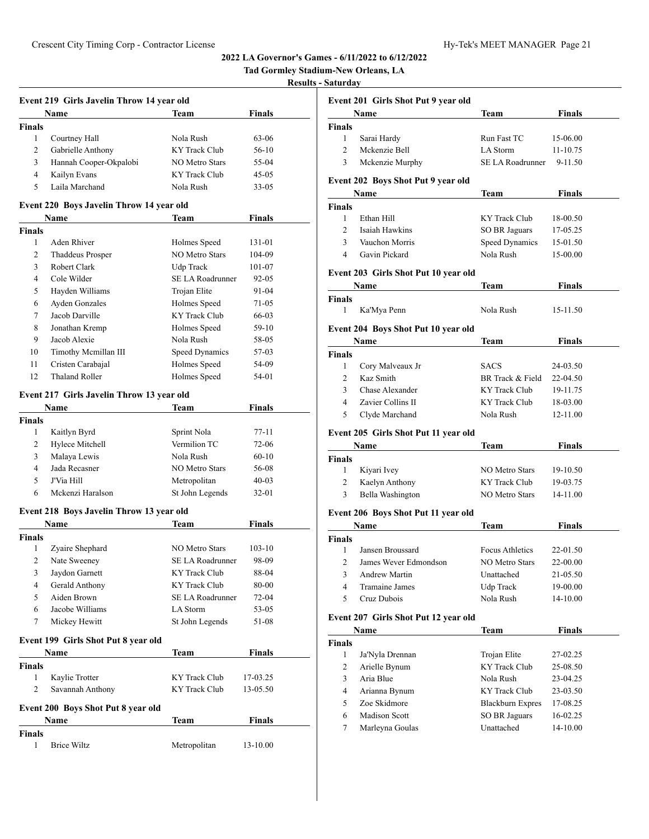# **Tad Gormley Stadium-New Orleans, LA**

# **Results - Saturday**

|                | Event 219 Girls Javelin Throw 14 year old<br>Name | Team                    | Finals        |
|----------------|---------------------------------------------------|-------------------------|---------------|
| <b>Finals</b>  |                                                   |                         |               |
| $\mathbf{1}$   | Courtney Hall                                     | Nola Rush               | 63-06         |
| 2              | Gabrielle Anthony                                 | <b>KY</b> Track Club    | 56-10         |
| 3              | Hannah Cooper-Okpalobi                            | <b>NO Metro Stars</b>   | 55-04         |
| $\overline{4}$ | Kailyn Evans                                      | KY Track Club           | 45-05         |
| 5              | Laila Marchand                                    | Nola Rush               | 33-05         |
|                | Event 220 Boys Javelin Throw 14 year old          |                         |               |
|                | Name                                              | Team                    | Finals        |
| <b>Finals</b>  |                                                   |                         |               |
| 1              | Aden Rhiver                                       | Holmes Speed            | 131-01        |
| $\overline{c}$ | <b>Thaddeus Prosper</b>                           | <b>NO Metro Stars</b>   | 104-09        |
| 3              | Robert Clark                                      | Udp Track               | 101-07        |
| 4              | Cole Wilder                                       | SE LA Roadrunner        | 92-05         |
| 5              | Hayden Williams                                   | Trojan Elite            | 91-04         |
| 6              | <b>Ayden Gonzales</b>                             | Holmes Speed            | 71-05         |
| 7              | Jacob Darville                                    | <b>KY Track Club</b>    | 66-03         |
| 8              | Jonathan Kremp                                    | Holmes Speed            | 59-10         |
| 9              | Jacob Alexie                                      | Nola Rush               | 58-05         |
| 10             | Timothy Mcmillan III                              | Speed Dynamics          | 57-03         |
| 11             | Cristen Carabajal                                 | Holmes Speed            | 54-09         |
| 12             | <b>Thaland Roller</b>                             | Holmes Speed            | 54-01         |
|                |                                                   |                         |               |
|                | Event 217 Girls Javelin Throw 13 year old         |                         |               |
|                | Name                                              | Team                    | Finals        |
| Finals         |                                                   |                         |               |
| 1              | Kaitlyn Byrd                                      | Sprint Nola             | 77-11         |
| 2              | Hylece Mitchell                                   | Vermilion TC            | 72-06         |
| 3              | Malaya Lewis                                      | Nola Rush               | $60 - 10$     |
| $\overline{4}$ | Jada Recasner                                     | <b>NO Metro Stars</b>   | 56-08         |
| 5              | J'Via Hill                                        | Metropolitan            | $40 - 03$     |
| 6              | Mckenzi Haralson                                  | St John Legends         | 32-01         |
|                | Event 218 Boys Javelin Throw 13 year old          |                         |               |
|                | Name                                              | Team                    | <b>Finals</b> |
| <b>Finals</b>  |                                                   |                         |               |
| 1              | Zyaire Shephard                                   | <b>NO Metro Stars</b>   | 103-10        |
| 2              | Nate Sweeney                                      | SE LA Roadrunner        | 98-09         |
| 3              | Jaydon Garnett                                    | KY Track Club           | 88-04         |
| 4              | Gerald Anthony                                    | KY Track Club           | 80-00         |
| 5              | Aiden Brown                                       | <b>SE LA Roadrunner</b> | 72-04         |
| 6              | Jacobe Williams                                   | LA Storm                | 53-05         |
| 7              | Mickey Hewitt                                     | St John Legends         | 51-08         |
|                | Event 199 Girls Shot Put 8 year old               |                         |               |
|                | Name                                              | Team                    | <b>Finals</b> |
| <b>Finals</b>  |                                                   |                         |               |
| 1              | Kaylie Trotter                                    | <b>KY</b> Track Club    | 17-03.25      |
| 2              | Savannah Anthony                                  | <b>KY</b> Track Club    | 13-05.50      |
|                | Event 200 Boys Shot Put 8 year old                |                         |               |
|                | Name                                              | Team                    | Finals        |
| <b>Finals</b>  |                                                   |                         |               |
| 1              | <b>Brice Wiltz</b>                                | Metropolitan            | 13-10.00      |
|                |                                                   |                         |               |

|                | auun uu<br>Event 201 Girls Shot Put 9 year old |                             |                      |
|----------------|------------------------------------------------|-----------------------------|----------------------|
|                | Name                                           | Team                        | <b>Finals</b>        |
| <b>Finals</b>  |                                                |                             |                      |
| 1              | Sarai Hardy                                    | Run Fast TC                 | 15-06.00             |
| 2              | Mckenzie Bell                                  | LA Storm                    | 11-10.75             |
| 3              | Mckenzie Murphy                                | SE LA Roadrunner            | 9-11.50              |
|                | Event 202 Boys Shot Put 9 year old             |                             |                      |
|                | Name                                           | Team                        | Finals               |
| Finals<br>1    | Ethan Hill                                     | <b>KY</b> Track Club        | 18-00.50             |
| $\overline{c}$ | Isaiah Hawkins                                 | SO BR Jaguars               | 17-05.25             |
| 3              | Vauchon Morris                                 |                             |                      |
| 4              | Gavin Pickard                                  | Speed Dynamics<br>Nola Rush | 15-01.50<br>15-00.00 |
|                |                                                |                             |                      |
|                | Event 203 Girls Shot Put 10 year old           |                             |                      |
|                | <b>Name</b>                                    | Team                        | Finals               |
| Finals         |                                                |                             |                      |
| 1              | Ka'Mya Penn                                    | Nola Rush                   | 15-11.50             |
|                | Event 204 Boys Shot Put 10 year old            |                             |                      |
|                | Name                                           | Team                        | <b>Finals</b>        |
| <b>Finals</b>  |                                                |                             |                      |
| 1              | Cory Malveaux Jr                               | <b>SACS</b>                 | 24-03.50             |
| $\overline{2}$ | Kaz Smith                                      | BR Track & Field            | 22-04.50             |
| 3              | Chase Alexander                                | KY Track Club               | 19-11.75             |
| 4              | Zavier Collins II                              | KY Track Club               | 18-03.00             |
| 5              | Clyde Marchand                                 | Nola Rush                   | 12-11.00             |
|                | Event 205 Girls Shot Put 11 year old           |                             |                      |
|                | Name                                           | Team                        | Finals               |
| <b>Finals</b>  |                                                |                             |                      |
| 1              | Kiyari Ivey                                    | <b>NO Metro Stars</b>       | 19-10.50             |
| 2              | Kaelyn Anthony                                 | KY Track Club               | 19-03.75             |
| 3              | Bella Washington                               | NO Metro Stars              | 14-11.00             |
|                |                                                |                             |                      |
|                | Event 206 Boys Shot Put 11 year old            |                             |                      |
|                | Name                                           | Team                        | Finals               |
| <b>Finals</b>  |                                                |                             |                      |
| 1              | Jansen Broussard                               | <b>Focus Athletics</b>      | 22-01.50             |
| 2              | James Wever Edmondson                          | NO Metro Stars              | 22-00.00             |
|                |                                                |                             |                      |
| 3              | Andrew Martin                                  | Unattached                  | 21-05.50             |
| $\overline{4}$ | Tramaine James                                 | Udp Track                   | 19-00.00             |
| 5              | Cruz Dubois                                    | Nola Rush                   | 14-10.00             |
|                | Event 207 Girls Shot Put 12 year old           |                             |                      |
|                | Name                                           | <b>Team</b>                 | <b>Finals</b>        |
| <b>Finals</b>  |                                                |                             |                      |
| $\mathbf{1}$   | Ja'Nyla Drennan                                | Trojan Elite                | 27-02.25             |
| 2              | Arielle Bynum                                  | <b>KY</b> Track Club        | 25-08.50             |
| 3              | Aria Blue                                      | Nola Rush                   | 23-04.25             |
| 4              | Arianna Bynum                                  | KY Track Club               | 23-03.50             |
| 5              | Zoe Skidmore                                   | <b>Blackburn Expres</b>     | 17-08.25             |
| 6              | <b>Madison Scott</b>                           | <b>SO BR Jaguars</b>        | 16-02.25             |
| 7              | Marleyna Goulas                                | Unattached                  | 14-10.00             |